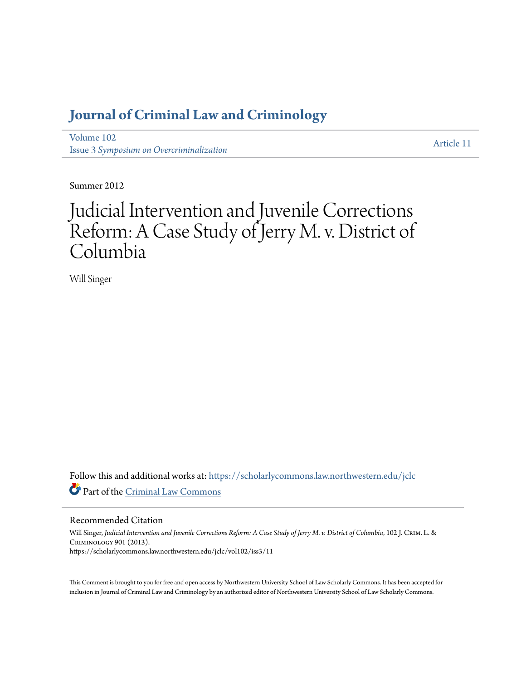# **[Journal of Criminal Law and Criminology](https://scholarlycommons.law.northwestern.edu/jclc?utm_source=scholarlycommons.law.northwestern.edu%2Fjclc%2Fvol102%2Fiss3%2F11&utm_medium=PDF&utm_campaign=PDFCoverPages)**

[Volume 102](https://scholarlycommons.law.northwestern.edu/jclc/vol102?utm_source=scholarlycommons.law.northwestern.edu%2Fjclc%2Fvol102%2Fiss3%2F11&utm_medium=PDF&utm_campaign=PDFCoverPages) Issue 3 *[Symposium on Overcriminalization](https://scholarlycommons.law.northwestern.edu/jclc/vol102/iss3?utm_source=scholarlycommons.law.northwestern.edu%2Fjclc%2Fvol102%2Fiss3%2F11&utm_medium=PDF&utm_campaign=PDFCoverPages)*

[Article 11](https://scholarlycommons.law.northwestern.edu/jclc/vol102/iss3/11?utm_source=scholarlycommons.law.northwestern.edu%2Fjclc%2Fvol102%2Fiss3%2F11&utm_medium=PDF&utm_campaign=PDFCoverPages)

Summer 2012

# Judicial Intervention and Juvenile Corrections Reform: A Case Study of Jerry M. v. District of Columbia

Will Singer

Follow this and additional works at: [https://scholarlycommons.law.northwestern.edu/jclc](https://scholarlycommons.law.northwestern.edu/jclc?utm_source=scholarlycommons.law.northwestern.edu%2Fjclc%2Fvol102%2Fiss3%2F11&utm_medium=PDF&utm_campaign=PDFCoverPages) Part of the [Criminal Law Commons](http://network.bepress.com/hgg/discipline/912?utm_source=scholarlycommons.law.northwestern.edu%2Fjclc%2Fvol102%2Fiss3%2F11&utm_medium=PDF&utm_campaign=PDFCoverPages)

Recommended Citation

Will Singer, *Judicial Intervention and Juvenile Corrections Reform: A Case Study of Jerry M. v. District of Columbia*, 102 J. Crim. L. & Criminology 901 (2013). https://scholarlycommons.law.northwestern.edu/jclc/vol102/iss3/11

This Comment is brought to you for free and open access by Northwestern University School of Law Scholarly Commons. It has been accepted for inclusion in Journal of Criminal Law and Criminology by an authorized editor of Northwestern University School of Law Scholarly Commons.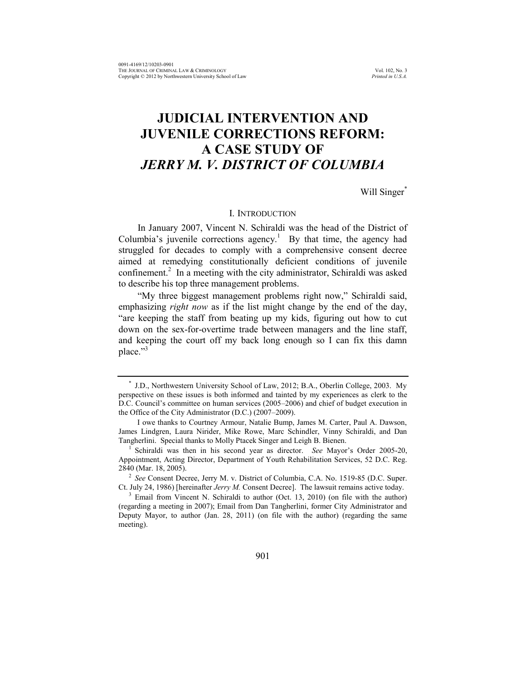# **JUDICIAL INTERVENTION AND JUVENILE CORRECTIONS REFORM: A CASE STUDY OF**  *JERRY M. V. DISTRICT OF COLUMBIA*

Will Singer<sup>\*</sup>

# I. INTRODUCTION

In January 2007, Vincent N. Schiraldi was the head of the District of Columbia's juvenile corrections agency.<sup>1</sup> By that time, the agency had struggled for decades to comply with a comprehensive consent decree aimed at remedying constitutionally deficient conditions of juvenile confinement.<sup>2</sup> In a meeting with the city administrator, Schiraldi was asked to describe his top three management problems.

<span id="page-1-0"></span>"My three biggest management problems right now," Schiraldi said, emphasizing *right now* as if the list might change by the end of the day, "are keeping the staff from beating up my kids, figuring out how to cut down on the sex-for-overtime trade between managers and the line staff, and keeping the court off my back long enough so I can fix this damn place."<sup>3</sup>

<sup>\*</sup> J.D., Northwestern University School of Law, 2012; B.A., Oberlin College, 2003. My perspective on these issues is both informed and tainted by my experiences as clerk to the D.C. Council's committee on human services (2005–2006) and chief of budget execution in the Office of the City Administrator (D.C.) (2007–2009).

I owe thanks to Courtney Armour, Natalie Bump, James M. Carter, Paul A. Dawson, James Lindgren, Laura Nirider, Mike Rowe, Marc Schindler, Vinny Schiraldi, and Dan Tangherlini. Special thanks to Molly Ptacek Singer and Leigh B. Bienen.

<sup>1</sup> Schiraldi was then in his second year as director. *See* Mayor's Order 2005-20, Appointment, Acting Director, Department of Youth Rehabilitation Services, 52 D.C. Reg. 2840 (Mar. 18, 2005).

<sup>2</sup> *See* Consent Decree, Jerry M. v. District of Columbia, C.A. No. 1519-85 (D.C. Super. Ct. July 24, 1986) [hereinafter *Jerry M.* Consent Decree]. The lawsuit remains active today.

<sup>&</sup>lt;sup>3</sup> Email from Vincent N. Schiraldi to author (Oct. 13, 2010) (on file with the author) (regarding a meeting in 2007); Email from Dan Tangherlini, former City Administrator and Deputy Mayor, to author (Jan. 28, 2011) (on file with the author) (regarding the same meeting).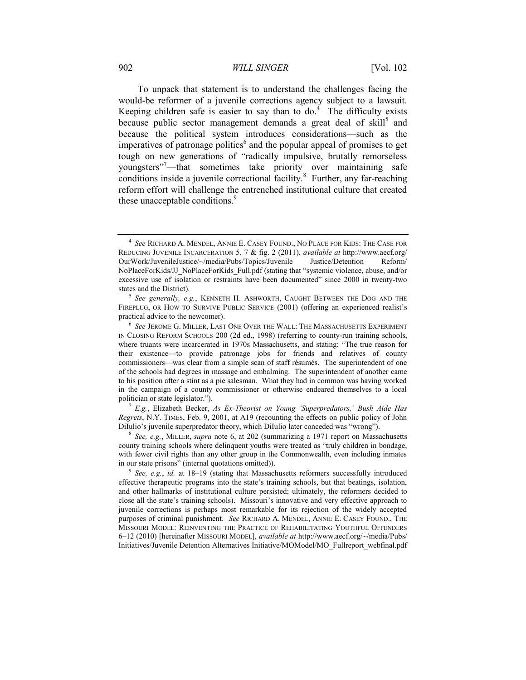# 902 *WILL SINGER* [Vol. 102

<span id="page-2-3"></span><span id="page-2-1"></span><span id="page-2-0"></span>To unpack that statement is to understand the challenges facing the would-be reformer of a juvenile corrections agency subject to a lawsuit. Keeping children safe is easier to say than to do.<sup>4</sup> The difficulty exists because public sector management demands a great deal of skill<sup>5</sup> and because the political system introduces considerations—such as the imperatives of patronage politics<sup>6</sup> and the popular appeal of promises to get tough on new generations of "radically impulsive, brutally remorseless youngsters"<sup>7</sup>—that sometimes take priority over maintaining safe conditions inside a juvenile correctional facility.<sup>8</sup> Further, any far-reaching reform effort will challenge the entrenched institutional culture that created these unacceptable conditions.<sup>9</sup>

<sup>7</sup> *E.g.*, Elizabeth Becker, *As Ex-Theorist on Young 'Superpredators,' Bush Aide Has Regrets*, N.Y. TIMES, Feb. 9, 2001, at A19 (recounting the effects on public policy of John DiIulio's juvenile superpredator theory, which DiIulio later conceded was "wrong").

8 *See, e.g.*, MILLER, *supra* note [6,](#page-2-0) at 202 (summarizing a 1971 report on Massachusetts county training schools where delinquent youths were treated as "truly children in bondage, with fewer civil rights than any other group in the Commonwealth, even including inmates in our state prisons" (internal quotations omitted)).

<span id="page-2-2"></span><sup>4</sup> *See* RICHARD A. MENDEL, ANNIE E. CASEY FOUND., NO PLACE FOR KIDS: THE CASE FOR REDUCING JUVENILE INCARCERATION 5, 7 & fig. 2 (2011), *available at* http://www.aecf.org/ OurWork/JuvenileJustice/~/media/Pubs/Topics/Juvenile Justice/Detention Reform/ NoPlaceForKids/JJ\_NoPlaceForKids\_Full.pdf (stating that "systemic violence, abuse, and/or excessive use of isolation or restraints have been documented" since 2000 in twenty-two states and the District).

<sup>5</sup> *See generally, e.g.*, KENNETH H. ASHWORTH, CAUGHT BETWEEN THE DOG AND THE FIREPLUG, OR HOW TO SURVIVE PUBLIC SERVICE (2001) (offering an experienced realist's practical advice to the newcomer).

<sup>6</sup> *See* JEROME G. MILLER, LAST ONE OVER THE WALL: THE MASSACHUSETTS EXPERIMENT IN CLOSING REFORM SCHOOLS 200 (2d ed., 1998) (referring to county-run training schools, where truants were incarcerated in 1970s Massachusetts, and stating: "The true reason for their existence—to provide patronage jobs for friends and relatives of county commissioners—was clear from a simple scan of staff résumés. The superintendent of one of the schools had degrees in massage and embalming. The superintendent of another came to his position after a stint as a pie salesman. What they had in common was having worked in the campaign of a county commissioner or otherwise endeared themselves to a local politician or state legislator.").

<sup>&</sup>lt;sup>9</sup> See, e.g., *id.* at 18–19 (stating that Massachusetts reformers successfully introduced effective therapeutic programs into the state's training schools, but that beatings, isolation, and other hallmarks of institutional culture persisted; ultimately, the reformers decided to close all the state's training schools). Missouri's innovative and very effective approach to juvenile corrections is perhaps most remarkable for its rejection of the widely accepted purposes of criminal punishment. *See* RICHARD A. MENDEL, ANNIE E. CASEY FOUND., THE MISSOURI MODEL: REINVENTING THE PRACTICE OF REHABILITATING YOUTHFUL OFFENDERS 6–12 (2010) [hereinafter MISSOURI MODEL], *available at* http://www.aecf.org/~/media/Pubs/ Initiatives/Juvenile Detention Alternatives Initiative/MOModel/MO\_Fullreport\_webfinal.pdf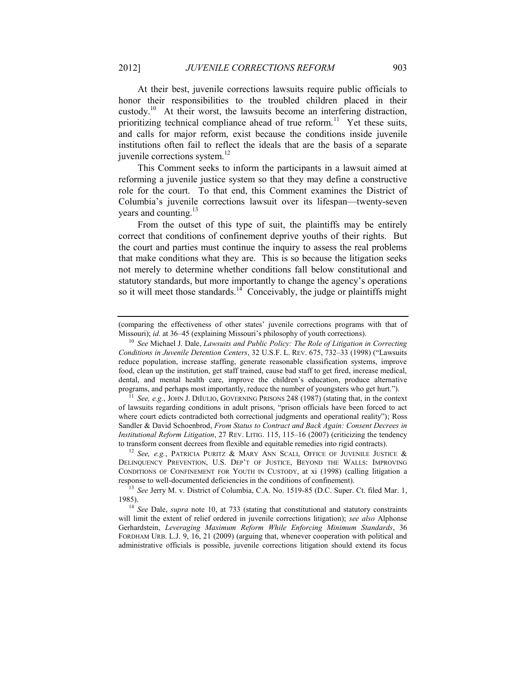<span id="page-3-1"></span><span id="page-3-0"></span>At their best, juvenile corrections lawsuits require public officials to honor their responsibilities to the troubled children placed in their custody.<sup>10</sup> At their worst, the lawsuits become an interfering distraction, prioritizing technical compliance ahead of true reform.<sup>11</sup> Yet these suits, and calls for major reform, exist because the conditions inside juvenile institutions often fail to reflect the ideals that are the basis of a separate juvenile corrections system.<sup>12</sup>

This Comment seeks to inform the participants in a lawsuit aimed at reforming a juvenile justice system so that they may define a constructive role for the court. To that end, this Comment examines the District of Columbia's juvenile corrections lawsuit over its lifespan—twenty-seven years and counting.<sup>13</sup>

From the outset of this type of suit, the plaintiffs may be entirely correct that conditions of confinement deprive youths of their rights. But the court and parties must continue the inquiry to assess the real problems that make conditions what they are. This is so because the litigation seeks not merely to determine whether conditions fall below constitutional and statutory standards, but more importantly to change the agency's operations so it will meet those standards.<sup>14</sup> Conceivably, the judge or plaintiffs might

<sup>11</sup> See, e.g., JOHN J. DIIULIO, GOVERNING PRISONS 248 (1987) (stating that, in the context of lawsuits regarding conditions in adult prisons, "prison officials have been forced to act where court edicts contradicted both correctional judgments and operational reality"); Ross Sandler & David Schoenbrod, *From Status to Contract and Back Again: Consent Decrees in Institutional Reform Litigation*, 27 REV. LITIG. 115, 115–16 (2007) (criticizing the tendency to transform consent decrees from flexible and equitable remedies into rigid contracts).

<sup>12</sup> See, e.g., PATRICIA PURITZ & MARY ANN SCALI, OFFICE OF JUVENILE JUSTICE & DELINQUENCY PREVENTION, U.S. DEP'T OF JUSTICE, BEYOND THE WALLS: IMPROVING CONDITIONS OF CONFINEMENT FOR YOUTH IN CUSTODY, at xi (1998) (calling litigation a response to well-documented deficiencies in the conditions of confinement).

<sup>13</sup> *See* Jerry M. v. District of Columbia, C.A. No. 1519-85 (D.C. Super. Ct. filed Mar. 1, 1985).

<sup>14</sup> *See* Dale, *supra* note [10,](#page-3-0) at 733 (stating that constitutional and statutory constraints will limit the extent of relief ordered in juvenile corrections litigation); *see also* Alphonse Gerhardstein, *Leveraging Maximum Reform While Enforcing Minimum Standards*, 36 FORDHAM URB. L.J. 9, 16, 21 (2009) (arguing that, whenever cooperation with political and administrative officials is possible, juvenile corrections litigation should extend its focus

<span id="page-3-2"></span><sup>(</sup>comparing the effectiveness of other states' juvenile corrections programs with that of Missouri); *id.* at 36–45 (explaining Missouri's philosophy of youth corrections).

<sup>10</sup> *See* Michael J. Dale, *Lawsuits and Public Policy: The Role of Litigation in Correcting Conditions in Juvenile Detention Centers*, 32 U.S.F. L. REV. 675, 732–33 (1998) ("Lawsuits reduce population, increase staffing, generate reasonable classification systems, improve food, clean up the institution, get staff trained, cause bad staff to get fired, increase medical, dental, and mental health care, improve the children's education, produce alternative programs, and perhaps most importantly, reduce the number of youngsters who get hurt.").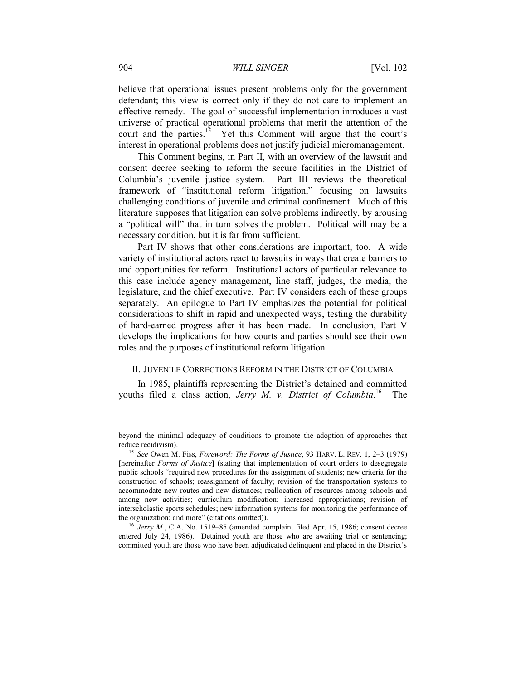#### 904 *WILL SINGER* [Vol. 102

believe that operational issues present problems only for the government defendant; this view is correct only if they do not care to implement an effective remedy. The goal of successful implementation introduces a vast universe of practical operational problems that merit the attention of the court and the parties.<sup>15</sup> Yet this Comment will argue that the court's interest in operational problems does not justify judicial micromanagement.

<span id="page-4-1"></span>This Comment begins, in Part [II,](#page-4-0) with an overview of the lawsuit and consent decree seeking to reform the secure facilities in the District of Columbia's juvenile justice system. Part [III](#page-13-0) reviews the theoretical framework of "institutional reform litigation," focusing on lawsuits challenging conditions of juvenile and criminal confinement. Much of this literature supposes that litigation can solve problems indirectly, by arousing a "political will" that in turn solves the problem. Political will may be a necessary condition, but it is far from sufficient.

Part [IV](#page-22-0) shows that other considerations are important, too. A wide variety of institutional actors react to lawsuits in ways that create barriers to and opportunities for reform. Institutional actors of particular relevance to this case include agency management, line staff, judges, the media, the legislature, and the chief executive. Part [IV](#page-22-0) considers each of these groups separately. An epilogue to Part [IV](#page-22-0) emphasizes the potential for political considerations to shift in rapid and unexpected ways, testing the durability of hard-earned progress after it has been made. In conclusion, Part [V](#page-63-0) develops the implications for how courts and parties should see their own roles and the purposes of institutional reform litigation.

### <span id="page-4-2"></span><span id="page-4-0"></span>II. JUVENILE CORRECTIONS REFORM IN THE DISTRICT OF COLUMBIA

In 1985, plaintiffs representing the District's detained and committed youths filed a class action, *Jerry M. v. District of Columbia*.<sup>16</sup> The

beyond the minimal adequacy of conditions to promote the adoption of approaches that reduce recidivism).

<sup>15</sup> *See* Owen M. Fiss, *Foreword: The Forms of Justice*, 93 HARV. L. REV. 1, 2–3 (1979) [hereinafter *Forms of Justice*] (stating that implementation of court orders to desegregate public schools "required new procedures for the assignment of students; new criteria for the construction of schools; reassignment of faculty; revision of the transportation systems to accommodate new routes and new distances; reallocation of resources among schools and among new activities; curriculum modification; increased appropriations; revision of interscholastic sports schedules; new information systems for monitoring the performance of the organization; and more" (citations omitted)).

<sup>&</sup>lt;sup>16</sup> *Jerry M.*, C.A. No. 1519–85 (amended complaint filed Apr. 15, 1986; consent decree entered July 24, 1986). Detained youth are those who are awaiting trial or sentencing; committed youth are those who have been adjudicated delinquent and placed in the District's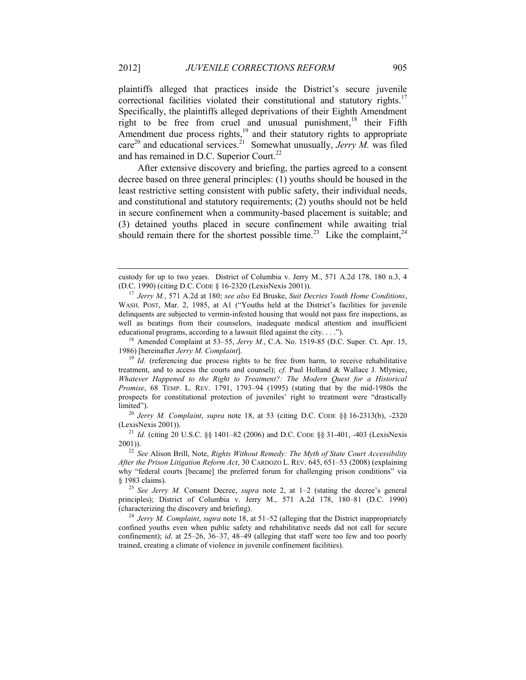<span id="page-5-0"></span>plaintiffs alleged that practices inside the District's secure juvenile correctional facilities violated their constitutional and statutory rights.<sup>17</sup> Specifically, the plaintiffs alleged deprivations of their Eighth Amendment right to be free from cruel and unusual punishment,<sup>18</sup> their Fifth Amendment due process rights,<sup>19</sup> and their statutory rights to appropriate care<sup>20</sup> and educational services.<sup>21</sup> Somewhat unusually, *Jerry M*. was filed and has remained in D.C. Superior Court.<sup>22</sup>

<span id="page-5-3"></span><span id="page-5-1"></span>After extensive discovery and briefing, the parties agreed to a consent decree based on three general principles: (1) youths should be housed in the least restrictive setting consistent with public safety, their individual needs, and constitutional and statutory requirements; (2) youths should not be held in secure confinement when a community-based placement is suitable; and (3) detained youths placed in secure confinement while awaiting trial should remain there for the shortest possible time.<sup>23</sup> Like the complaint,<sup>24</sup>

<sup>18</sup> Amended Complaint at 53–55, *Jerry M.*, C.A. No. 1519-85 (D.C. Super. Ct. Apr. 15, 1986) [hereinafter *Jerry M. Complaint*].

<span id="page-5-2"></span>custody for up to two years. District of Columbia v. Jerry M., 571 A.2d 178, 180 n.3, 4 (D.C. 1990) (citing D.C. CODE § 16-2320 (LexisNexis 2001)).

<sup>17</sup> *Jerry M.*, 571 A.2d at 180; *see also* Ed Bruske, *Suit Decries Youth Home Conditions*, WASH. POST, Mar. 2, 1985, at A1 ("Youths held at the District's facilities for juvenile delinquents are subjected to vermin-infested housing that would not pass fire inspections, as well as beatings from their counselors, inadequate medical attention and insufficient educational programs, according to a lawsuit filed against the city. . . .").

 $19$  *Id.* (referencing due process rights to be free from harm, to receive rehabilitative treatment, and to access the courts and counsel); *cf.* Paul Holland & Wallace J. Mlyniec, *Whatever Happened to the Right to Treatment?: The Modern Quest for a Historical Promise*, 68 TEMP. L. REV. 1791, 1793–94 (1995) (stating that by the mid-1980s the prospects for constitutional protection of juveniles' right to treatment were "drastically limited").

<sup>20</sup> *Jerry M. Complaint*, *supra* note [18,](#page-5-0) at 53 (citing D.C. CODE §§ 16-2313(b), -2320 (LexisNexis 2001)).

<sup>21</sup> *Id.* (citing 20 U.S.C. §§ 1401–82 (2006) and D.C. CODE §§ 31-401, -403 (LexisNexis 2001)).

<sup>22</sup> *See* Alison Brill, Note, *Rights Without Remedy: The Myth of State Court Accessibility After the Prison Litigation Reform Act*, 30 CARDOZO L. REV. 645, 651–53 (2008) (explaining why "federal courts [became] the preferred forum for challenging prison conditions" via § 1983 claims).

<sup>23</sup> *See Jerry M.* Consent Decree, *supra* note [2,](#page-1-0) at 1–2 (stating the decree's general principles); District of Columbia v. Jerry M., 571 A.2d 178, 180–81 (D.C. 1990) (characterizing the discovery and briefing).

<sup>24</sup> *Jerry M. Complaint*, *supra* not[e 18,](#page-5-0) at 51–52 (alleging that the District inappropriately confined youths even when public safety and rehabilitative needs did not call for secure confinement); *id*. at 25–26, 36–37, 48–49 (alleging that staff were too few and too poorly trained, creating a climate of violence in juvenile confinement facilities).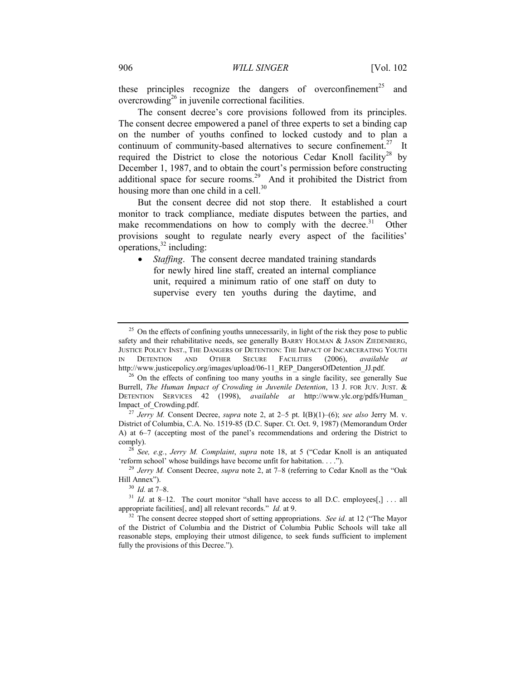these principles recognize the dangers of overconfinement<sup>25</sup> and overcrowding<sup>26</sup> in juvenile correctional facilities.

<span id="page-6-0"></span>The consent decree's core provisions followed from its principles. The consent decree empowered a panel of three experts to set a binding cap on the number of youths confined to locked custody and to plan a continuum of community-based alternatives to secure confinement.<sup>27</sup> It required the District to close the notorious Cedar Knoll facility<sup>28</sup> by December 1, 1987, and to obtain the court's permission before constructing additional space for secure rooms.<sup>29</sup> And it prohibited the District from housing more than one child in a cell.<sup>30</sup>

<span id="page-6-1"></span>But the consent decree did not stop there. It established a court monitor to track compliance, mediate disputes between the parties, and make recommendations on how to comply with the decree.<sup>31</sup> Other provisions sought to regulate nearly every aspect of the facilities'  $overline{32}$  including:

 *Staffing*. The consent decree mandated training standards for newly hired line staff, created an internal compliance unit, required a minimum ratio of one staff on duty to supervise every ten youths during the daytime, and

 $25$  On the effects of confining youths unnecessarily, in light of the risk they pose to public safety and their rehabilitative needs, see generally BARRY HOLMAN & JASON ZIEDENBERG, JUSTICE POLICY INST., THE DANGERS OF DETENTION: THE IMPACT OF INCARCERATING YOUTH IN DETENTION AND OTHER SECURE FACILITIES (2006), *available at* http://www.justicepolicy.org/images/upload/06-11\_REP\_DangersOfDetention\_JJ.pdf.

<sup>&</sup>lt;sup>26</sup> On the effects of confining too many youths in a single facility, see generally Sue Burrell, *The Human Impact of Crowding in Juvenile Detention*, 13 J. FOR JUV. JUST. & DETENTION SERVICES 42 (1998), *available at* http://www.ylc.org/pdfs/Human\_ Impact\_of\_Crowding.pdf.

<sup>27</sup> *Jerry M.* Consent Decree, *supra* note [2,](#page-1-0) at 2–5 pt. I(B)(1)–(6); *see also* Jerry M. v. District of Columbia, C.A. No. 1519-85 (D.C. Super. Ct. Oct. 9, 1987) (Memorandum Order A) at 6–7 (accepting most of the panel's recommendations and ordering the District to comply).

<sup>28</sup> *See, e.g.*, *Jerry M. Complaint*, *supra* note [18](#page-5-0), at 5 ("Cedar Knoll is an antiquated 'reform school' whose buildings have become unfit for habitation. . . .").

<sup>29</sup> *Jerry M.* Consent Decree, *supra* note [2,](#page-1-0) at 7–8 (referring to Cedar Knoll as the "Oak Hill Annex").

<sup>30</sup> *Id.* at 7–8.

 $31$  *Id.* at 8–12. The court monitor "shall have access to all D.C. employees[,] ... all appropriate facilities[, and] all relevant records." *Id.* at 9.

<sup>&</sup>lt;sup>32</sup> The consent decree stopped short of setting appropriations. *See id.* at 12 ("The Mayor of the District of Columbia and the District of Columbia Public Schools will take all reasonable steps, employing their utmost diligence, to seek funds sufficient to implement fully the provisions of this Decree.").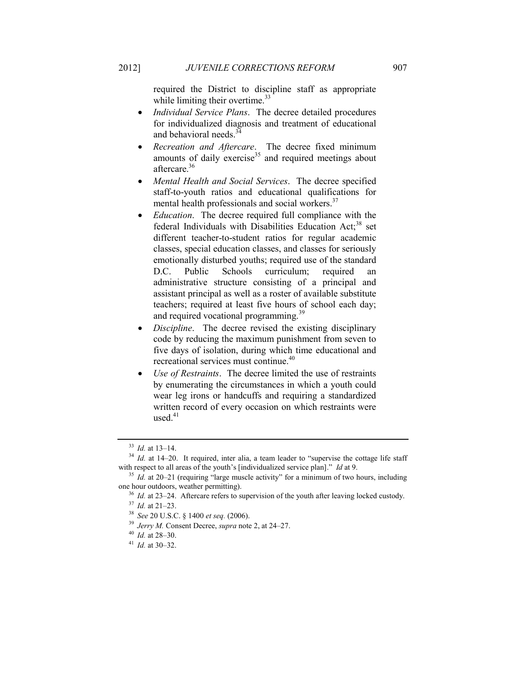required the District to discipline staff as appropriate while limiting their overtime.<sup>33</sup>

- *Individual Service Plans*. The decree detailed procedures for individualized diagnosis and treatment of educational and behavioral needs.<sup>3</sup>
- *Recreation and Aftercare*. The decree fixed minimum amounts of daily exercise<sup>35</sup> and required meetings about aftercare.<sup>36</sup>
- *Mental Health and Social Services*. The decree specified staff-to-youth ratios and educational qualifications for mental health professionals and social workers.<sup>37</sup>
- *Education*. The decree required full compliance with the federal Individuals with Disabilities Education Act;<sup>38</sup> set different teacher-to-student ratios for regular academic classes, special education classes, and classes for seriously emotionally disturbed youths; required use of the standard D.C. Public Schools curriculum; required an administrative structure consisting of a principal and assistant principal as well as a roster of available substitute teachers; required at least five hours of school each day; and required vocational programming.<sup>39</sup>
- *Discipline*. The decree revised the existing disciplinary code by reducing the maximum punishment from seven to five days of isolation, during which time educational and recreational services must continue.<sup>40</sup>
- *Use of Restraints*. The decree limited the use of restraints by enumerating the circumstances in which a youth could wear leg irons or handcuffs and requiring a standardized written record of every occasion on which restraints were used. $41$

<sup>33</sup> *Id.* at 13–14.

<sup>&</sup>lt;sup>34</sup> *Id.* at 14–20. It required, inter alia, a team leader to "supervise the cottage life staff with respect to all areas of the youth's [individualized service plan]." *Id* at 9.

<sup>35</sup> *Id.* at 20–21 (requiring "large muscle activity" for a minimum of two hours, including one hour outdoors, weather permitting).

<sup>&</sup>lt;sup>36</sup> *Id.* at 23–24. Aftercare refers to supervision of the youth after leaving locked custody.

<sup>37</sup> *Id.* at 21–23.

<sup>38</sup> *See* 20 U.S.C. § 1400 *et seq.* (2006).

<sup>39</sup> *Jerry M.* Consent Decree, *supra* not[e 2,](#page-1-0) at 24–27.

<sup>40</sup> *Id.* at 28–30.

<sup>41</sup> *Id.* at 30–32.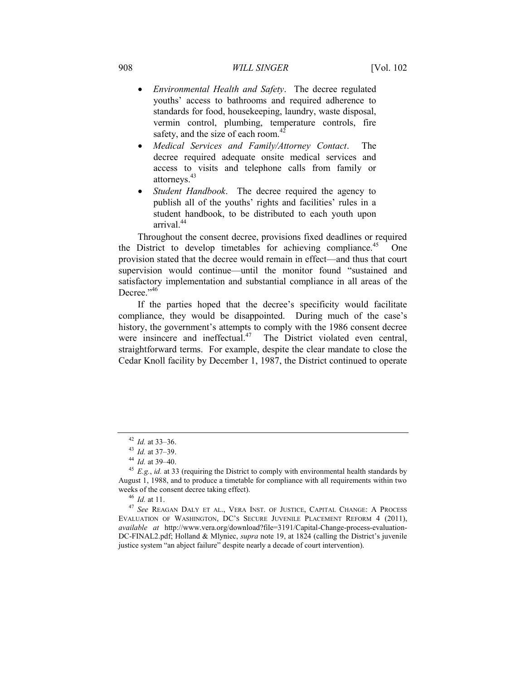- *Environmental Health and Safety*. The decree regulated youths' access to bathrooms and required adherence to standards for food, housekeeping, laundry, waste disposal, vermin control, plumbing, temperature controls, fire safety, and the size of each room.<sup>42</sup>
- *Medical Services and Family/Attorney Contact*. The decree required adequate onsite medical services and access to visits and telephone calls from family or attorneys.<sup>43</sup>
- *Student Handbook*. The decree required the agency to publish all of the youths' rights and facilities' rules in a student handbook, to be distributed to each youth upon arrival<sup>44</sup>

Throughout the consent decree, provisions fixed deadlines or required the District to develop timetables for achieving compliance.<sup>45</sup> One provision stated that the decree would remain in effect—and thus that court supervision would continue—until the monitor found "sustained and satisfactory implementation and substantial compliance in all areas of the Decree."<sup>46</sup>

<span id="page-8-1"></span><span id="page-8-0"></span>If the parties hoped that the decree's specificity would facilitate compliance, they would be disappointed. During much of the case's history, the government's attempts to comply with the 1986 consent decree were insincere and ineffectual.<sup>47</sup> The District violated even central, straightforward terms. For example, despite the clear mandate to close the Cedar Knoll facility by December 1, 1987, the District continued to operate

<sup>42</sup> *Id.* at 33–36.

<sup>43</sup> *Id.* at 37–39.

<sup>44</sup> *Id.* at 39–40.

<sup>45</sup> *E.g.*, *id.* at 33 (requiring the District to comply with environmental health standards by August 1, 1988, and to produce a timetable for compliance with all requirements within two weeks of the consent decree taking effect).

<sup>46</sup> *Id.* at 11.

<sup>47</sup> *See* REAGAN DALY ET AL., VERA INST. OF JUSTICE, CAPITAL CHANGE: A PROCESS EVALUATION OF WASHINGTON, DC'S SECURE JUVENILE PLACEMENT REFORM 4 (2011), *available at* http://www.vera.org/download?file=3191/Capital-Change-process-evaluation-DC-FINAL2.pdf; Holland & Mlyniec, *supra* note [19](#page-5-1), at 1824 (calling the District's juvenile justice system "an abject failure" despite nearly a decade of court intervention).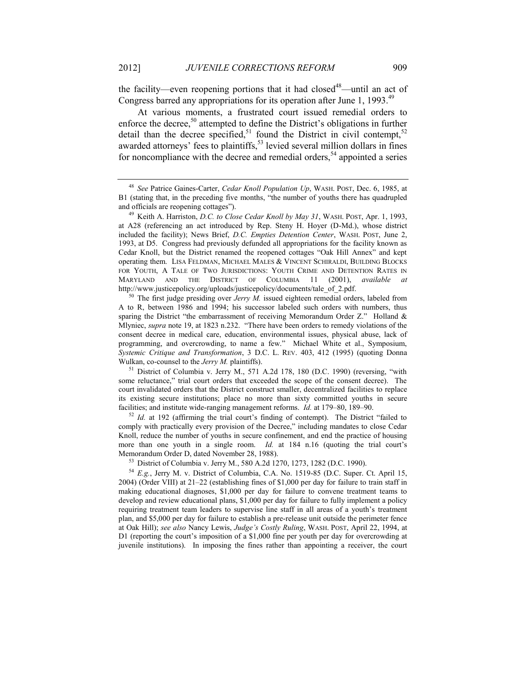the facility—even reopening portions that it had closed<sup>48</sup>—until an act of Congress barred any appropriations for its operation after June 1, 1993.<sup>49</sup>

<span id="page-9-0"></span>At various moments, a frustrated court issued remedial orders to enforce the decree,<sup>50</sup> attempted to define the District's obligations in further detail than the decree specified,<sup>51</sup> found the District in civil contempt,<sup>52</sup> awarded attorneys' fees to plaintiffs,<sup>53</sup> levied several million dollars in fines for noncompliance with the decree and remedial orders,  $54$  appointed a series

<sup>50</sup> The first judge presiding over *Jerry M*. issued eighteen remedial orders, labeled from A to R, between 1986 and 1994; his successor labeled such orders with numbers, thus sparing the District "the embarrassment of receiving Memorandum Order  $Z$ ." Holland  $\&$ Mlyniec, *supra* note [19,](#page-5-1) at 1823 n.232. "There have been orders to remedy violations of the consent decree in medical care, education, environmental issues, physical abuse, lack of programming, and overcrowding, to name a few." Michael White et al., Symposium, *Systemic Critique and Transformation*, 3 D.C. L. REV. 403, 412 (1995) (quoting Donna Wulkan, co-counsel to the *Jerry M.* plaintiffs).

<sup>51</sup> District of Columbia v. Jerry M., 571 A.2d 178, 180 (D.C. 1990) (reversing, "with some reluctance," trial court orders that exceeded the scope of the consent decree). The court invalidated orders that the District construct smaller, decentralized facilities to replace its existing secure institutions; place no more than sixty committed youths in secure facilities; and institute wide-ranging management reforms. *Id.* at 179–80, 189–90.

<sup>52</sup> *Id.* at 192 (affirming the trial court's finding of contempt). The District "failed to comply with practically every provision of the Decree," including mandates to close Cedar Knoll, reduce the number of youths in secure confinement, and end the practice of housing more than one youth in a single room. *Id.* at 184 n.16 (quoting the trial court's Memorandum Order D, dated November 28, 1988).

<sup>54</sup> *E.g.*, Jerry M. v. District of Columbia, C.A. No. 1519-85 (D.C. Super. Ct. April 15, 2004) (Order VIII) at 21–22 (establishing fines of \$1,000 per day for failure to train staff in making educational diagnoses, \$1,000 per day for failure to convene treatment teams to develop and review educational plans, \$1,000 per day for failure to fully implement a policy requiring treatment team leaders to supervise line staff in all areas of a youth's treatment plan, and \$5,000 per day for failure to establish a pre-release unit outside the perimeter fence at Oak Hill); *see also* Nancy Lewis, *Judge's Costly Ruling*, WASH. POST, April 22, 1994, at D1 (reporting the court's imposition of a \$1,000 fine per youth per day for overcrowding at juvenile institutions). In imposing the fines rather than appointing a receiver, the court

<span id="page-9-1"></span><sup>48</sup> *See* Patrice Gaines-Carter, *Cedar Knoll Population Up*, WASH. POST, Dec. 6, 1985, at B1 (stating that, in the preceding five months, "the number of youths there has quadrupled and officials are reopening cottages").

<sup>49</sup> Keith A. Harriston, *D.C. to Close Cedar Knoll by May 31*, WASH. POST, Apr. 1, 1993, at A28 (referencing an act introduced by Rep. Steny H. Hoyer (D-Md.), whose district included the facility); News Brief, *D.C. Empties Detention Center*, WASH. POST, June 2, 1993, at D5. Congress had previously defunded all appropriations for the facility known as Cedar Knoll, but the District renamed the reopened cottages "Oak Hill Annex" and kept operating them. LISA FELDMAN, MICHAEL MALES & VINCENT SCHIRALDI, BUILDING BLOCKS FOR YOUTH, A TALE OF TWO JURISDICTIONS: YOUTH CRIME AND DETENTION RATES IN MARYLAND AND THE DISTRICT OF COLUMBIA 11 (2001), *available at* http://www.justicepolicy.org/uploads/justicepolicy/documents/tale\_of\_2.pdf.

<sup>53</sup> District of Columbia v. Jerry M., 580 A.2d 1270, 1273, 1282 (D.C. 1990).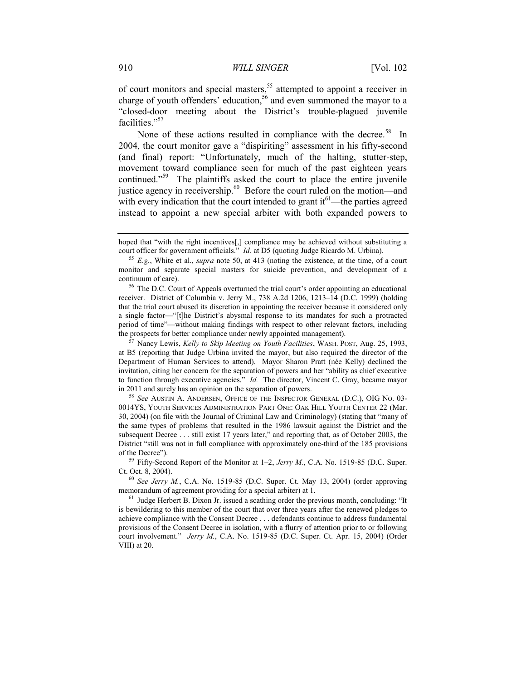of court monitors and special masters,<sup>55</sup> attempted to appoint a receiver in charge of youth offenders' education,<sup>56</sup> and even summoned the mayor to a "closed-door meeting about the District's trouble-plagued juvenile facilities."<sup>57</sup>

<span id="page-10-2"></span><span id="page-10-1"></span><span id="page-10-0"></span>None of these actions resulted in compliance with the decree.<sup>58</sup> In 2004, the court monitor gave a "dispiriting" assessment in his fifty-second (and final) report: "Unfortunately, much of the halting, stutter-step, movement toward compliance seen for much of the past eighteen years continued."<sup>59</sup> The plaintiffs asked the court to place the entire juvenile justice agency in receivership.<sup>60</sup> Before the court ruled on the motion—and with every indication that the court intended to grant  $it^{61}$ —the parties agreed instead to appoint a new special arbiter with both expanded powers to

hoped that "with the right incentives[,] compliance may be achieved without substituting a court officer for government officials." *Id.* at D5 (quoting Judge Ricardo M. Urbina).

<sup>55</sup> *E.g.*, White et al., *supra* note [50,](#page-9-0) at 413 (noting the existence, at the time, of a court monitor and separate special masters for suicide prevention, and development of a continuum of care).

<sup>&</sup>lt;sup>56</sup> The D.C. Court of Appeals overturned the trial court's order appointing an educational receiver. District of Columbia v. Jerry M., 738 A.2d 1206, 1213–14 (D.C. 1999) (holding that the trial court abused its discretion in appointing the receiver because it considered only a single factor—"[t]he District's abysmal response to its mandates for such a protracted period of time"—without making findings with respect to other relevant factors, including the prospects for better compliance under newly appointed management).

<sup>57</sup> Nancy Lewis, *Kelly to Skip Meeting on Youth Facilities*, WASH. POST, Aug. 25, 1993, at B5 (reporting that Judge Urbina invited the mayor, but also required the director of the Department of Human Services to attend). Mayor Sharon Pratt (née Kelly) declined the invitation, citing her concern for the separation of powers and her "ability as chief executive to function through executive agencies." *Id.* The director, Vincent C. Gray, became mayor in 2011 and surely has an opinion on the separation of powers.

<sup>58</sup> *See* AUSTIN A. ANDERSEN, OFFICE OF THE INSPECTOR GENERAL (D.C.), OIG NO. 03- 0014YS, YOUTH SERVICES ADMINISTRATION PART ONE: OAK HILL YOUTH CENTER 22 (Mar. 30, 2004) (on file with the Journal of Criminal Law and Criminology) (stating that "many of the same types of problems that resulted in the 1986 lawsuit against the District and the subsequent Decree . . . still exist 17 years later," and reporting that, as of October 2003, the District "still was not in full compliance with approximately one-third of the 185 provisions of the Decree").

<sup>59</sup> Fifty-Second Report of the Monitor at 1–2, *Jerry M.*, C.A. No. 1519-85 (D.C. Super. Ct. Oct. 8, 2004).

<sup>60</sup> *See Jerry M.*, C.A. No. 1519-85 (D.C. Super. Ct. May 13, 2004) (order approving memorandum of agreement providing for a special arbiter) at 1.

<sup>&</sup>lt;sup>61</sup> Judge Herbert B. Dixon Jr. issued a scathing order the previous month, concluding: "It is bewildering to this member of the court that over three years after the renewed pledges to achieve compliance with the Consent Decree . . . defendants continue to address fundamental provisions of the Consent Decree in isolation, with a flurry of attention prior to or following court involvement." *Jerry M.*, C.A. No. 1519-85 (D.C. Super. Ct. Apr. 15, 2004) (Order VIII) at 20.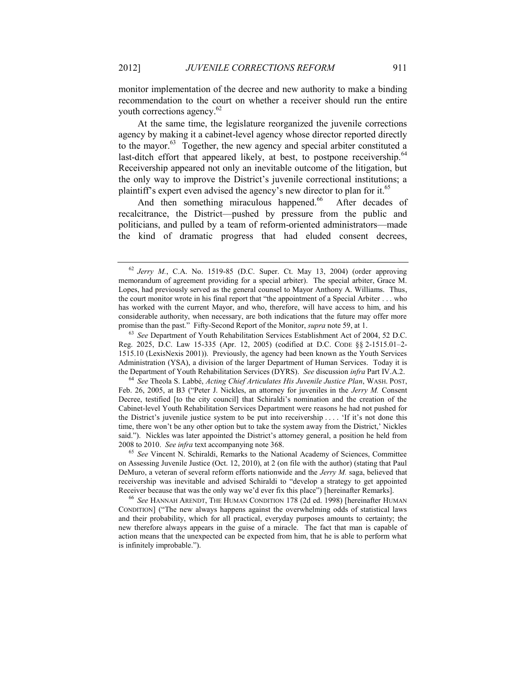monitor implementation of the decree and new authority to make a binding recommendation to the court on whether a receiver should run the entire youth corrections agency. 62

At the same time, the legislature reorganized the juvenile corrections agency by making it a cabinet-level agency whose director reported directly to the mayor.<sup>63</sup> Together, the new agency and special arbiter constituted a last-ditch effort that appeared likely, at best, to postpone receivership.<sup>64</sup> Receivership appeared not only an inevitable outcome of the litigation, but the only way to improve the District's juvenile correctional institutions; a plaintiff's expert even advised the agency's new director to plan for it.<sup>65</sup>

<span id="page-11-1"></span><span id="page-11-0"></span>And then something miraculous happened.<sup>66</sup> After decades of recalcitrance, the District—pushed by pressure from the public and politicians, and pulled by a team of reform-oriented administrators—made the kind of dramatic progress that had eluded consent decrees,

 $62$  *Jerry M.*, C.A. No. 1519-85 (D.C. Super. Ct. May 13, 2004) (order approving memorandum of agreement providing for a special arbiter). The special arbiter, Grace M. Lopes, had previously served as the general counsel to Mayor Anthony A. Williams. Thus, the court monitor wrote in his final report that "the appointment of a Special Arbiter . . . who has worked with the current Mayor, and who, therefore, will have access to him, and his considerable authority, when necessary, are both indications that the future may offer more promise than the past." Fifty-Second Report of the Monitor, *supra* note [59,](#page-10-0) at 1.

<sup>63</sup> *See* Department of Youth Rehabilitation Services Establishment Act of 2004, 52 D.C. Reg. 2025, D.C. Law 15-335 (Apr. 12, 2005) (codified at D.C. CODE §§ 2-1515.01–2- 1515.10 (LexisNexis 2001)). Previously, the agency had been known as the Youth Services Administration (YSA), a division of the larger Department of Human Services. Today it is the Department of Youth Rehabilitation Services (DYRS). *See* discussion *infra* Part [IV.A.2.](#page-28-0)

<sup>64</sup> *See* Theola S. Labbé, *Acting Chief Articulates His Juvenile Justice Plan*, WASH. POST, Feb. 26, 2005, at B3 ("Peter J. Nickles, an attorney for juveniles in the *Jerry M.* Consent Decree, testified [to the city council] that Schiraldi's nomination and the creation of the Cabinet-level Youth Rehabilitation Services Department were reasons he had not pushed for the District's juvenile justice system to be put into receivership . . . . 'If it's not done this time, there won't be any other option but to take the system away from the District,' Nickles said."). Nickles was later appointed the District's attorney general, a position he held from 2008 to 2010. *See infra* text accompanying note [368.](#page-60-0)

<sup>65</sup> *See* Vincent N. Schiraldi, Remarks to the National Academy of Sciences, Committee on Assessing Juvenile Justice (Oct. 12, 2010), at 2 (on file with the author) (stating that Paul DeMuro, a veteran of several reform efforts nationwide and the *Jerry M.* saga, believed that receivership was inevitable and advised Schiraldi to "develop a strategy to get appointed Receiver because that was the only way we'd ever fix this place") [hereinafter Remarks].

<sup>66</sup> *See* HANNAH ARENDT, THE HUMAN CONDITION 178 (2d ed. 1998) [hereinafter HUMAN CONDITION] ("The new always happens against the overwhelming odds of statistical laws and their probability, which for all practical, everyday purposes amounts to certainty; the new therefore always appears in the guise of a miracle. The fact that man is capable of action means that the unexpected can be expected from him, that he is able to perform what is infinitely improbable.").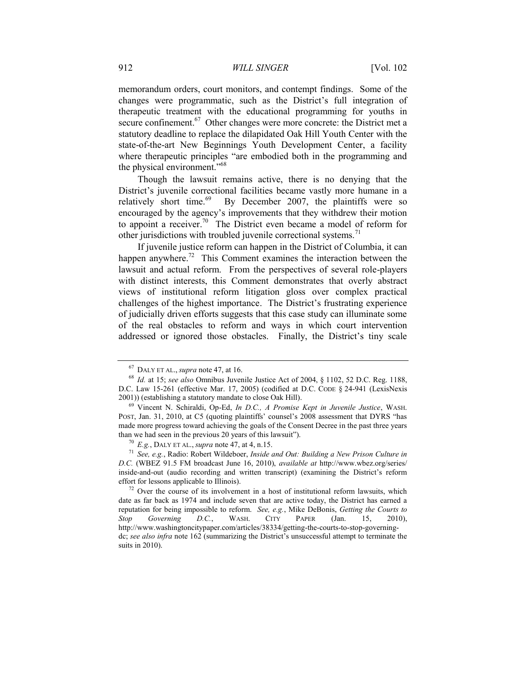memorandum orders, court monitors, and contempt findings. Some of the changes were programmatic, such as the District's full integration of therapeutic treatment with the educational programming for youths in secure confinement.<sup>67</sup> Other changes were more concrete: the District met a statutory deadline to replace the dilapidated Oak Hill Youth Center with the state-of-the-art New Beginnings Youth Development Center, a facility where therapeutic principles "are embodied both in the programming and the physical environment."<sup>68</sup>

Though the lawsuit remains active, there is no denying that the District's juvenile correctional facilities became vastly more humane in a relatively short time.<sup>69</sup> By December 2007, the plaintiffs were so encouraged by the agency's improvements that they withdrew their motion to appoint a receiver.<sup>70</sup> The District even became a model of reform for other jurisdictions with troubled juvenile correctional systems.<sup>7</sup>

<span id="page-12-1"></span><span id="page-12-0"></span>If juvenile justice reform can happen in the District of Columbia, it can happen anywhere.<sup>72</sup> This Comment examines the interaction between the lawsuit and actual reform. From the perspectives of several role-players with distinct interests, this Comment demonstrates that overly abstract views of institutional reform litigation gloss over complex practical challenges of the highest importance. The District's frustrating experience of judicially driven efforts suggests that this case study can illuminate some of the real obstacles to reform and ways in which court intervention addressed or ignored those obstacles. Finally, the District's tiny scale

<sup>67</sup> DALY ET AL., *supra* note [47,](#page-8-0) at 16.

<sup>68</sup> *Id.* at 15; *see also* Omnibus Juvenile Justice Act of 2004, § 1102, 52 D.C. Reg. 1188, D.C. Law 15-261 (effective Mar. 17, 2005) (codified at D.C. CODE § 24-941 (LexisNexis 2001)) (establishing a statutory mandate to close Oak Hill).

<sup>69</sup> Vincent N. Schiraldi, Op-Ed, *In D.C., A Promise Kept in Juvenile Justice*, WASH. POST, Jan. 31, 2010, at C5 (quoting plaintiffs' counsel's 2008 assessment that DYRS "has made more progress toward achieving the goals of the Consent Decree in the past three years than we had seen in the previous 20 years of this lawsuit").

<sup>70</sup> *E.g.*, DALY ET AL., *supra* note [47,](#page-8-0) at 4, n.15.

<sup>71</sup> *See, e.g.*, Radio: Robert Wildeboer, *Inside and Out: Building a New Prison Culture in D.C.* (WBEZ 91.5 FM broadcast June 16, 2010), *available at* http://www.wbez.org/series/ inside-and-out (audio recording and written transcript) (examining the District's reform effort for lessons applicable to Illinois).

 $72$  Over the course of its involvement in a host of institutional reform lawsuits, which date as far back as 1974 and include seven that are active today, the District has earned a reputation for being impossible to reform. *See, e.g.*, Mike DeBonis, *Getting the Courts to Stop Governing D.C.*, WASH. CITY PAPER (Jan. 15, 2010), http://www.washingtoncitypaper.com/articles/38334/getting-the-courts-to-stop-governingdc; *see also infra* note [162](#page-26-0) (summarizing the District's unsuccessful attempt to terminate the suits in 2010).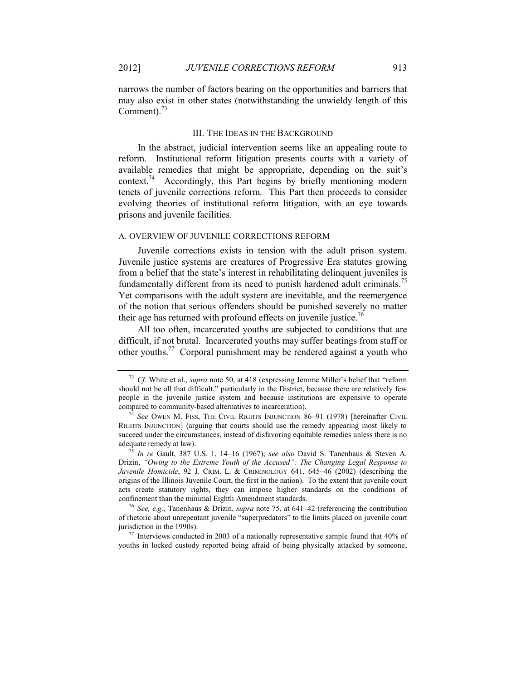narrows the number of factors bearing on the opportunities and barriers that may also exist in other states (notwithstanding the unwieldy length of this Comment).<sup>73</sup>

#### <span id="page-13-1"></span>III. THE IDEAS IN THE BACKGROUND

<span id="page-13-3"></span><span id="page-13-0"></span>In the abstract, judicial intervention seems like an appealing route to reform. Institutional reform litigation presents courts with a variety of available remedies that might be appropriate, depending on the suit's context.<sup>74</sup> Accordingly, this Part begins by briefly mentioning modern tenets of juvenile corrections reform. This Part then proceeds to consider evolving theories of institutional reform litigation, with an eye towards prisons and juvenile facilities.

#### A. OVERVIEW OF JUVENILE CORRECTIONS REFORM

Juvenile corrections exists in tension with the adult prison system. Juvenile justice systems are creatures of Progressive Era statutes growing from a belief that the state's interest in rehabilitating delinquent juveniles is fundamentally different from its need to punish hardened adult criminals.<sup>75</sup> Yet comparisons with the adult system are inevitable, and the reemergence of the notion that serious offenders should be punished severely no matter their age has returned with profound effects on juvenile justice.<sup>76</sup>

<span id="page-13-2"></span>All too often, incarcerated youths are subjected to conditions that are difficult, if not brutal. Incarcerated youths may suffer beatings from staff or other youths.<sup>77</sup> Corporal punishment may be rendered against a youth who

<sup>73</sup> *Cf.* White et al., *supra* note [50](#page-9-0), at 418 (expressing Jerome Miller's belief that "reform should not be all that difficult," particularly in the District, because there are relatively few people in the juvenile justice system and because institutions are expensive to operate compared to community-based alternatives to incarceration).

<sup>&</sup>lt;sup>74</sup> See OWEN M. FISS, THE CIVIL RIGHTS INJUNCTION 86–91 (1978) [hereinafter CIVIL RIGHTS INJUNCTION] (arguing that courts should use the remedy appearing most likely to succeed under the circumstances, instead of disfavoring equitable remedies unless there is no adequate remedy at law).

<sup>75</sup> *In re* Gault, 387 U.S. 1, 14–16 (1967); *see also* David S. Tanenhaus & Steven A. Drizin, *"Owing to the Extreme Youth of the Accused": The Changing Legal Response to Juvenile Homicide*, 92 J. CRIM. L. & CRIMINOLOGY 641, 645–46 (2002) (describing the origins of the Illinois Juvenile Court, the first in the nation). To the extent that juvenile court acts create statutory rights, they can impose higher standards on the conditions of confinement than the minimal Eighth Amendment standards.

<sup>76</sup> *See, e.g.*, Tanenhaus & Drizin, *supra* note [75,](#page-13-1) at 641–42 (referencing the contribution of rhetoric about unrepentant juvenile "superpredators" to the limits placed on juvenile court jurisdiction in the 1990s).

 $^{77}$  Interviews conducted in 2003 of a nationally representative sample found that 40% of youths in locked custody reported being afraid of being physically attacked by someone,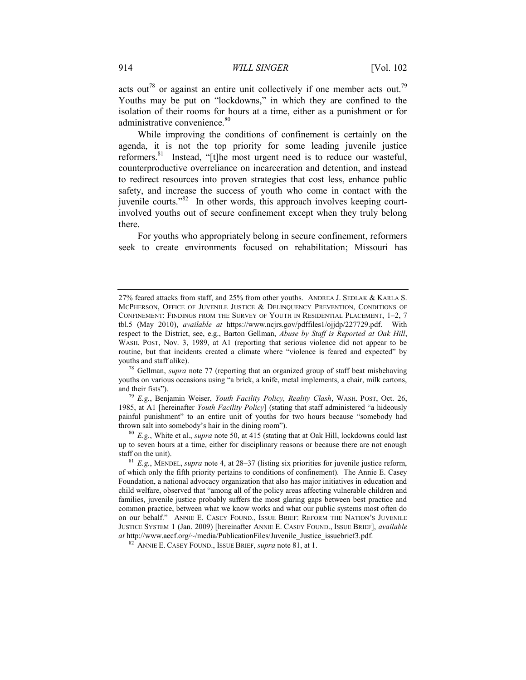<span id="page-14-1"></span>acts out<sup>78</sup> or against an entire unit collectively if one member acts out.<sup>79</sup> Youths may be put on "lockdowns," in which they are confined to the isolation of their rooms for hours at a time, either as a punishment or for administrative convenience.<sup>80</sup>

<span id="page-14-0"></span>While improving the conditions of confinement is certainly on the agenda, it is not the top priority for some leading juvenile justice reformers.<sup>81</sup> Instead, "[t]he most urgent need is to reduce our wasteful, counterproductive overreliance on incarceration and detention, and instead to redirect resources into proven strategies that cost less, enhance public safety, and increase the success of youth who come in contact with the juvenile courts."<sup>82</sup> In other words, this approach involves keeping courtinvolved youths out of secure confinement except when they truly belong there.

For youths who appropriately belong in secure confinement, reformers seek to create environments focused on rehabilitation; Missouri has

<sup>79</sup> *E.g.*, Benjamin Weiser, *Youth Facility Policy, Reality Clash*, WASH. POST, Oct. 26, 1985, at A1 [hereinafter *Youth Facility Policy*] (stating that staff administered "a hideously painful punishment" to an entire unit of youths for two hours because "somebody had thrown salt into somebody's hair in the dining room").

<sup>80</sup> *E.g.*, White et al., *supra* not[e 50,](#page-9-0) at 415 (stating that at Oak Hill, lockdowns could last up to seven hours at a time, either for disciplinary reasons or because there are not enough staff on the unit).

<sup>27%</sup> feared attacks from staff, and 25% from other youths. ANDREA J. SEDLAK & KARLA S. MCPHERSON, OFFICE OF JUVENILE JUSTICE & DELINQUENCY PREVENTION, CONDITIONS OF CONFINEMENT: FINDINGS FROM THE SURVEY OF YOUTH IN RESIDENTIAL PLACEMENT, 1–2, 7 tbl.5 (May 2010), *available at* https://www.ncjrs.gov/pdffiles1/ojjdp/227729.pdf. With respect to the District, see, e.g., Barton Gellman, *Abuse by Staff is Reported at Oak Hill*, WASH. POST, Nov. 3, 1989, at A1 (reporting that serious violence did not appear to be routine, but that incidents created a climate where "violence is feared and expected" by youths and staff alike).

<sup>78</sup> Gellman, *supra* note [77](#page-13-2) (reporting that an organized group of staff beat misbehaving youths on various occasions using "a brick, a knife, metal implements, a chair, milk cartons, and their fists").

<sup>81</sup> *E.g.*, MENDEL, *supra* note [4,](#page-2-1) at 28–37 (listing six priorities for juvenile justice reform, of which only the fifth priority pertains to conditions of confinement). The Annie E. Casey Foundation, a national advocacy organization that also has major initiatives in education and child welfare, observed that "among all of the policy areas affecting vulnerable children and families, juvenile justice probably suffers the most glaring gaps between best practice and common practice, between what we know works and what our public systems most often do on our behalf." ANNIE E. CASEY FOUND., ISSUE BRIEF: REFORM THE NATION'S JUVENILE JUSTICE SYSTEM 1 (Jan. 2009) [hereinafter ANNIE E. CASEY FOUND., ISSUE BRIEF], *available at* http://www.aecf.org/~/media/PublicationFiles/Juvenile\_Justice\_issuebrief3.pdf.

<sup>82</sup> ANNIE E. CASEY FOUND., ISSUE BRIEF, *supra* not[e 81,](#page-14-0) at 1.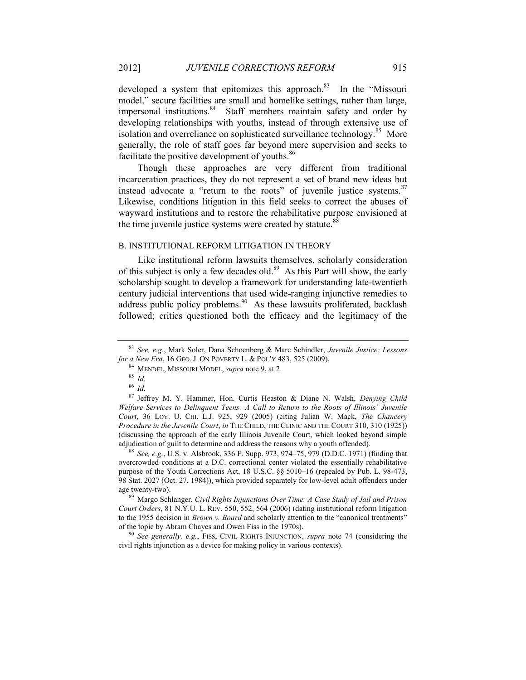developed a system that epitomizes this approach.<sup>83</sup> In the "Missouri model," secure facilities are small and homelike settings, rather than large, impersonal institutions.<sup>84</sup> Staff members maintain safety and order by developing relationships with youths, instead of through extensive use of isolation and overreliance on sophisticated surveillance technology.<sup>85</sup> More generally, the role of staff goes far beyond mere supervision and seeks to facilitate the positive development of youths.<sup>86</sup>

Though these approaches are very different from traditional incarceration practices, they do not represent a set of brand new ideas but instead advocate a "return to the roots" of juvenile justice systems. <sup>87</sup> Likewise, conditions litigation in this field seeks to correct the abuses of wayward institutions and to restore the rehabilitative purpose envisioned at the time juvenile justice systems were created by statute. $88$ 

#### B. INSTITUTIONAL REFORM LITIGATION IN THEORY

<span id="page-15-0"></span>Like institutional reform lawsuits themselves, scholarly consideration of this subject is only a few decades old.<sup>89</sup> As this Part will show, the early scholarship sought to develop a framework for understanding late-twentieth century judicial interventions that used wide-ranging injunctive remedies to address public policy problems. $90$  As these lawsuits proliferated, backlash followed; critics questioned both the efficacy and the legitimacy of the

<sup>87</sup> Jeffrey M. Y. Hammer, Hon. Curtis Heaston & Diane N. Walsh, *Denying Child Welfare Services to Delinquent Teens: A Call to Return to the Roots of Illinois' Juvenile Court*, 36 LOY. U. CHI. L.J. 925, 929 (2005) (citing Julian W. Mack, *The Chancery Procedure in the Juvenile Court*, *in* THE CHILD, THE CLINIC AND THE COURT 310, 310 (1925)) (discussing the approach of the early Illinois Juvenile Court, which looked beyond simple adjudication of guilt to determine and address the reasons why a youth offended).

<sup>88</sup> *See, e.g.*, U.S. v. Alsbrook, 336 F. Supp. 973, 974–75, 979 (D.D.C. 1971) (finding that overcrowded conditions at a D.C. correctional center violated the essentially rehabilitative purpose of the Youth Corrections Act, 18 U.S.C. §§ 5010–16 (repealed by Pub. L. 98-473, 98 Stat. 2027 (Oct. 27, 1984)), which provided separately for low-level adult offenders under age twenty-two).

<sup>89</sup> Margo Schlanger, *Civil Rights Injunctions Over Time: A Case Study of Jail and Prison Court Orders*, 81 N.Y.U. L. REV. 550, 552, 564 (2006) (dating institutional reform litigation to the 1955 decision in *Brown v. Board* and scholarly attention to the "canonical treatments" of the topic by Abram Chayes and Owen Fiss in the 1970s).

<sup>90</sup> *See generally, e.g.*, FISS, CIVIL RIGHTS INJUNCTION, *supra* note [74](#page-13-3) (considering the civil rights injunction as a device for making policy in various contexts).

<span id="page-15-2"></span><span id="page-15-1"></span>

<sup>83</sup> *See, e.g.*, Mark Soler, Dana Schoenberg & Marc Schindler, *Juvenile Justice: Lessons for a New Era*, 16 GEO. J. ON POVERTY L. & POL'Y 483, 525 (2009).

<sup>84</sup> MENDEL, MISSOURI MODEL, *supra* not[e 9,](#page-2-2) at 2.

<sup>85</sup> *Id.*

<sup>86</sup> *Id.*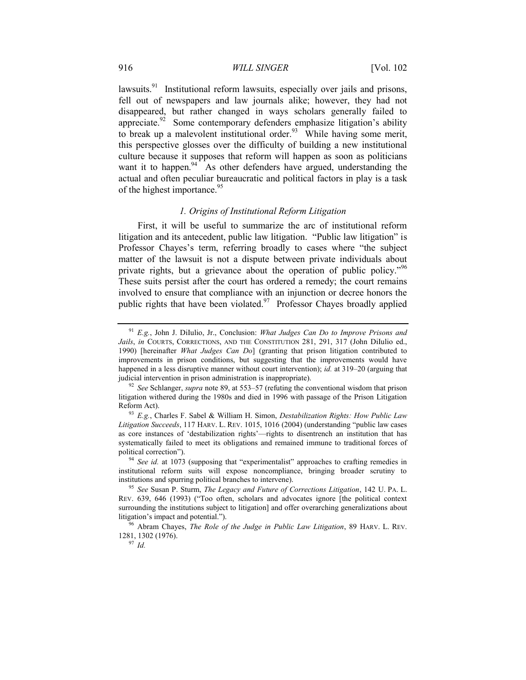<span id="page-16-3"></span>lawsuits.<sup>91</sup> Institutional reform lawsuits, especially over jails and prisons, fell out of newspapers and law journals alike; however, they had not disappeared, but rather changed in ways scholars generally failed to appreciate.<sup>92</sup> Some contemporary defenders emphasize litigation's ability to break up a malevolent institutional order.<sup>93</sup> While having some merit, this perspective glosses over the difficulty of building a new institutional culture because it supposes that reform will happen as soon as politicians want it to happen.<sup>94</sup> As other defenders have argued, understanding the actual and often peculiar bureaucratic and political factors in play is a task of the highest importance.<sup>95</sup>

#### <span id="page-16-2"></span><span id="page-16-1"></span><span id="page-16-0"></span>*1. Origins of Institutional Reform Litigation*

First, it will be useful to summarize the arc of institutional reform litigation and its antecedent, public law litigation. "Public law litigation" is Professor Chayes's term, referring broadly to cases where "the subject matter of the lawsuit is not a dispute between private individuals about private rights, but a grievance about the operation of public policy."<sup>96</sup> These suits persist after the court has ordered a remedy; the court remains involved to ensure that compliance with an injunction or decree honors the public rights that have been violated. $97$  Professor Chayes broadly applied

<sup>91</sup> *E.g.*, John J. DiIulio, Jr., Conclusion: *What Judges Can Do to Improve Prisons and*  Jails, in COURTS, CORRECTIONS, AND THE CONSTITUTION 281, 291, 317 (John DiIulio ed., 1990) [hereinafter *What Judges Can Do*] (granting that prison litigation contributed to improvements in prison conditions, but suggesting that the improvements would have happened in a less disruptive manner without court intervention); *id.* at 319–20 (arguing that judicial intervention in prison administration is inappropriate).

<sup>92</sup> *See* Schlanger, *supra* not[e 89,](#page-15-0) at 553–57 (refuting the conventional wisdom that prison litigation withered during the 1980s and died in 1996 with passage of the Prison Litigation Reform Act).

<sup>93</sup> *E.g.*, Charles F. Sabel & William H. Simon, *Destabilization Rights: How Public Law Litigation Succeeds*, 117 HARV. L. REV. 1015, 1016 (2004) (understanding "public law cases as core instances of 'destabilization rights'—rights to disentrench an institution that has systematically failed to meet its obligations and remained immune to traditional forces of political correction").

<sup>94</sup> *See id.* at 1073 (supposing that "experimentalist" approaches to crafting remedies in institutional reform suits will expose noncompliance, bringing broader scrutiny to institutions and spurring political branches to intervene).

<sup>95</sup> *See* Susan P. Sturm, *The Legacy and Future of Corrections Litigation*, 142 U. PA. L. REV. 639, 646 (1993) ("Too often, scholars and advocates ignore [the political context surrounding the institutions subject to litigation] and offer overarching generalizations about litigation's impact and potential.").

<sup>96</sup> Abram Chayes, *The Role of the Judge in Public Law Litigation*, 89 HARV. L. REV. 1281, 1302 (1976).

<sup>97</sup> *Id.*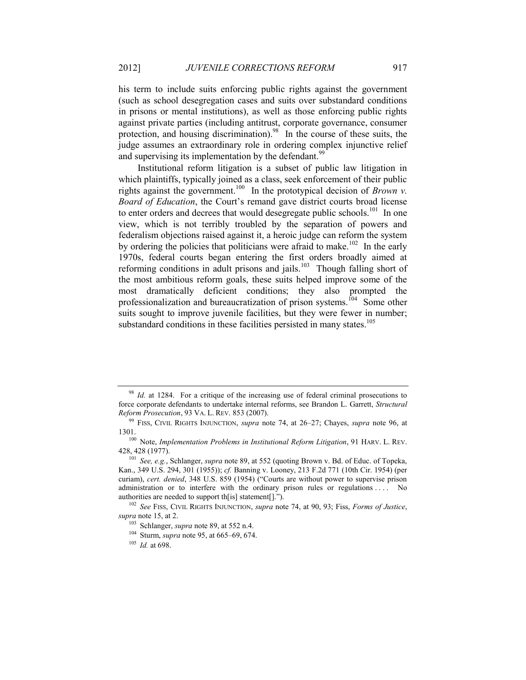his term to include suits enforcing public rights against the government (such as school desegregation cases and suits over substandard conditions in prisons or mental institutions), as well as those enforcing public rights against private parties (including antitrust, corporate governance, consumer protection, and housing discrimination).<sup>98</sup> In the course of these suits, the judge assumes an extraordinary role in ordering complex injunctive relief and supervising its implementation by the defendant.<sup>99</sup>

Institutional reform litigation is a subset of public law litigation in which plaintiffs, typically joined as a class, seek enforcement of their public rights against the government.<sup>100</sup> In the prototypical decision of *Brown v*. *Board of Education*, the Court's remand gave district courts broad license to enter orders and decrees that would desegregate public schools.<sup>101</sup> In one view, which is not terribly troubled by the separation of powers and federalism objections raised against it, a heroic judge can reform the system by ordering the policies that politicians were afraid to make.<sup>102</sup> In the early 1970s, federal courts began entering the first orders broadly aimed at reforming conditions in adult prisons and jails. $103$  Though falling short of the most ambitious reform goals, these suits helped improve some of the most dramatically deficient conditions; they also prompted the professionalization and bureaucratization of prison systems.<sup>104</sup> Some other suits sought to improve juvenile facilities, but they were fewer in number; substandard conditions in these facilities persisted in many states.<sup>105</sup>

<sup>&</sup>lt;sup>98</sup> *Id.* at 1284. For a critique of the increasing use of federal criminal prosecutions to force corporate defendants to undertake internal reforms, see Brandon L. Garrett, *Structural Reform Prosecution*, 93 VA. L. REV. 853 (2007).

<sup>99</sup> FISS, CIVIL RIGHTS INJUNCTION, *supra* note [74,](#page-13-3) at 26–27; Chayes, *supra* note [96,](#page-16-0) at 1301.

<sup>100</sup> Note, *Implementation Problems in Institutional Reform Litigation*, 91 HARV. L. REV. 428, 428 (1977).

<sup>101</sup> *See, e.g.*, Schlanger, *supra* note [89,](#page-15-0) at 552 (quoting Brown v. Bd. of Educ. of Topeka, Kan., 349 U.S. 294, 301 (1955)); *cf.* Banning v. Looney, 213 F.2d 771 (10th Cir. 1954) (per curiam), *cert. denied*, 348 U.S. 859 (1954) ("Courts are without power to supervise prison administration or to interfere with the ordinary prison rules or regulations . . . . No authorities are needed to support th[is] statement[].").

<sup>102</sup> *See* FISS, CIVIL RIGHTS INJUNCTION, *supra* note [74,](#page-13-3) at 90, 93; Fiss, *Forms of Justice*, *supra* not[e 15,](#page-4-1) at 2.

<sup>103</sup> Schlanger, *supra* note [89,](#page-15-0) at 552 n.4.

<sup>104</sup> Sturm, *supra* note [95,](#page-16-1) at 665–69, 674.

<sup>105</sup> *Id.* at 698.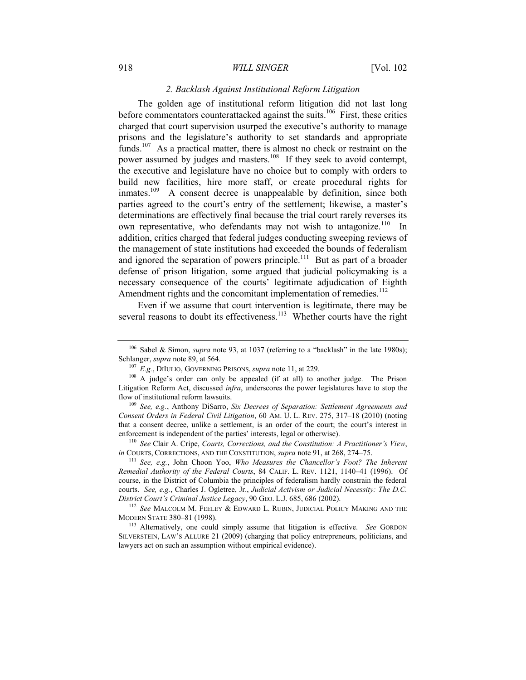#### 918 *WILL SINGER* [Vol. 102

#### <span id="page-18-0"></span>*2. Backlash Against Institutional Reform Litigation*

The golden age of institutional reform litigation did not last long before commentators counterattacked against the suits.<sup>106</sup> First, these critics charged that court supervision usurped the executive's authority to manage prisons and the legislature's authority to set standards and appropriate funds.<sup>107</sup> As a practical matter, there is almost no check or restraint on the power assumed by judges and masters.<sup>108</sup> If they seek to avoid contempt, the executive and legislature have no choice but to comply with orders to build new facilities, hire more staff, or create procedural rights for inmates.<sup>109</sup> A consent decree is unappealable by definition, since both parties agreed to the court's entry of the settlement; likewise, a master's determinations are effectively final because the trial court rarely reverses its own representative, who defendants may not wish to antagonize.<sup>110</sup> In addition, critics charged that federal judges conducting sweeping reviews of the management of state institutions had exceeded the bounds of federalism and ignored the separation of powers principle.<sup>111</sup> But as part of a broader defense of prison litigation, some argued that judicial policymaking is a necessary consequence of the courts' legitimate adjudication of Eighth Amendment rights and the concomitant implementation of remedies.<sup>112</sup>

<span id="page-18-1"></span>Even if we assume that court intervention is legitimate, there may be several reasons to doubt its effectiveness.<sup>113</sup> Whether courts have the right

<sup>110</sup> *See* Clair A. Cripe, *Courts, Corrections, and the Constitution: A Practitioner's View*, *in* COURTS, CORRECTIONS, AND THE CONSTITUTION, *supra* note [91,](#page-16-3) at 268, 274–75.

<sup>111</sup> *See, e.g.*, John Choon Yoo, *Who Measures the Chancellor's Foot? The Inherent Remedial Authority of the Federal Courts*, 84 CALIF. L. REV. 1121, 1140–41 (1996). Of course, in the District of Columbia the principles of federalism hardly constrain the federal courts. *See, e.g.*, Charles J. Ogletree, Jr., *Judicial Activism or Judicial Necessity: The D.C. District Court's Criminal Justice Legacy*, 90 GEO. L.J. 685, 686 (2002).

<sup>112</sup> See MALCOLM M. FEELEY & EDWARD L. RUBIN, JUDICIAL POLICY MAKING AND THE MODERN STATE 380–81 (1998).

<sup>&</sup>lt;sup>106</sup> Sabel & Simon, *supra* note [93](#page-16-2), at 1037 (referring to a "backlash" in the late 1980s); Schlanger, *supra* note [89,](#page-15-0) at 564.

<span id="page-18-2"></span><sup>107</sup> *E.g.*, DIIULIO, GOVERNING PRISONS, *supra* not[e 11,](#page-3-1) at 229.

<sup>&</sup>lt;sup>108</sup> A judge's order can only be appealed (if at all) to another judge. The Prison Litigation Reform Act, discussed *infra*, underscores the power legislatures have to stop the flow of institutional reform lawsuits.

<sup>109</sup> *See, e.g.*, Anthony DiSarro, *Six Decrees of Separation: Settlement Agreements and Consent Orders in Federal Civil Litigation*, 60 AM. U. L. REV. 275, 317–18 (2010) (noting that a consent decree, unlike a settlement, is an order of the court; the court's interest in enforcement is independent of the parties' interests, legal or otherwise).

<sup>113</sup> Alternatively, one could simply assume that litigation is effective. *See* GORDON SILVERSTEIN, LAW'S ALLURE 21 (2009) (charging that policy entrepreneurs, politicians, and lawyers act on such an assumption without empirical evidence).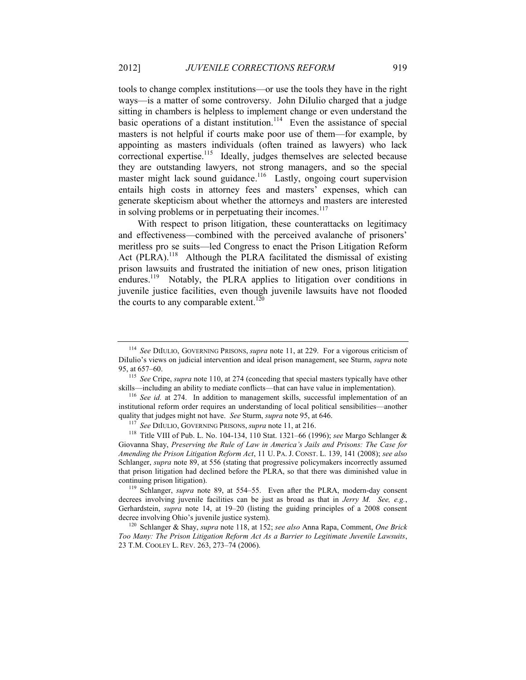tools to change complex institutions—or use the tools they have in the right ways—is a matter of some controversy. John DiIulio charged that a judge sitting in chambers is helpless to implement change or even understand the basic operations of a distant institution.<sup>114</sup> Even the assistance of special masters is not helpful if courts make poor use of them—for example, by appointing as masters individuals (often trained as lawyers) who lack correctional expertise.<sup>115</sup> Ideally, judges themselves are selected because they are outstanding lawyers, not strong managers, and so the special master might lack sound guidance.<sup>116</sup> Lastly, ongoing court supervision entails high costs in attorney fees and masters' expenses, which can generate skepticism about whether the attorneys and masters are interested in solving problems or in perpetuating their incomes.<sup>117</sup>

<span id="page-19-0"></span>With respect to prison litigation, these counterattacks on legitimacy and effectiveness—combined with the perceived avalanche of prisoners' meritless pro se suits—led Congress to enact the Prison Litigation Reform Act  $(PLRA)$ .<sup>118</sup> Although the PLRA facilitated the dismissal of existing prison lawsuits and frustrated the initiation of new ones, prison litigation endures.<sup>119</sup> Notably, the PLRA applies to litigation over conditions in juvenile justice facilities, even though juvenile lawsuits have not flooded the courts to any comparable extent.<sup>120</sup>

<span id="page-19-1"></span><sup>114</sup> *See* DIIULIO, GOVERNING PRISONS, *supra* note [11,](#page-3-1) at 229. For a vigorous criticism of DiIulio's views on judicial intervention and ideal prison management, see Sturm, *supra* note [95,](#page-16-1) at 657–60.

<sup>115</sup> *See* Cripe, *supra* not[e 110,](#page-18-0) at 274 (conceding that special masters typically have other skills—including an ability to mediate conflicts—that can have value in implementation).

<sup>116</sup> *See id.* at 274. In addition to management skills, successful implementation of an institutional reform order requires an understanding of local political sensibilities—another quality that judges might not have. *See* Sturm, *supra* not[e 95,](#page-16-1) at 646.

<sup>117</sup> *See* DIIULIO, GOVERNING PRISONS, *supra* note [11,](#page-3-1) at 216.

<sup>118</sup> Title VIII of Pub. L. No. 104-134, 110 Stat. 1321–66 (1996); *see* Margo Schlanger & Giovanna Shay, *Preserving the Rule of Law in America's Jails and Prisons: The Case for Amending the Prison Litigation Reform Act*, 11 U. PA. J. CONST. L. 139, 141 (2008); *see also* Schlanger, *supra* note [89,](#page-15-0) at 556 (stating that progressive policymakers incorrectly assumed that prison litigation had declined before the PLRA, so that there was diminished value in continuing prison litigation).

<sup>119</sup> Schlanger, *supra* note [89,](#page-15-0) at 554–55. Even after the PLRA, modern-day consent decrees involving juvenile facilities can be just as broad as that in *Jerry M. See, e.g.*, Gerhardstein, *supra* note [14,](#page-3-2) at 19–20 (listing the guiding principles of a 2008 consent decree involving Ohio's juvenile justice system).

<sup>120</sup> Schlanger & Shay, *supra* not[e 118,](#page-19-0) at 152; *see also* Anna Rapa, Comment, *One Brick Too Many: The Prison Litigation Reform Act As a Barrier to Legitimate Juvenile Lawsuits*, 23 T.M. COOLEY L. REV. 263, 273–74 (2006).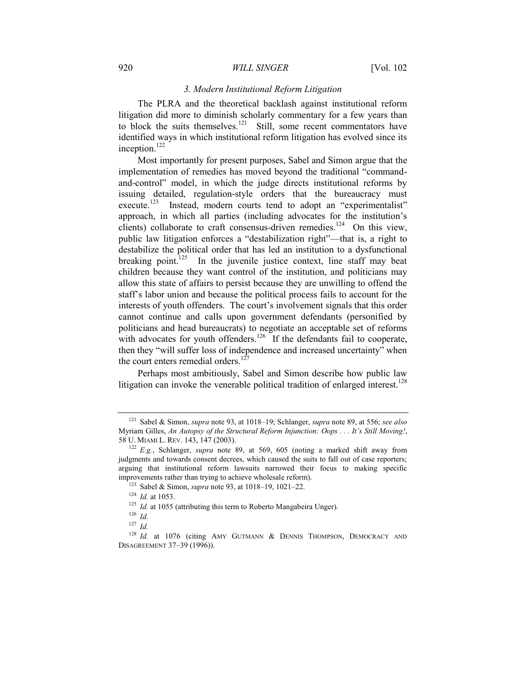#### 920 *WILL SINGER* [Vol. 102

# *3. Modern Institutional Reform Litigation*

The PLRA and the theoretical backlash against institutional reform litigation did more to diminish scholarly commentary for a few years than to block the suits themselves. $121$  Still, some recent commentators have identified ways in which institutional reform litigation has evolved since its inception.<sup>122</sup>

Most importantly for present purposes, Sabel and Simon argue that the implementation of remedies has moved beyond the traditional "commandand-control" model, in which the judge directs institutional reforms by issuing detailed, regulation-style orders that the bureaucracy must execute.<sup>123</sup> Instead, modern courts tend to adopt an "experimentalist" approach, in which all parties (including advocates for the institution's clients) collaborate to craft consensus-driven remedies.<sup>124</sup> On this view, public law litigation enforces a "destabilization right"—that is, a right to destabilize the political order that has led an institution to a dysfunctional breaking point.<sup>125</sup> In the juvenile justice context, line staff may beat children because they want control of the institution, and politicians may allow this state of affairs to persist because they are unwilling to offend the staff's labor union and because the political process fails to account for the interests of youth offenders. The court's involvement signals that this order cannot continue and calls upon government defendants (personified by politicians and head bureaucrats) to negotiate an acceptable set of reforms with advocates for youth offenders.<sup>126</sup> If the defendants fail to cooperate, then they "will suffer loss of independence and increased uncertainty" when the court enters remedial orders.<sup>127</sup>

Perhaps most ambitiously, Sabel and Simon describe how public law litigation can invoke the venerable political tradition of enlarged interest.<sup>128</sup>

<sup>121</sup> Sabel & Simon, *supra* note [93,](#page-16-2) at 1018–19; Schlanger, *supra* note [89,](#page-15-0) at 556; *see also* Myriam Gilles, *An Autopsy of the Structural Reform Injunction: Oops . . . It's Still Moving!*, 58 U. MIAMI L. REV. 143, 147 (2003).

<sup>122</sup> *E.g.*, Schlanger, *supra* note [89,](#page-15-0) at 569, 605 (noting a marked shift away from judgments and towards consent decrees, which caused the suits to fall out of case reporters; arguing that institutional reform lawsuits narrowed their focus to making specific improvements rather than trying to achieve wholesale reform).

<sup>123</sup> Sabel & Simon, *supra* note [93,](#page-16-2) at 1018–19, 1021–22.

<sup>124</sup> *Id.* at 1053.

<sup>&</sup>lt;sup>125</sup> *Id.* at 1055 (attributing this term to Roberto Mangabeira Unger).

<sup>126</sup> *Id.*

<sup>127</sup> *Id.*

<sup>&</sup>lt;sup>128</sup> Id. at 1076 (citing AMY GUTMANN & DENNIS THOMPSON, DEMOCRACY AND DISAGREEMENT 37–39 (1996)).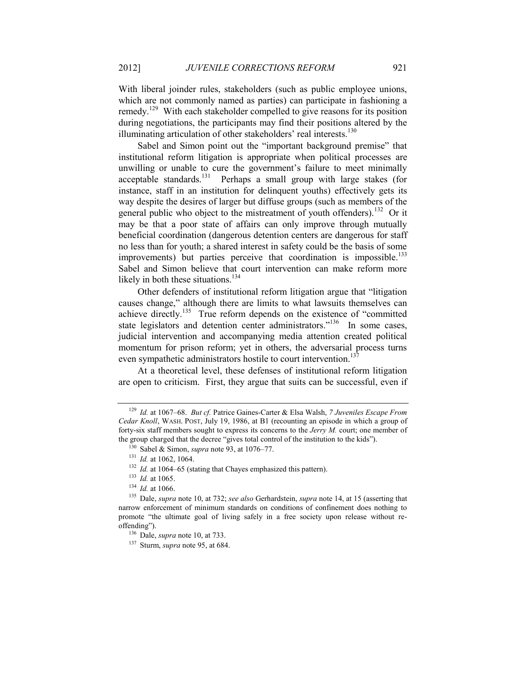With liberal joinder rules, stakeholders (such as public employee unions, which are not commonly named as parties) can participate in fashioning a remedy.<sup>129</sup> With each stakeholder compelled to give reasons for its position during negotiations, the participants may find their positions altered by the illuminating articulation of other stakeholders' real interests.<sup>130</sup>

Sabel and Simon point out the "important background premise" that institutional reform litigation is appropriate when political processes are unwilling or unable to cure the government's failure to meet minimally acceptable standards.<sup>131</sup> Perhaps a small group with large stakes (for instance, staff in an institution for delinquent youths) effectively gets its way despite the desires of larger but diffuse groups (such as members of the general public who object to the mistreatment of youth offenders).<sup>132</sup> Or it may be that a poor state of affairs can only improve through mutually beneficial coordination (dangerous detention centers are dangerous for staff no less than for youth; a shared interest in safety could be the basis of some improvements) but parties perceive that coordination is impossible.<sup>133</sup> Sabel and Simon believe that court intervention can make reform more likely in both these situations. $134$ 

Other defenders of institutional reform litigation argue that "litigation causes change," although there are limits to what lawsuits themselves can achieve directly.<sup>135</sup> True reform depends on the existence of "committed" state legislators and detention center administrators."<sup>136</sup> In some cases, judicial intervention and accompanying media attention created political momentum for prison reform; yet in others, the adversarial process turns even sympathetic administrators hostile to court intervention.<sup>1</sup>

At a theoretical level, these defenses of institutional reform litigation are open to criticism. First, they argue that suits can be successful, even if

<sup>129</sup> *Id.* at 1067–68. *But cf.* Patrice Gaines-Carter & Elsa Walsh, *7 Juveniles Escape From Cedar Knoll*, WASH. POST, July 19, 1986, at B1 (recounting an episode in which a group of forty-six staff members sought to express its concerns to the *Jerry M.* court; one member of the group charged that the decree "gives total control of the institution to the kids").

<sup>130</sup> Sabel & Simon, *supra* note [93,](#page-16-2) at 1076–77.

<sup>131</sup> *Id.* at 1062, 1064.

<sup>&</sup>lt;sup>132</sup> *Id.* at 1064–65 (stating that Chayes emphasized this pattern).

<sup>133</sup> *Id.* at 1065.

<sup>134</sup> *Id.* at 1066.

<sup>135</sup> Dale, *supra* not[e 10,](#page-3-0) at 732; *see also* Gerhardstein, *supra* not[e 14,](#page-3-2) at 15 (asserting that narrow enforcement of minimum standards on conditions of confinement does nothing to promote "the ultimate goal of living safely in a free society upon release without reoffending").

<sup>136</sup> Dale, *supra* note [10,](#page-3-0) at 733.

<sup>137</sup> Sturm, *supra* note [95,](#page-16-1) at 684.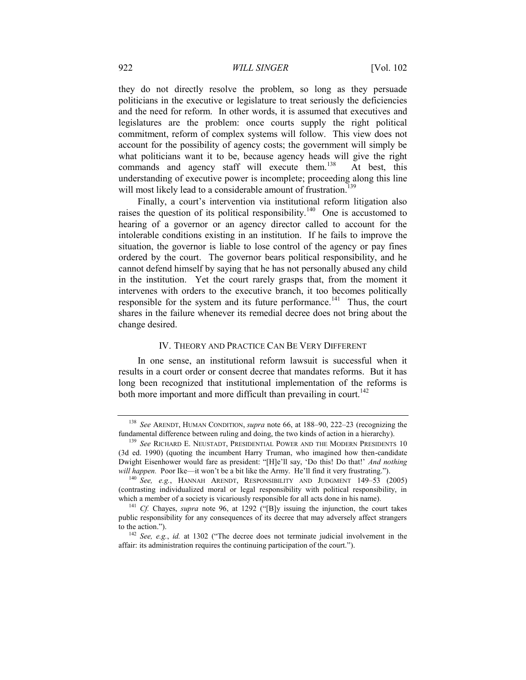they do not directly resolve the problem, so long as they persuade politicians in the executive or legislature to treat seriously the deficiencies and the need for reform. In other words, it is assumed that executives and legislatures are the problem: once courts supply the right political commitment, reform of complex systems will follow. This view does not account for the possibility of agency costs; the government will simply be what politicians want it to be, because agency heads will give the right commands and agency staff will execute them.<sup>138</sup> At best, this understanding of executive power is incomplete; proceeding along this line will most likely lead to a considerable amount of frustration.<sup>139</sup>

<span id="page-22-1"></span>Finally, a court's intervention via institutional reform litigation also raises the question of its political responsibility.<sup>140</sup> One is accustomed to hearing of a governor or an agency director called to account for the intolerable conditions existing in an institution. If he fails to improve the situation, the governor is liable to lose control of the agency or pay fines ordered by the court. The governor bears political responsibility, and he cannot defend himself by saying that he has not personally abused any child in the institution. Yet the court rarely grasps that, from the moment it intervenes with orders to the executive branch, it too becomes politically responsible for the system and its future performance.<sup>141</sup> Thus, the court shares in the failure whenever its remedial decree does not bring about the change desired.

#### IV. THEORY AND PRACTICE CAN BE VERY DIFFERENT

<span id="page-22-0"></span>In one sense, an institutional reform lawsuit is successful when it results in a court order or consent decree that mandates reforms. But it has long been recognized that institutional implementation of the reforms is both more important and more difficult than prevailing in court.<sup>142</sup>

<sup>138</sup> *See* ARENDT, HUMAN CONDITION, *supra* note [66,](#page-11-0) at 188–90, 222–23 (recognizing the fundamental difference between ruling and doing, the two kinds of action in a hierarchy).

<sup>139</sup> *See* RICHARD E. NEUSTADT, PRESIDENTIAL POWER AND THE MODERN PRESIDENTS 10 (3d ed. 1990) (quoting the incumbent Harry Truman, who imagined how then-candidate Dwight Eisenhower would fare as president: "[H]e'll say, 'Do this! Do that!' *And nothing will happen.* Poor Ike—it won't be a bit like the Army. He'll find it very frustrating.").

<sup>140</sup> *See, e.g.*, HANNAH ARENDT, RESPONSIBILITY AND JUDGMENT 149–53 (2005) (contrasting individualized moral or legal responsibility with political responsibility, in which a member of a society is vicariously responsible for all acts done in his name).

<sup>141</sup> *Cf.* Chayes, *supra* note [96](#page-16-0), at 1292 ("[B]y issuing the injunction, the court takes public responsibility for any consequences of its decree that may adversely affect strangers to the action.").

<sup>142</sup> *See, e.g.*, *id.* at 1302 ("The decree does not terminate judicial involvement in the affair: its administration requires the continuing participation of the court.").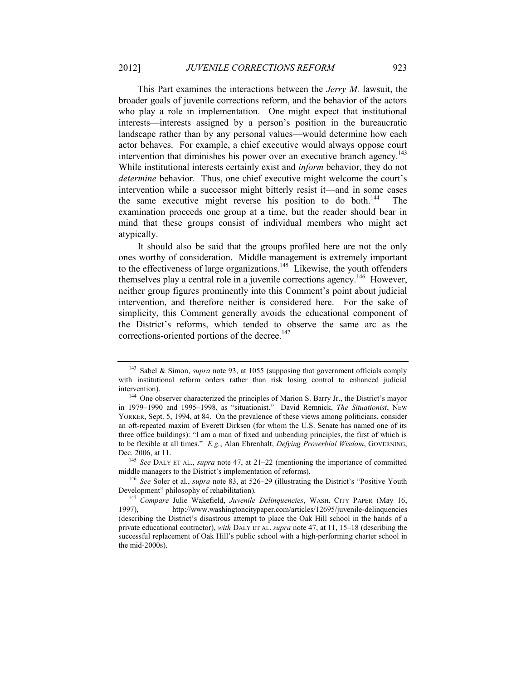This Part examines the interactions between the *Jerry M.* lawsuit, the broader goals of juvenile corrections reform, and the behavior of the actors who play a role in implementation. One might expect that institutional interests—interests assigned by a person's position in the bureaucratic landscape rather than by any personal values—would determine how each actor behaves. For example, a chief executive would always oppose court intervention that diminishes his power over an executive branch agency.<sup>143</sup> While institutional interests certainly exist and *inform* behavior, they do not *determine* behavior. Thus, one chief executive might welcome the court's intervention while a successor might bitterly resist it—and in some cases the same executive might reverse his position to do both.<sup>144</sup> The examination proceeds one group at a time, but the reader should bear in mind that these groups consist of individual members who might act atypically.

It should also be said that the groups profiled here are not the only ones worthy of consideration. Middle management is extremely important to the effectiveness of large organizations.<sup>145</sup> Likewise, the youth offenders themselves play a central role in a juvenile corrections agency.<sup>146</sup> However, neither group figures prominently into this Comment's point about judicial intervention, and therefore neither is considered here. For the sake of simplicity, this Comment generally avoids the educational component of the District's reforms, which tended to observe the same arc as the corrections-oriented portions of the decree.<sup>147</sup>

<sup>143</sup> Sabel & Simon, *supra* note [93,](#page-16-2) at 1055 (supposing that government officials comply with institutional reform orders rather than risk losing control to enhanced judicial intervention).

<sup>&</sup>lt;sup>144</sup> One observer characterized the principles of Marion S. Barry Jr., the District's mayor in 1979–1990 and 1995–1998, as "situationist." David Remnick, *The Situationist*, NEW YORKER, Sept. 5, 1994, at 84. On the prevalence of these views among politicians, consider an oft-repeated maxim of Everett Dirksen (for whom the U.S. Senate has named one of its three office buildings): "I am a man of fixed and unbending principles, the first of which is to be flexible at all times." *E.g.*, Alan Ehrenhalt, *Defying Proverbial Wisdom*, GOVERNING, Dec. 2006, at 11.

<sup>145</sup> *See* DALY ET AL., *supra* note [47,](#page-8-0) at 21–22 (mentioning the importance of committed middle managers to the District's implementation of reforms).

<sup>146</sup> *See* Soler et al., *supra* note [83,](#page-15-1) at 526–29 (illustrating the District's "Positive Youth Development" philosophy of rehabilitation).

<sup>147</sup> *Compare* Julie Wakefield, *Juvenile Delinquencies*, WASH. CITY PAPER (May 16, 1997), http://www.washingtoncitypaper.com/articles/12695/juvenile-delinquencies (describing the District's disastrous attempt to place the Oak Hill school in the hands of a private educational contractor), *with* DALY ET AL. *supra* note [47,](#page-8-0) at 11, 15–18 (describing the successful replacement of Oak Hill's public school with a high-performing charter school in the mid-2000s).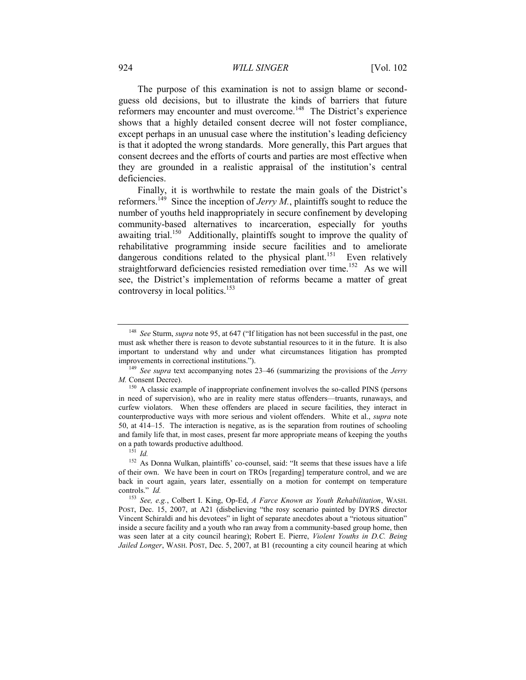#### 924 *WILL SINGER* [Vol. 102

The purpose of this examination is not to assign blame or secondguess old decisions, but to illustrate the kinds of barriers that future reformers may encounter and must overcome.<sup>148</sup> The District's experience shows that a highly detailed consent decree will not foster compliance, except perhaps in an unusual case where the institution's leading deficiency is that it adopted the wrong standards. More generally, this Part argues that consent decrees and the efforts of courts and parties are most effective when they are grounded in a realistic appraisal of the institution's central deficiencies.

Finally, it is worthwhile to restate the main goals of the District's reformers.<sup>149</sup> Since the inception of *Jerry M*., plaintiffs sought to reduce the number of youths held inappropriately in secure confinement by developing community-based alternatives to incarceration, especially for youths awaiting trial.<sup>150</sup> Additionally, plaintiffs sought to improve the quality of rehabilitative programming inside secure facilities and to ameliorate dangerous conditions related to the physical plant.<sup>151</sup> Even relatively straightforward deficiencies resisted remediation over time.<sup>152</sup> As we will see, the District's implementation of reforms became a matter of great controversy in local politics.<sup>153</sup>

<span id="page-24-0"></span><sup>148</sup> *See* Sturm, *supra* note [95](#page-16-1), at 647 ("If litigation has not been successful in the past, one must ask whether there is reason to devote substantial resources to it in the future. It is also important to understand why and under what circumstances litigation has prompted improvements in correctional institutions.").

<sup>149</sup> *See supra* text accompanying notes [23](#page-5-2)–[46](#page-8-1) (summarizing the provisions of the *Jerry M.* Consent Decree).

<sup>&</sup>lt;sup>150</sup> A classic example of inappropriate confinement involves the so-called PINS (persons in need of supervision), who are in reality mere status offenders—truants, runaways, and curfew violators. When these offenders are placed in secure facilities, they interact in counterproductive ways with more serious and violent offenders. White et al., *supra* note [50,](#page-9-0) at 414–15. The interaction is negative, as is the separation from routines of schooling and family life that, in most cases, present far more appropriate means of keeping the youths on a path towards productive adulthood.

<sup>151</sup> *Id.*

<sup>&</sup>lt;sup>152</sup> As Donna Wulkan, plaintiffs' co-counsel, said: "It seems that these issues have a life of their own. We have been in court on TROs [regarding] temperature control, and we are back in court again, years later, essentially on a motion for contempt on temperature controls." *Id.*

<sup>153</sup> *See, e.g.*, Colbert I. King, Op-Ed, *A Farce Known as Youth Rehabilitation*, WASH. POST, Dec. 15, 2007, at A21 (disbelieving "the rosy scenario painted by DYRS director Vincent Schiraldi and his devotees" in light of separate anecdotes about a "riotous situation" inside a secure facility and a youth who ran away from a community-based group home, then was seen later at a city council hearing); Robert E. Pierre, *Violent Youths in D.C. Being Jailed Longer*, WASH. POST, Dec. 5, 2007, at B1 (recounting a city council hearing at which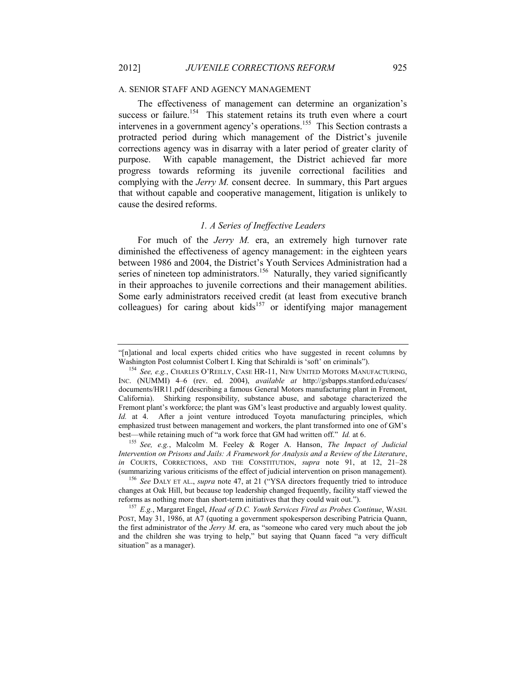#### A. SENIOR STAFF AND AGENCY MANAGEMENT

The effectiveness of management can determine an organization's success or failure.<sup>154</sup> This statement retains its truth even where a court intervenes in a government agency's operations.<sup>155</sup> This Section contrasts a protracted period during which management of the District's juvenile corrections agency was in disarray with a later period of greater clarity of purpose. With capable management, the District achieved far more progress towards reforming its juvenile correctional facilities and complying with the *Jerry M.* consent decree. In summary, this Part argues that without capable and cooperative management, litigation is unlikely to cause the desired reforms.

#### <span id="page-25-0"></span>*1. A Series of Ineffective Leaders*

<span id="page-25-1"></span>For much of the *Jerry M.* era, an extremely high turnover rate diminished the effectiveness of agency management: in the eighteen years between 1986 and 2004, the District's Youth Services Administration had a series of nineteen top administrators.<sup>156</sup> Naturally, they varied significantly in their approaches to juvenile corrections and their management abilities. Some early administrators received credit (at least from executive branch colleagues) for caring about kids<sup>157</sup> or identifying major management

<sup>&</sup>quot;[n]ational and local experts chided critics who have suggested in recent columns by Washington Post columnist Colbert I. King that Schiraldi is 'soft' on criminals").

<sup>154</sup> *See, e.g.*, CHARLES O'REILLY, CASE HR-11, NEW UNITED MOTORS MANUFACTURING, INC. (NUMMI) 4–6 (rev. ed. 2004), *available at* http://gsbapps.stanford.edu/cases/ documents/HR11.pdf (describing a famous General Motors manufacturing plant in Fremont, California). Shirking responsibility, substance abuse, and sabotage characterized the Fremont plant's workforce; the plant was GM's least productive and arguably lowest quality. *Id.* at 4. After a joint venture introduced Toyota manufacturing principles, which emphasized trust between management and workers, the plant transformed into one of GM's best—while retaining much of "a work force that GM had written off." *Id.* at 6.

<sup>155</sup> *See, e.g.*, Malcolm M. Feeley & Roger A. Hanson, *The Impact of Judicial Intervention on Prisons and Jails: A Framework for Analysis and a Review of the Literature*, *in* COURTS, CORRECTIONS, AND THE CONSTITUTION, *supra* note [91,](#page-16-3) at 12, 21–28 (summarizing various criticisms of the effect of judicial intervention on prison management).

<sup>156</sup> *See* DALY ET AL., *supra* note [47](#page-8-0), at 21 ("YSA directors frequently tried to introduce changes at Oak Hill, but because top leadership changed frequently, facility staff viewed the reforms as nothing more than short-term initiatives that they could wait out.").

<sup>157</sup> *E.g.*, Margaret Engel, *Head of D.C. Youth Services Fired as Probes Continue*, WASH. POST, May 31, 1986, at A7 (quoting a government spokesperson describing Patricia Quann, the first administrator of the *Jerry M.* era, as "someone who cared very much about the job and the children she was trying to help," but saying that Quann faced "a very difficult situation" as a manager).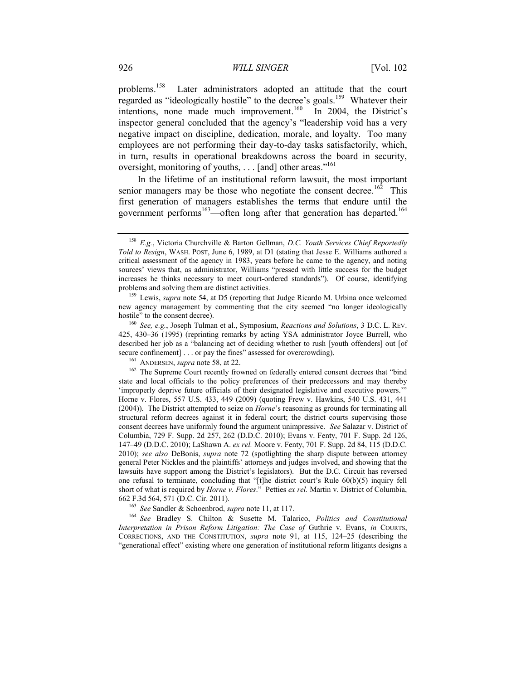<span id="page-26-1"></span>problems.<sup>158</sup> Later administrators adopted an attitude that the court regarded as "ideologically hostile" to the decree's goals.<sup>159</sup> Whatever their intentions, none made much improvement.<sup>160</sup> In 2004, the District's inspector general concluded that the agency's "leadership void has a very negative impact on discipline, dedication, morale, and loyalty. Too many employees are not performing their day-to-day tasks satisfactorily, which, in turn, results in operational breakdowns across the board in security, oversight, monitoring of youths, . . . [and] other areas."<sup>161</sup>

<span id="page-26-0"></span>In the lifetime of an institutional reform lawsuit, the most important senior managers may be those who negotiate the consent decree.<sup>162</sup> This first generation of managers establishes the terms that endure until the government performs<sup>163</sup>—often long after that generation has departed.<sup>164</sup>

<sup>161</sup> ANDERSEN, *supra* note [58,](#page-10-1) at 22.

<sup>163</sup> *See* Sandler & Schoenbrod, *supra* not[e 11,](#page-3-1) at 117.

<sup>164</sup> *See* Bradley S. Chilton & Susette M. Talarico, *Politics and Constitutional Interpretation in Prison Reform Litigation: The Case of* Guthrie v. Evans, *in* COURTS, CORRECTIONS, AND THE CONSTITUTION, *supra* note [91,](#page-16-3) at 115, 124–25 (describing the "generational effect" existing where one generation of institutional reform litigants designs a

<sup>158</sup> *E.g.*, Victoria Churchville & Barton Gellman, *D.C. Youth Services Chief Reportedly Told to Resign*, WASH. POST, June 6, 1989, at D1 (stating that Jesse E. Williams authored a critical assessment of the agency in 1983, years before he came to the agency, and noting sources' views that, as administrator, Williams "pressed with little success for the budget increases he thinks necessary to meet court-ordered standards"). Of course, identifying problems and solving them are distinct activities.

<sup>159</sup> Lewis, *supra* note [54,](#page-9-1) at D5 (reporting that Judge Ricardo M. Urbina once welcomed new agency management by commenting that the city seemed "no longer ideologically hostile" to the consent decree).

<sup>160</sup> *See, e.g.*, Joseph Tulman et al., Symposium, *Reactions and Solutions*, 3 D.C. L. REV. 425, 430–36 (1995) (reprinting remarks by acting YSA administrator Joyce Burrell, who described her job as a "balancing act of deciding whether to rush [youth offenders] out [of secure confinement] . . . or pay the fines" assessed for overcrowding).

<sup>&</sup>lt;sup>162</sup> The Supreme Court recently frowned on federally entered consent decrees that "bind state and local officials to the policy preferences of their predecessors and may thereby 'improperly deprive future officials of their designated legislative and executive powers.'" Horne v. Flores, 557 U.S. 433, 449 (2009) (quoting Frew v. Hawkins, 540 U.S. 431, 441 (2004)). The District attempted to seize on *Horne*'s reasoning as grounds for terminating all structural reform decrees against it in federal court; the district courts supervising those consent decrees have uniformly found the argument unimpressive. *See* Salazar v. District of Columbia, 729 F. Supp. 2d 257, 262 (D.D.C. 2010); Evans v. Fenty, 701 F. Supp. 2d 126, 147–49 (D.D.C. 2010); LaShawn A. *ex rel.* Moore v. Fenty, 701 F. Supp. 2d 84, 115 (D.D.C. 2010); *see also* DeBonis, *supra* note [72](#page-12-0) (spotlighting the sharp dispute between attorney general Peter Nickles and the plaintiffs' attorneys and judges involved, and showing that the lawsuits have support among the District's legislators). But the D.C. Circuit has reversed one refusal to terminate, concluding that "[t]he district court's Rule 60(b)(5) inquiry fell short of what is required by *Horne v. Flores*." Petties *ex rel.* Martin v. District of Columbia, 662 F.3d 564, 571 (D.C. Cir. 2011).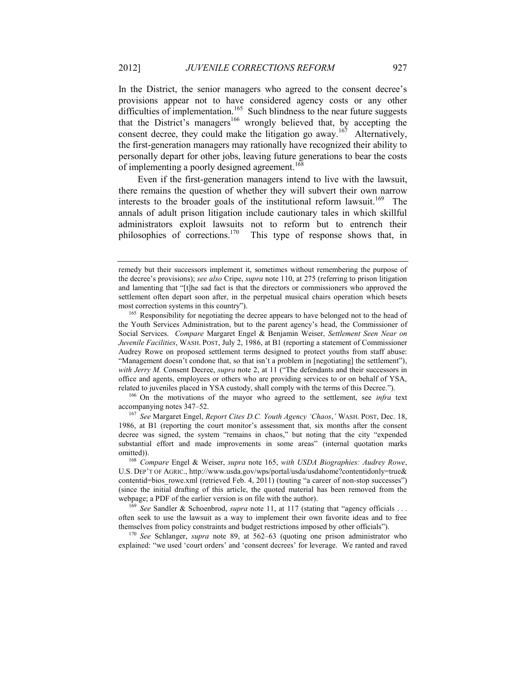<span id="page-27-0"></span>In the District, the senior managers who agreed to the consent decree's provisions appear not to have considered agency costs or any other difficulties of implementation.<sup>165</sup> Such blindness to the near future suggests that the District's managers<sup>166</sup> wrongly believed that, by accepting the consent decree, they could make the litigation go away.<sup>167</sup> Alternatively, the first-generation managers may rationally have recognized their ability to personally depart for other jobs, leaving future generations to bear the costs of implementing a poorly designed agreement.<sup>168</sup>

Even if the first-generation managers intend to live with the lawsuit, there remains the question of whether they will subvert their own narrow interests to the broader goals of the institutional reform lawsuit.<sup>169</sup> The annals of adult prison litigation include cautionary tales in which skillful administrators exploit lawsuits not to reform but to entrench their philosophies of corrections.<sup>170</sup> This type of response shows that, in

remedy but their successors implement it, sometimes without remembering the purpose of the decree's provisions); *see also* Cripe, *supra* not[e 110,](#page-18-0) at 275 (referring to prison litigation and lamenting that "[t]he sad fact is that the directors or commissioners who approved the settlement often depart soon after, in the perpetual musical chairs operation which besets most correction systems in this country").

<sup>&</sup>lt;sup>165</sup> Responsibility for negotiating the decree appears to have belonged not to the head of the Youth Services Administration, but to the parent agency's head, the Commissioner of Social Services. *Compare* Margaret Engel & Benjamin Weiser, *Settlement Seen Near on Juvenile Facilities*, WASH. POST, July 2, 1986, at B1 (reporting a statement of Commissioner Audrey Rowe on proposed settlement terms designed to protect youths from staff abuse: "Management doesn't condone that, so that isn't a problem in [negotiating] the settlement"), *with Jerry M.* Consent Decree, *supra* note [2](#page-1-0), at 11 ("The defendants and their successors in office and agents, employees or others who are providing services to or on behalf of YSA, related to juveniles placed in YSA custody, shall comply with the terms of this Decree.").

<sup>166</sup> On the motivations of the mayor who agreed to the settlement, see *infra* text accompanying notes [347](#page-57-0)–[52.](#page-58-0)

<sup>167</sup> *See* Margaret Engel, *Report Cites D.C. Youth Agency 'Chaos*,*'* WASH. POST, Dec. 18, 1986, at B1 (reporting the court monitor's assessment that, six months after the consent decree was signed, the system "remains in chaos," but noting that the city "expended substantial effort and made improvements in some areas" (internal quotation marks omitted)).

<sup>168</sup> *Compare* Engel & Weiser, *supra* note [165,](#page-27-0) *with USDA Biographies: Audrey Rowe*, U.S. DEP'T OF AGRIC., http://www.usda.gov/wps/portal/usda/usdahome?contentidonly=true& contentid=bios\_rowe.xml (retrieved Feb. 4, 2011) (touting "a career of non-stop successes") (since the initial drafting of this article, the quoted material has been removed from the webpage; a PDF of the earlier version is on file with the author).

<sup>&</sup>lt;sup>169</sup> See Sandler & Schoenbrod, *supra* note [11,](#page-3-1) at 117 (stating that "agency officials ... often seek to use the lawsuit as a way to implement their own favorite ideas and to free themselves from policy constraints and budget restrictions imposed by other officials").

<sup>170</sup> *See* Schlanger, *supra* note [89,](#page-15-0) at 562–63 (quoting one prison administrator who explained: "we used 'court orders' and 'consent decrees' for leverage. We ranted and raved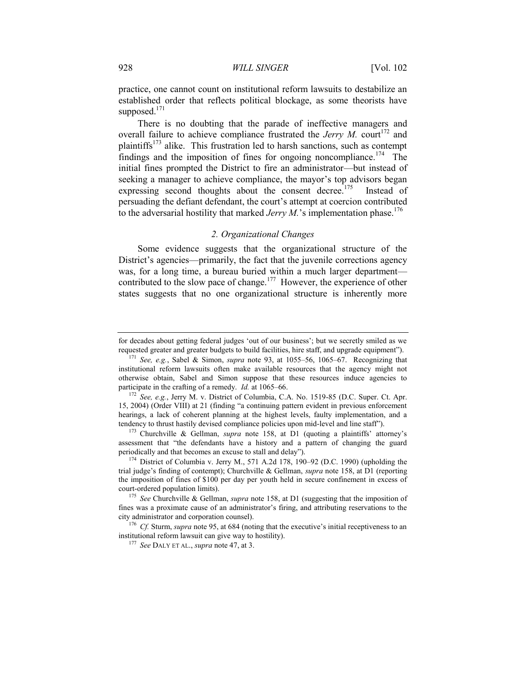practice, one cannot count on institutional reform lawsuits to destabilize an established order that reflects political blockage, as some theorists have supposed. $171$ 

There is no doubting that the parade of ineffective managers and overall failure to achieve compliance frustrated the *Jerry M.* court<sup>172</sup> and plaintiffs<sup>173</sup> alike. This frustration led to harsh sanctions, such as contempt findings and the imposition of fines for ongoing noncompliance.<sup>174</sup> The initial fines prompted the District to fire an administrator—but instead of seeking a manager to achieve compliance, the mayor's top advisors began expressing second thoughts about the consent decree.<sup>175</sup> Instead of persuading the defiant defendant, the court's attempt at coercion contributed to the adversarial hostility that marked *Jerry M*.'s implementation phase.<sup>176</sup>

# *2. Organizational Changes*

<span id="page-28-0"></span>Some evidence suggests that the organizational structure of the District's agencies—primarily, the fact that the juvenile corrections agency was, for a long time, a bureau buried within a much larger department contributed to the slow pace of change.<sup>177</sup> However, the experience of other states suggests that no one organizational structure is inherently more

<sup>173</sup> Churchville & Gellman, *supra* note [158](#page-26-1), at D1 (quoting a plaintiffs' attorney's assessment that "the defendants have a history and a pattern of changing the guard periodically and that becomes an excuse to stall and delay").

for decades about getting federal judges 'out of our business'; but we secretly smiled as we requested greater and greater budgets to build facilities, hire staff, and upgrade equipment").

<sup>171</sup> *See, e.g.*, Sabel & Simon, *supra* note [93,](#page-16-2) at 1055–56, 1065–67. Recognizing that institutional reform lawsuits often make available resources that the agency might not otherwise obtain, Sabel and Simon suppose that these resources induce agencies to participate in the crafting of a remedy. *Id.* at 1065–66.

<sup>172</sup> *See, e.g.*, Jerry M. v. District of Columbia, C.A. No. 1519-85 (D.C. Super. Ct. Apr. 15, 2004) (Order VIII) at 21 (finding "a continuing pattern evident in previous enforcement hearings, a lack of coherent planning at the highest levels, faulty implementation, and a tendency to thrust hastily devised compliance policies upon mid-level and line staff").

<sup>174</sup> District of Columbia v. Jerry M., 571 A.2d 178, 190–92 (D.C. 1990) (upholding the trial judge's finding of contempt); Churchville & Gellman, *supra* note [158,](#page-26-1) at D1 (reporting the imposition of fines of \$100 per day per youth held in secure confinement in excess of court-ordered population limits).

<sup>175</sup> *See* Churchville & Gellman, *supra* note [158,](#page-26-1) at D1 (suggesting that the imposition of fines was a proximate cause of an administrator's firing, and attributing reservations to the city administrator and corporation counsel).

<sup>&</sup>lt;sup>176</sup> *Cf.* Sturm, *supra* not[e 95](#page-16-1), at 684 (noting that the executive's initial receptiveness to an institutional reform lawsuit can give way to hostility).

<sup>177</sup> *See* DALY ET AL., *supra* not[e 47,](#page-8-0) at 3.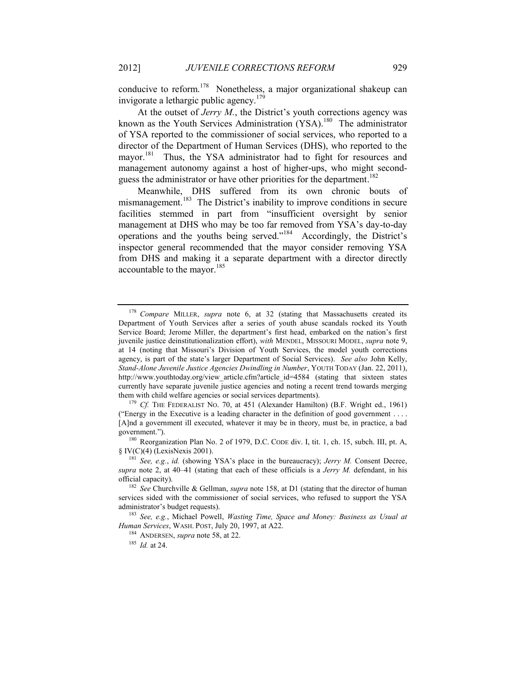conducive to reform.<sup>178</sup> Nonetheless, a major organizational shakeup can invigorate a lethargic public agency.<sup>179</sup>

At the outset of *Jerry M.*, the District's youth corrections agency was known as the Youth Services Administration (YSA).<sup>180</sup> The administrator of YSA reported to the commissioner of social services, who reported to a director of the Department of Human Services (DHS), who reported to the mayor.<sup>181</sup> Thus, the YSA administrator had to fight for resources and management autonomy against a host of higher-ups, who might secondguess the administrator or have other priorities for the department.<sup>182</sup>

Meanwhile, DHS suffered from its own chronic bouts of mismanagement.<sup>183</sup> The District's inability to improve conditions in secure facilities stemmed in part from "insufficient oversight by senior management at DHS who may be too far removed from YSA's day-to-day operations and the youths being served."<sup>184</sup> Accordingly, the District's inspector general recommended that the mayor consider removing YSA from DHS and making it a separate department with a director directly accountable to the mayor.<sup>185</sup>

<sup>180</sup> Reorganization Plan No. 2 of 1979, D.C. CODE div. I, tit. 1, ch. 15, subch. III, pt. A, § IV(C)(4) (LexisNexis 2001).

<sup>184</sup> ANDERSEN, *supra* note [58,](#page-10-1) at 22.

<sup>178</sup> *Compare* MILLER, *supra* note [6,](#page-2-0) at 32 (stating that Massachusetts created its Department of Youth Services after a series of youth abuse scandals rocked its Youth Service Board; Jerome Miller, the department's first head, embarked on the nation's first juvenile justice deinstitutionalization effort), *with* MENDEL, MISSOURI MODEL, *supra* note [9,](#page-2-2) at 14 (noting that Missouri's Division of Youth Services, the model youth corrections agency, is part of the state's larger Department of Social Services). *See also* John Kelly, *Stand-Alone Juvenile Justice Agencies Dwindling in Number*, YOUTH TODAY (Jan. 22, 2011), http://www.youthtoday.org/view\_article.cfm?article\_id=4584 (stating that sixteen states currently have separate juvenile justice agencies and noting a recent trend towards merging them with child welfare agencies or social services departments).

<sup>&</sup>lt;sup>179</sup> *Cf.* THE FEDERALIST NO. 70, at 451 (Alexander Hamilton) (B.F. Wright ed., 1961) ("Energy in the Executive is a leading character in the definition of good government . . . . [A]nd a government ill executed, whatever it may be in theory, must be, in practice, a bad government.").

<sup>181</sup> *See, e.g.*, *id.* (showing YSA's place in the bureaucracy); *Jerry M.* Consent Decree, *supra* note [2,](#page-1-0) at 40–41 (stating that each of these officials is a *Jerry M.* defendant, in his official capacity).

<sup>182</sup> *See* Churchville & Gellman, *supra* note [158,](#page-26-1) at D1 (stating that the director of human services sided with the commissioner of social services, who refused to support the YSA administrator's budget requests).

<sup>183</sup> *See, e.g.*, Michael Powell, *Wasting Time, Space and Money: Business as Usual at Human Services*, WASH. POST, July 20, 1997, at A22.

<sup>185</sup> *Id.* at 24.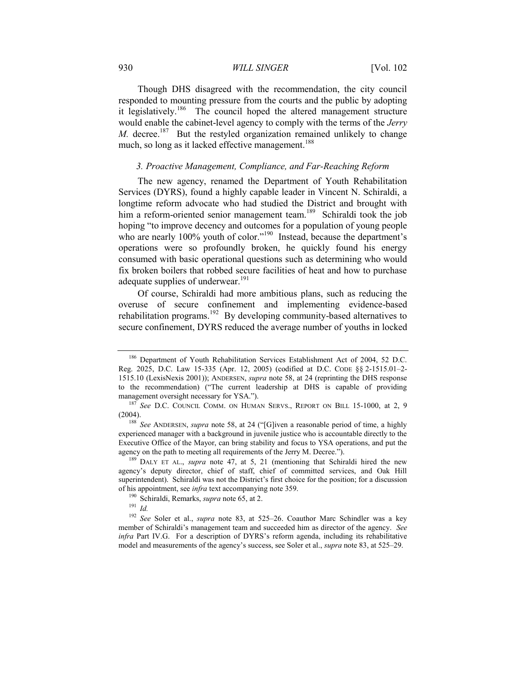#### 930 *WILL SINGER* [Vol. 102

Though DHS disagreed with the recommendation, the city council responded to mounting pressure from the courts and the public by adopting it legislatively.<sup>186</sup> The council hoped the altered management structure would enable the cabinet-level agency to comply with the terms of the *Jerry M.* decree.<sup>187</sup> But the restyled organization remained unlikely to change much, so long as it lacked effective management.<sup>188</sup>

# *3. Proactive Management, Compliance, and Far-Reaching Reform*

The new agency, renamed the Department of Youth Rehabilitation Services (DYRS), found a highly capable leader in Vincent N. Schiraldi, a longtime reform advocate who had studied the District and brought with him a reform-oriented senior management team.<sup>189</sup> Schiraldi took the job hoping "to improve decency and outcomes for a population of young people who are nearly 100% youth of color."<sup>190</sup> Instead, because the department's operations were so profoundly broken, he quickly found his energy consumed with basic operational questions such as determining who would fix broken boilers that robbed secure facilities of heat and how to purchase adequate supplies of underwear. $191$ 

Of course, Schiraldi had more ambitious plans, such as reducing the overuse of secure confinement and implementing evidence-based rehabilitation programs.<sup>192</sup> By developing community-based alternatives to secure confinement, DYRS reduced the average number of youths in locked

<sup>186</sup> Department of Youth Rehabilitation Services Establishment Act of 2004, 52 D.C. Reg. 2025, D.C. Law 15-335 (Apr. 12, 2005) (codified at D.C. CODE §§ 2-1515.01–2- 1515.10 (LexisNexis 2001)); ANDERSEN, *supra* note [58,](#page-10-1) at 24 (reprinting the DHS response to the recommendation) ("The current leadership at DHS is capable of providing management oversight necessary for YSA.").

<sup>187</sup> *See* D.C. COUNCIL COMM. ON HUMAN SERVS., REPORT ON BILL 15-1000, at 2, 9 (2004).

<sup>&</sup>lt;sup>188</sup> See ANDERSEN, *supra* note [58](#page-10-1), at 24 ("[G]iven a reasonable period of time, a highly experienced manager with a background in juvenile justice who is accountable directly to the Executive Office of the Mayor, can bring stability and focus to YSA operations, and put the agency on the path to meeting all requirements of the Jerry M. Decree.").

<sup>189</sup> DALY ET AL., *supra* note [47,](#page-8-0) at 5, 21 (mentioning that Schiraldi hired the new agency's deputy director, chief of staff, chief of committed services, and Oak Hill superintendent). Schiraldi was not the District's first choice for the position; for a discussion of his appointment, see *infra* text accompanying note [359.](#page-59-0)

<sup>190</sup> Schiraldi, Remarks, *supra* note [65,](#page-11-1) at 2.

<sup>191</sup> *Id.*

<sup>192</sup> *See* Soler et al., *supra* note [83,](#page-15-1) at 525–26. Coauthor Marc Schindler was a key member of Schiraldi's management team and succeeded him as director of the agency. *See infra* Part [IV.G](#page-59-1). For a description of DYRS's reform agenda, including its rehabilitative model and measurements of the agency's success, see Soler et al., *supra* note [83,](#page-15-1) at 525–29.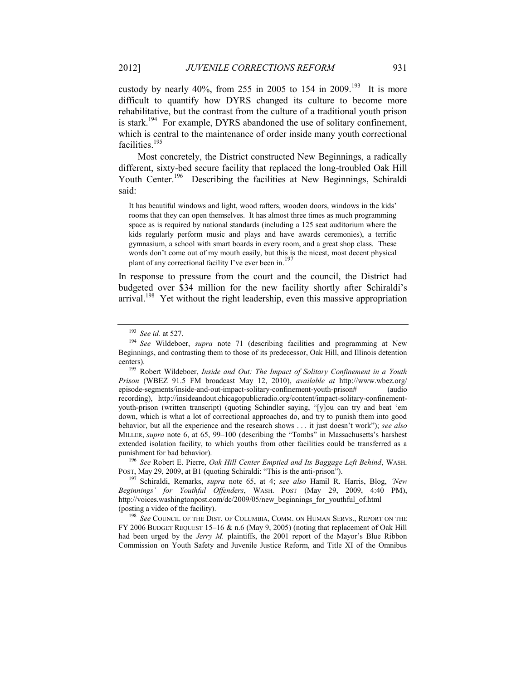custody by nearly 40%, from 255 in 2005 to 154 in 2009.<sup>193</sup> It is more difficult to quantify how DYRS changed its culture to become more rehabilitative, but the contrast from the culture of a traditional youth prison is stark.<sup>194</sup> For example, DYRS abandoned the use of solitary confinement, which is central to the maintenance of order inside many youth correctional facilities.<sup>195</sup>

Most concretely, the District constructed New Beginnings, a radically different, sixty-bed secure facility that replaced the long-troubled Oak Hill Youth Center.<sup>196</sup> Describing the facilities at New Beginnings, Schiraldi said:

It has beautiful windows and light, wood rafters, wooden doors, windows in the kids' rooms that they can open themselves. It has almost three times as much programming space as is required by national standards (including a 125 seat auditorium where the kids regularly perform music and plays and have awards ceremonies), a terrific gymnasium, a school with smart boards in every room, and a great shop class. These words don't come out of my mouth easily, but this is the nicest, most decent physical plant of any correctional facility I've ever been in.

<span id="page-31-0"></span>In response to pressure from the court and the council, the District had budgeted over \$34 million for the new facility shortly after Schiraldi's arrival.<sup>198</sup> Yet without the right leadership, even this massive appropriation

<sup>196</sup> *See* Robert E. Pierre, *Oak Hill Center Emptied and Its Baggage Left Behind*, WASH. POST, May 29, 2009, at B1 (quoting Schiraldi: "This is the anti-prison").

<sup>193</sup> *See id.* at 527.

<sup>194</sup> *See* Wildeboer, *supra* note [71](#page-12-1) (describing facilities and programming at New Beginnings, and contrasting them to those of its predecessor, Oak Hill, and Illinois detention centers).

<sup>195</sup> Robert Wildeboer, *Inside and Out: The Impact of Solitary Confinement in a Youth Prison* (WBEZ 91.5 FM broadcast May 12, 2010), *available at* http://www.wbez.org/ episode-segments/inside-and-out-impact-solitary-confinement-youth-prison# (audio recording), http://insideandout.chicagopublicradio.org/content/impact-solitary-confinementyouth-prison (written transcript) (quoting Schindler saying, "[y]ou can try and beat 'em down, which is what a lot of correctional approaches do, and try to punish them into good behavior, but all the experience and the research shows . . . it just doesn't work"); *see also* MILLER, *supra* note 6, at 65, 99–100 (describing the "Tombs" in Massachusetts's harshest extended isolation facility, to which youths from other facilities could be transferred as a punishment for bad behavior).

<sup>197</sup> Schiraldi, Remarks, *supra* note [65,](#page-11-1) at 4; *see also* Hamil R. Harris, Blog, *'New Beginnings' for Youthful Offenders*, WASH. POST (May 29, 2009, 4:40 PM), http://voices.washingtonpost.com/dc/2009/05/new\_beginnings\_for\_youthful\_of.html (posting a video of the facility).

<sup>198</sup> *See* COUNCIL OF THE DIST. OF COLUMBIA, COMM. ON HUMAN SERVS., REPORT ON THE FY 2006 BUDGET REQUEST 15–16 & n.6 (May 9, 2005) (noting that replacement of Oak Hill had been urged by the *Jerry M.* plaintiffs, the 2001 report of the Mayor's Blue Ribbon Commission on Youth Safety and Juvenile Justice Reform, and Title XI of the Omnibus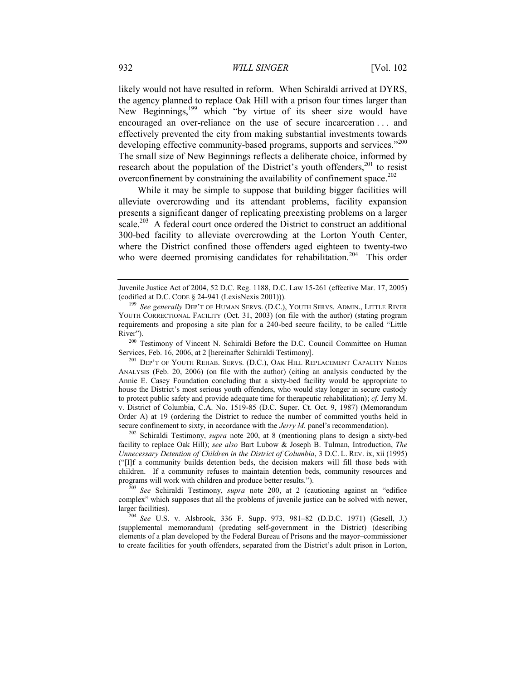likely would not have resulted in reform. When Schiraldi arrived at DYRS, the agency planned to replace Oak Hill with a prison four times larger than New Beginnings,<sup>199</sup> which "by virtue of its sheer size would have encouraged an over-reliance on the use of secure incarceration . . . and effectively prevented the city from making substantial investments towards developing effective community-based programs, supports and services."<sup>200</sup> The small size of New Beginnings reflects a deliberate choice, informed by research about the population of the District's youth offenders,<sup>201</sup> to resist overconfinement by constraining the availability of confinement space. $^{202}$ 

<span id="page-32-2"></span><span id="page-32-1"></span><span id="page-32-0"></span>While it may be simple to suppose that building bigger facilities will alleviate overcrowding and its attendant problems, facility expansion presents a significant danger of replicating preexisting problems on a larger scale.<sup>203</sup> A federal court once ordered the District to construct an additional 300-bed facility to alleviate overcrowding at the Lorton Youth Center, where the District confined those offenders aged eighteen to twenty-two who were deemed promising candidates for rehabilitation.<sup>204</sup> This order

<sup>200</sup> Testimony of Vincent N. Schiraldi Before the D.C. Council Committee on Human Services, Feb. 16, 2006, at 2 [hereinafter Schiraldi Testimony].

<sup>201</sup> DEP'T OF YOUTH REHAB. SERVS. (D.C.), OAK HILL REPLACEMENT CAPACITY NEEDS ANALYSIS (Feb. 20, 2006) (on file with the author) (citing an analysis conducted by the Annie E. Casey Foundation concluding that a sixty-bed facility would be appropriate to house the District's most serious youth offenders, who would stay longer in secure custody to protect public safety and provide adequate time for therapeutic rehabilitation); *cf.* Jerry M. v. District of Columbia, C.A. No. 1519-85 (D.C. Super. Ct. Oct. 9, 1987) (Memorandum Order A) at 19 (ordering the District to reduce the number of committed youths held in secure confinement to sixty, in accordance with the *Jerry M*. panel's recommendation).

<sup>202</sup> Schiraldi Testimony, *supra* note [200,](#page-32-0) at 8 (mentioning plans to design a sixty-bed facility to replace Oak Hill); *see also* Bart Lubow & Joseph B. Tulman, Introduction, *The Unnecessary Detention of Children in the District of Columbia*, 3 D.C. L. REV. ix, xii (1995) ("[I]f a community builds detention beds, the decision makers will fill those beds with children. If a community refuses to maintain detention beds, community resources and programs will work with children and produce better results.").

<sup>203</sup> *See* Schiraldi Testimony, *supra* note [200](#page-32-0), at 2 (cautioning against an "edifice complex" which supposes that all the problems of juvenile justice can be solved with newer, larger facilities).

<sup>204</sup> *See* U.S. v. Alsbrook, 336 F. Supp. 973, 981–82 (D.D.C. 1971) (Gesell, J.) (supplemental memorandum) (predating self-government in the District) (describing elements of a plan developed by the Federal Bureau of Prisons and the mayor–commissioner to create facilities for youth offenders, separated from the District's adult prison in Lorton,

Juvenile Justice Act of 2004, 52 D.C. Reg. 1188, D.C. Law 15-261 (effective Mar. 17, 2005) (codified at D.C. CODE § 24-941 (LexisNexis 2001))).

<sup>199</sup> *See generally* DEP'T OF HUMAN SERVS. (D.C.), YOUTH SERVS. ADMIN., LITTLE RIVER YOUTH CORRECTIONAL FACILITY (Oct. 31, 2003) (on file with the author) (stating program requirements and proposing a site plan for a 240-bed secure facility, to be called "Little River").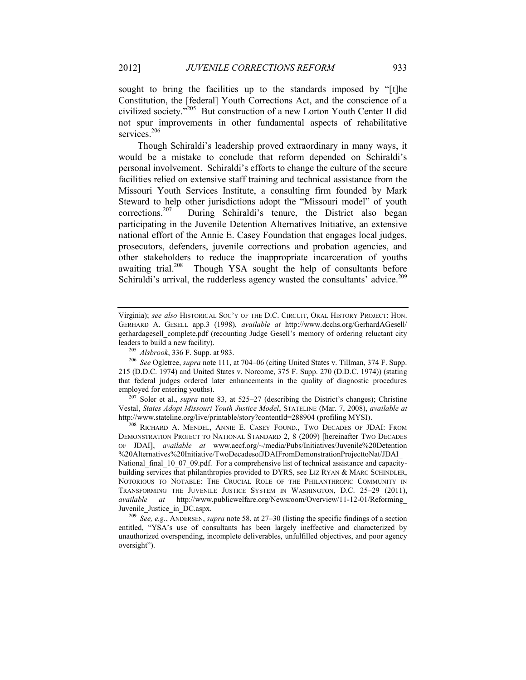sought to bring the facilities up to the standards imposed by "[t]he Constitution, the [federal] Youth Corrections Act, and the conscience of a civilized society."<sup>205</sup> But construction of a new Lorton Youth Center II did not spur improvements in other fundamental aspects of rehabilitative services.<sup>206</sup>

Though Schiraldi's leadership proved extraordinary in many ways, it would be a mistake to conclude that reform depended on Schiraldi's personal involvement. Schiraldi's efforts to change the culture of the secure facilities relied on extensive staff training and technical assistance from the Missouri Youth Services Institute, a consulting firm founded by Mark Steward to help other jurisdictions adopt the "Missouri model" of youth corrections.<sup>207</sup> During Schiraldi's tenure, the District also began participating in the Juvenile Detention Alternatives Initiative, an extensive national effort of the Annie E. Casey Foundation that engages local judges, prosecutors, defenders, juvenile corrections and probation agencies, and other stakeholders to reduce the inappropriate incarceration of youths awaiting trial.<sup>208</sup> Though YSA sought the help of consultants before Schiraldi's arrival, the rudderless agency wasted the consultants' advice.<sup>209</sup>

<sup>207</sup> Soler et al., *supra* note [83,](#page-15-1) at 525–27 (describing the District's changes); Christine Vestal, *States Adopt Missouri Youth Justice Model*, STATELINE (Mar. 7, 2008), *available at*  http://www.stateline.org/live/printable/story?contentId=288904 (profiling MYSI).

<sup>208</sup> RICHARD A. MENDEL, ANNIE E. CASEY FOUND., TWO DECADES OF JDAI: FROM DEMONSTRATION PROJECT TO NATIONAL STANDARD 2, 8 (2009) [hereinafter TWO DECADES OF JDAI], *available at* www.aecf.org/~/media/Pubs/Initiatives/Juvenile%20Detention %20Alternatives%20Initiative/TwoDecadesofJDAIFromDemonstrationProjecttoNat/JDAI\_

National\_final\_10\_07\_09.pdf. For a comprehensive list of technical assistance and capacitybuilding services that philanthropies provided to DYRS, see LIZ RYAN & MARC SCHINDLER, NOTORIOUS TO NOTABLE: THE CRUCIAL ROLE OF THE PHILANTHROPIC COMMUNITY IN TRANSFORMING THE JUVENILE JUSTICE SYSTEM IN WASHINGTON, D.C. 25–29 (2011), *available at* http://www.publicwelfare.org/Newsroom/Overview/11-12-01/Reforming\_ Juvenile\_Justice\_in\_DC.aspx.

<sup>209</sup> *See, e.g.*, ANDERSEN, *supra* not[e 58,](#page-10-1) at 27–30 (listing the specific findings of a section entitled, "YSA's use of consultants has been largely ineffective and characterized by unauthorized overspending, incomplete deliverables, unfulfilled objectives, and poor agency oversight").

<span id="page-33-0"></span>Virginia); *see also* HISTORICAL SOC'Y OF THE D.C. CIRCUIT, ORAL HISTORY PROJECT: HON. GERHARD A. GESELL app.3 (1998), *available at* http://www.dcchs.org/GerhardAGesell/ gerhardagesell\_complete.pdf (recounting Judge Gesell's memory of ordering reluctant city leaders to build a new facility).

<sup>205</sup> *Alsbrook*, 336 F. Supp. at 983.

<sup>206</sup> *See* Ogletree, *supra* not[e 111,](#page-18-1) at 704–06 (citing United States v. Tillman, 374 F. Supp. 215 (D.D.C. 1974) and United States v. Norcome, 375 F. Supp. 270 (D.D.C. 1974)) (stating that federal judges ordered later enhancements in the quality of diagnostic procedures employed for entering youths).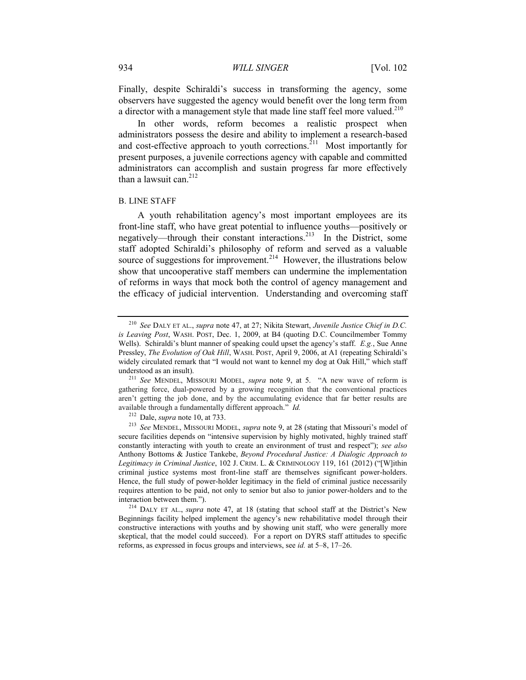Finally, despite Schiraldi's success in transforming the agency, some observers have suggested the agency would benefit over the long term from a director with a management style that made line staff feel more valued.<sup>210</sup>

In other words, reform becomes a realistic prospect when administrators possess the desire and ability to implement a research-based and cost-effective approach to youth corrections.<sup>211</sup> Most importantly for present purposes, a juvenile corrections agency with capable and committed administrators can accomplish and sustain progress far more effectively than a lawsuit can. $^{212}$ 

#### B. LINE STAFF

A youth rehabilitation agency's most important employees are its front-line staff, who have great potential to influence youths—positively or negatively—through their constant interactions.<sup>213</sup> In the District, some staff adopted Schiraldi's philosophy of reform and served as a valuable source of suggestions for improvement.<sup>214</sup> However, the illustrations below show that uncooperative staff members can undermine the implementation of reforms in ways that mock both the control of agency management and the efficacy of judicial intervention. Understanding and overcoming staff

<sup>214</sup> DALY ET AL., *supra* note [47](#page-8-0), at 18 (stating that school staff at the District's New Beginnings facility helped implement the agency's new rehabilitative model through their constructive interactions with youths and by showing unit staff, who were generally more skeptical, that the model could succeed). For a report on DYRS staff attitudes to specific reforms, as expressed in focus groups and interviews, see *id.* at 5–8, 17–26.

<sup>210</sup> *See* DALY ET AL., *supra* note [47,](#page-8-0) at 27; Nikita Stewart, *Juvenile Justice Chief in D.C. is Leaving Post*, WASH. POST, Dec. 1, 2009, at B4 (quoting D.C. Councilmember Tommy Wells). Schiraldi's blunt manner of speaking could upset the agency's staff. *E.g.*, Sue Anne Pressley, *The Evolution of Oak Hill*, WASH. POST, April 9, 2006, at A1 (repeating Schiraldi's widely circulated remark that "I would not want to kennel my dog at Oak Hill," which staff understood as an insult).

<sup>211</sup> *See* MENDEL, MISSOURI MODEL, *supra* note [9](#page-2-2), at 5. "A new wave of reform is gathering force, dual-powered by a growing recognition that the conventional practices aren't getting the job done, and by the accumulating evidence that far better results are available through a fundamentally different approach." *Id.*

<sup>212</sup> Dale, *supra* note [10,](#page-3-0) at 733.

<sup>213</sup> *See* MENDEL, MISSOURI MODEL, *supra* note [9,](#page-2-2) at 28 (stating that Missouri's model of secure facilities depends on "intensive supervision by highly motivated, highly trained staff constantly interacting with youth to create an environment of trust and respect"); *see also* Anthony Bottoms & Justice Tankebe, *Beyond Procedural Justice: A Dialogic Approach to Legitimacy in Criminal Justice*, 102 J. CRIM. L. & CRIMINOLOGY 119, 161 (2012) ("[W]ithin criminal justice systems most front-line staff are themselves significant power-holders. Hence, the full study of power-holder legitimacy in the field of criminal justice necessarily requires attention to be paid, not only to senior but also to junior power-holders and to the interaction between them.").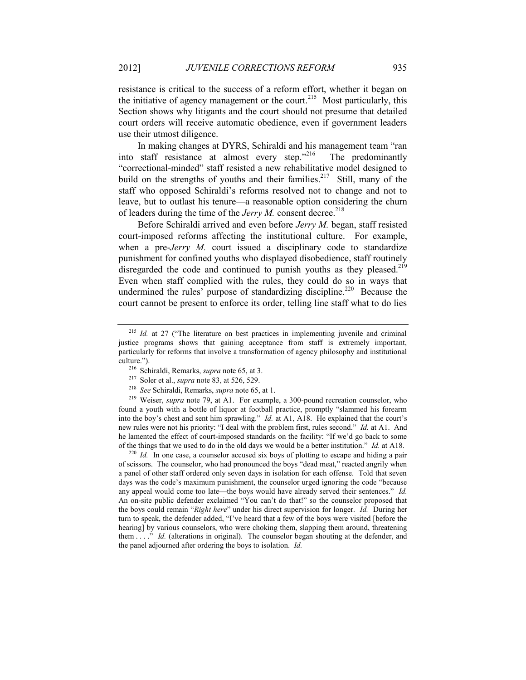resistance is critical to the success of a reform effort, whether it began on the initiative of agency management or the court.<sup>215</sup> Most particularly, this Section shows why litigants and the court should not presume that detailed court orders will receive automatic obedience, even if government leaders use their utmost diligence.

In making changes at DYRS, Schiraldi and his management team "ran into staff resistance at almost every step."<sup>216</sup> The predominantly "correctional-minded" staff resisted a new rehabilitative model designed to build on the strengths of youths and their families.<sup>217</sup> Still, many of the staff who opposed Schiraldi's reforms resolved not to change and not to leave, but to outlast his tenure—a reasonable option considering the churn of leaders during the time of the *Jerry M*. consent decree.<sup>218</sup>

Before Schiraldi arrived and even before *Jerry M.* began, staff resisted court-imposed reforms affecting the institutional culture. For example, when a pre-*Jerry M.* court issued a disciplinary code to standardize punishment for confined youths who displayed disobedience, staff routinely disregarded the code and continued to punish youths as they pleased.<sup>219</sup> Even when staff complied with the rules, they could do so in ways that undermined the rules' purpose of standardizing discipline.<sup>220</sup> Because the court cannot be present to enforce its order, telling line staff what to do lies

<sup>220</sup> *Id.* In one case, a counselor accused six boys of plotting to escape and hiding a pair of scissors. The counselor, who had pronounced the boys "dead meat," reacted angrily when a panel of other staff ordered only seven days in isolation for each offense. Told that seven days was the code's maximum punishment, the counselor urged ignoring the code "because any appeal would come too late—the boys would have already served their sentences." *Id.* An on-site public defender exclaimed "You can't do that!" so the counselor proposed that the boys could remain "*Right here*" under his direct supervision for longer. *Id.* During her turn to speak, the defender added, "I've heard that a few of the boys were visited [before the hearing] by various counselors, who were choking them, slapping them around, threatening them . . . ." *Id.* (alterations in original). The counselor began shouting at the defender, and the panel adjourned after ordering the boys to isolation. *Id.*

<sup>&</sup>lt;sup>215</sup> *Id.* at 27 ("The literature on best practices in implementing juvenile and criminal justice programs shows that gaining acceptance from staff is extremely important, particularly for reforms that involve a transformation of agency philosophy and institutional culture.").

<sup>216</sup> Schiraldi, Remarks, *supra* note [65,](#page-11-1) at 3.

<sup>217</sup> Soler et al., *supra* not[e 83,](#page-15-1) at 526, 529.

<sup>218</sup> *See* Schiraldi, Remarks, *supra* not[e 65,](#page-11-1) at 1.

<sup>219</sup> Weiser, *supra* note [79,](#page-14-1) at A1. For example, a 300-pound recreation counselor, who found a youth with a bottle of liquor at football practice, promptly "slammed his forearm into the boy's chest and sent him sprawling." *Id.* at A1, A18. He explained that the court's new rules were not his priority: "I deal with the problem first, rules second." *Id.* at A1. And he lamented the effect of court-imposed standards on the facility: "If we'd go back to some of the things that we used to do in the old days we would be a better institution." *Id.* at A18.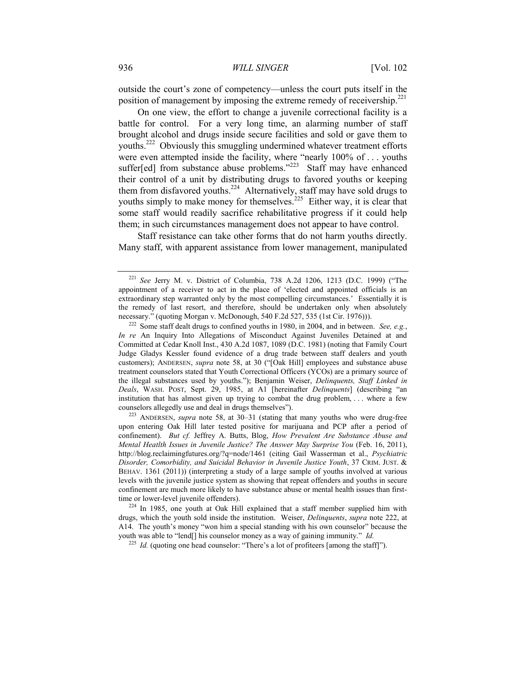outside the court's zone of competency—unless the court puts itself in the position of management by imposing the extreme remedy of receivership.<sup>221</sup>

<span id="page-36-0"></span>On one view, the effort to change a juvenile correctional facility is a battle for control. For a very long time, an alarming number of staff brought alcohol and drugs inside secure facilities and sold or gave them to youths.<sup>222</sup> Obviously this smuggling undermined whatever treatment efforts were even attempted inside the facility, where "nearly 100% of . . . youths suffer[ed] from substance abuse problems." $223$  Staff may have enhanced their control of a unit by distributing drugs to favored youths or keeping them from disfavored youths.<sup>224</sup> Alternatively, staff may have sold drugs to youths simply to make money for themselves.<sup>225</sup> Either way, it is clear that some staff would readily sacrifice rehabilitative progress if it could help them; in such circumstances management does not appear to have control.

Staff resistance can take other forms that do not harm youths directly. Many staff, with apparent assistance from lower management, manipulated

<sup>223</sup> ANDERSEN, *supra* note [58,](#page-10-1) at 30–31 (stating that many youths who were drug-free upon entering Oak Hill later tested positive for marijuana and PCP after a period of confinement). *But cf.* Jeffrey A. Butts, Blog, *How Prevalent Are Substance Abuse and Mental Heatlth Issues in Juvenile Justice? The Answer May Surprise You* (Feb. 16, 2011), http://blog.reclaimingfutures.org/?q=node/1461 (citing Gail Wasserman et al., *Psychiatric Disorder, Comorbidity, and Suicidal Behavior in Juvenile Justice Youth*, 37 CRIM. JUST. & BEHAV. 1361 (2011)) (interpreting a study of a large sample of youths involved at various levels with the juvenile justice system as showing that repeat offenders and youths in secure confinement are much more likely to have substance abuse or mental health issues than firsttime or lower-level juvenile offenders).

<sup>224</sup> In 1985, one youth at Oak Hill explained that a staff member supplied him with drugs, which the youth sold inside the institution. Weiser, *Delinquents*, *supra* note [222,](#page-36-0) at A14. The youth's money "won him a special standing with his own counselor" because the youth was able to "lend[] his counselor money as a way of gaining immunity." *Id.*

<sup>225</sup> *Id.* (quoting one head counselor: "There's a lot of profiteers [among the staff]").

<sup>221</sup> *See* Jerry M. v. District of Columbia, 738 A.2d 1206, 1213 (D.C. 1999) ("The appointment of a receiver to act in the place of 'elected and appointed officials is an extraordinary step warranted only by the most compelling circumstances.' Essentially it is the remedy of last resort, and therefore, should be undertaken only when absolutely necessary." (quoting Morgan v. McDonough, 540 F.2d 527, 535 (1st Cir. 1976))).

<sup>222</sup> Some staff dealt drugs to confined youths in 1980, in 2004, and in between. *See, e.g.*, *In re* An Inquiry Into Allegations of Misconduct Against Juveniles Detained at and Committed at Cedar Knoll Inst., 430 A.2d 1087, 1089 (D.C. 1981) (noting that Family Court Judge Gladys Kessler found evidence of a drug trade between staff dealers and youth customers); ANDERSEN, *supra* note [58](#page-10-1), at 30 ("[Oak Hill] employees and substance abuse treatment counselors stated that Youth Correctional Officers (YCOs) are a primary source of the illegal substances used by youths."); Benjamin Weiser, *Delinquents, Staff Linked in Deals*, WASH. POST, Sept. 29, 1985, at A1 [hereinafter *Delinquents*] (describing "an institution that has almost given up trying to combat the drug problem, . . . where a few counselors allegedly use and deal in drugs themselves").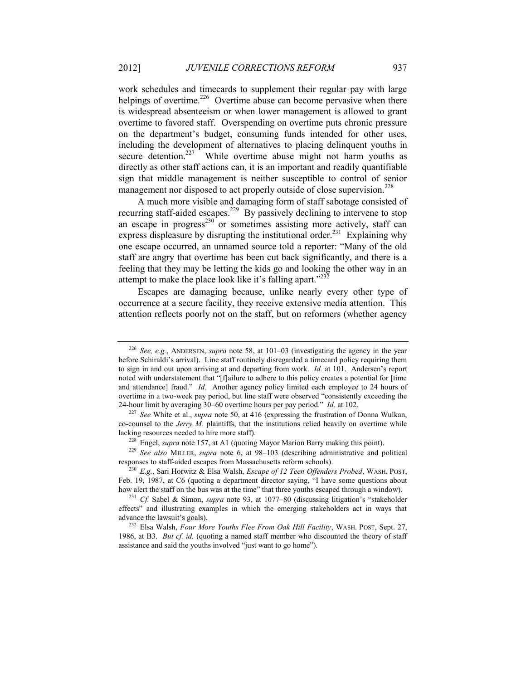work schedules and timecards to supplement their regular pay with large helpings of overtime.<sup>226</sup> Overtime abuse can become pervasive when there is widespread absenteeism or when lower management is allowed to grant overtime to favored staff. Overspending on overtime puts chronic pressure on the department's budget, consuming funds intended for other uses, including the development of alternatives to placing delinquent youths in secure detention.<sup>227</sup> While overtime abuse might not harm youths as directly as other staff actions can, it is an important and readily quantifiable sign that middle management is neither susceptible to control of senior management nor disposed to act properly outside of close supervision.<sup>228</sup>

A much more visible and damaging form of staff sabotage consisted of recurring staff-aided escapes.<sup>229</sup> By passively declining to intervene to stop an escape in progress<sup>230</sup> or sometimes assisting more actively, staff can express displeasure by disrupting the institutional order.<sup>231</sup> Explaining why one escape occurred, an unnamed source told a reporter: "Many of the old staff are angry that overtime has been cut back significantly, and there is a feeling that they may be letting the kids go and looking the other way in an attempt to make the place look like it's falling apart." $232$ 

Escapes are damaging because, unlike nearly every other type of occurrence at a secure facility, they receive extensive media attention. This attention reflects poorly not on the staff, but on reformers (whether agency

<sup>226</sup> *See, e.g.*, ANDERSEN, *supra* note [58,](#page-10-1) at 101–03 (investigating the agency in the year before Schiraldi's arrival). Line staff routinely disregarded a timecard policy requiring them to sign in and out upon arriving at and departing from work. *Id.* at 101. Andersen's report noted with understatement that "[f]ailure to adhere to this policy creates a potential for [time and attendance] fraud." *Id.* Another agency policy limited each employee to 24 hours of overtime in a two-week pay period, but line staff were observed "consistently exceeding the 24-hour limit by averaging 30–60 overtime hours per pay period." *Id.* at 102.

<sup>227</sup> *See* White et al., *supra* note [50,](#page-9-0) at 416 (expressing the frustration of Donna Wulkan, co-counsel to the *Jerry M.* plaintiffs, that the institutions relied heavily on overtime while lacking resources needed to hire more staff).

<sup>&</sup>lt;sup>228</sup> Engel, *supra* note [157,](#page-25-0) at A1 (quoting Mayor Marion Barry making this point).

<sup>229</sup> *See also* MILLER, *supra* note 6, at 98–103 (describing administrative and political responses to staff-aided escapes from Massachusetts reform schools).

<sup>230</sup> *E.g.*, Sari Horwitz & Elsa Walsh, *Escape of 12 Teen Offenders Probed*, WASH. POST, Feb. 19, 1987, at C6 (quoting a department director saying, "I have some questions about how alert the staff on the bus was at the time" that three youths escaped through a window).

<sup>231</sup> *Cf.* Sabel & Simon, *supra* note [93,](#page-16-2) at 1077–80 (discussing litigation's "stakeholder effects" and illustrating examples in which the emerging stakeholders act in ways that advance the lawsuit's goals).

<sup>232</sup> Elsa Walsh, *Four More Youths Flee From Oak Hill Facility*, WASH. POST, Sept. 27, 1986, at B3. *But cf. id.* (quoting a named staff member who discounted the theory of staff assistance and said the youths involved "just want to go home").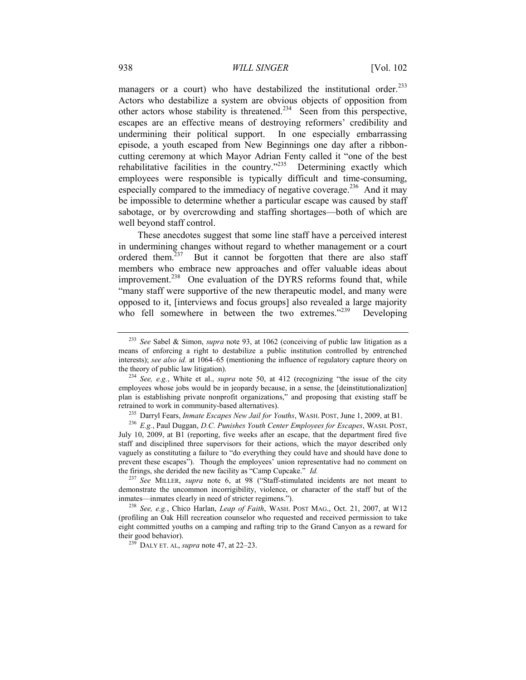managers or a court) who have destabilized the institutional order.<sup>233</sup> Actors who destabilize a system are obvious objects of opposition from other actors whose stability is threatened.<sup>234</sup> Seen from this perspective, escapes are an effective means of destroying reformers' credibility and undermining their political support. In one especially embarrassing episode, a youth escaped from New Beginnings one day after a ribboncutting ceremony at which Mayor Adrian Fenty called it "one of the best rehabilitative facilities in the country."<sup>235</sup> Determining exactly which employees were responsible is typically difficult and time-consuming, especially compared to the immediacy of negative coverage.<sup>236</sup> And it may be impossible to determine whether a particular escape was caused by staff sabotage, or by overcrowding and staffing shortages—both of which are well beyond staff control.

<span id="page-38-0"></span>These anecdotes suggest that some line staff have a perceived interest in undermining changes without regard to whether management or a court ordered them.<sup>237</sup> But it cannot be forgotten that there are also staff members who embrace new approaches and offer valuable ideas about improvement. $^{238}$  One evaluation of the DYRS reforms found that, while "many staff were supportive of the new therapeutic model, and many were opposed to it, [interviews and focus groups] also revealed a large majority who fell somewhere in between the two extremes."<sup>239</sup> Developing

<sup>233</sup> *See* Sabel & Simon, *supra* note [93,](#page-16-2) at 1062 (conceiving of public law litigation as a means of enforcing a right to destabilize a public institution controlled by entrenched interests); *see also id.* at 1064–65 (mentioning the influence of regulatory capture theory on the theory of public law litigation).

<sup>234</sup> *See, e.g.*, White et al., *supra* note [50,](#page-9-0) at 412 (recognizing "the issue of the city employees whose jobs would be in jeopardy because, in a sense, the [deinstitutionalization] plan is establishing private nonprofit organizations," and proposing that existing staff be retrained to work in community-based alternatives).

<sup>235</sup> Darryl Fears, *Inmate Escapes New Jail for Youths*, WASH. POST, June 1, 2009, at B1.

<sup>236</sup> *E.g.*, Paul Duggan, *D.C. Punishes Youth Center Employees for Escapes*, WASH. POST, July 10, 2009, at B1 (reporting, five weeks after an escape, that the department fired five staff and disciplined three supervisors for their actions, which the mayor described only vaguely as constituting a failure to "do everything they could have and should have done to prevent these escapes"). Though the employees' union representative had no comment on the firings, she derided the new facility as "Camp Cupcake." *Id.*

<sup>237</sup> *See* MILLER, *supra* note [6](#page-2-0), at 98 ("Staff-stimulated incidents are not meant to demonstrate the uncommon incorrigibility, violence, or character of the staff but of the inmates—inmates clearly in need of stricter regimens.").

<sup>238</sup> *See, e.g.*, Chico Harlan, *Leap of Faith*, WASH. POST MAG., Oct. 21, 2007, at W12 (profiling an Oak Hill recreation counselor who requested and received permission to take eight committed youths on a camping and rafting trip to the Grand Canyon as a reward for their good behavior).

<sup>239</sup> DALY ET. AL, *supra* not[e 47,](#page-8-0) at 22–23.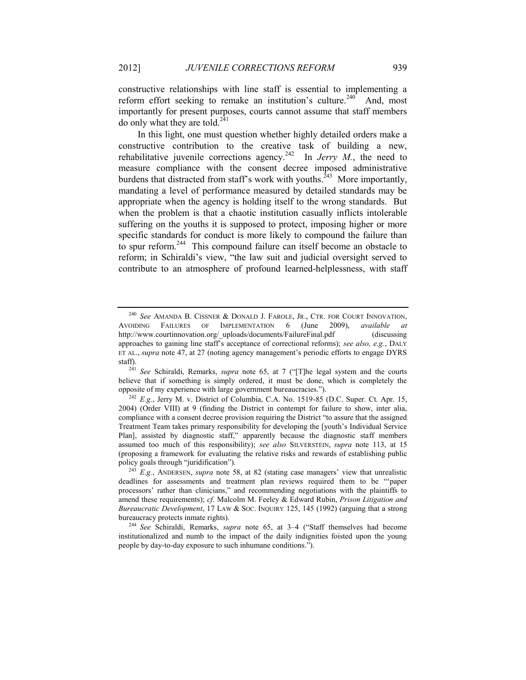constructive relationships with line staff is essential to implementing a reform effort seeking to remake an institution's culture.<sup>240</sup> And, most importantly for present purposes, courts cannot assume that staff members do only what they are told. $^{241}$ 

In this light, one must question whether highly detailed orders make a constructive contribution to the creative task of building a new, rehabilitative juvenile corrections agency.<sup>242</sup> In *Jerry M.*, the need to measure compliance with the consent decree imposed administrative burdens that distracted from staff's work with youths.<sup>243</sup> More importantly, mandating a level of performance measured by detailed standards may be appropriate when the agency is holding itself to the wrong standards. But when the problem is that a chaotic institution casually inflicts intolerable suffering on the youths it is supposed to protect, imposing higher or more specific standards for conduct is more likely to compound the failure than to spur reform.<sup>244</sup> This compound failure can itself become an obstacle to reform; in Schiraldi's view, "the law suit and judicial oversight served to contribute to an atmosphere of profound learned-helplessness, with staff

<sup>240</sup> *See* AMANDA B. CISSNER & DONALD J. FAROLE, JR., CTR. FOR COURT INNOVATION, AVOIDING FAILURES OF IMPLEMENTATION 6 (June 2009), *available at* http://www.courtinnovation.org/\_uploads/documents/FailureFinal.pdf (discussing approaches to gaining line staff's acceptance of correctional reforms); *see also, e.g.*, DALY ET AL., *supra* note [47](#page-8-0), at 27 (noting agency management's periodic efforts to engage DYRS staff).

<sup>241</sup> *See* Schiraldi, Remarks, *supra* note [65](#page-11-1), at 7 ("[T]he legal system and the courts believe that if something is simply ordered, it must be done, which is completely the opposite of my experience with large government bureaucracies.").

<sup>242</sup> *E.g.*, Jerry M. v. District of Columbia, C.A. No. 1519-85 (D.C. Super. Ct. Apr. 15, 2004) (Order VIII) at 9 (finding the District in contempt for failure to show, inter alia, compliance with a consent decree provision requiring the District "to assure that the assigned Treatment Team takes primary responsibility for developing the [youth's Individual Service Plan], assisted by diagnostic staff," apparently because the diagnostic staff members assumed too much of this responsibility); *see also* SILVERSTEIN, *supra* note [113,](#page-18-2) at 15 (proposing a framework for evaluating the relative risks and rewards of establishing public policy goals through "juridification").

<sup>&</sup>lt;sup>243</sup> *E.g.*, ANDERSEN, *supra* note [58](#page-10-1), at 82 (stating case managers' view that unrealistic deadlines for assessments and treatment plan reviews required them to be "'paper processors' rather than clinicians," and recommending negotiations with the plaintiffs to amend these requirements); *cf*. Malcolm M. Feeley & Edward Rubin, *Prison Litigation and Bureaucratic Development*, 17 LAW & SOC. INQUIRY 125, 145 (1992) (arguing that a strong bureaucracy protects inmate rights).

<sup>244</sup> *See* Schiraldi, Remarks, *supra* note [65,](#page-11-1) at 3–4 ("Staff themselves had become institutionalized and numb to the impact of the daily indignities foisted upon the young people by day-to-day exposure to such inhumane conditions.").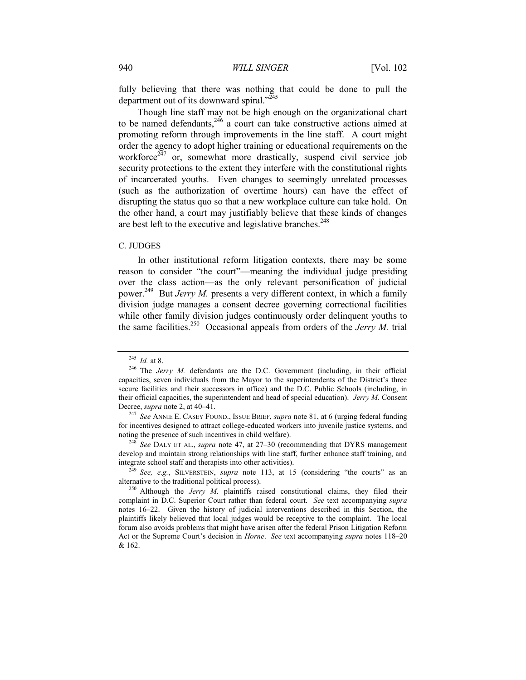fully believing that there was nothing that could be done to pull the department out of its downward spiral."<sup>245</sup>

Though line staff may not be high enough on the organizational chart to be named defendants,  $246$  a court can take constructive actions aimed at promoting reform through improvements in the line staff. A court might order the agency to adopt higher training or educational requirements on the workforce<sup> $247$ </sup> or, somewhat more drastically, suspend civil service job security protections to the extent they interfere with the constitutional rights of incarcerated youths. Even changes to seemingly unrelated processes (such as the authorization of overtime hours) can have the effect of disrupting the status quo so that a new workplace culture can take hold. On the other hand, a court may justifiably believe that these kinds of changes are best left to the executive and legislative branches.<sup>248</sup>

#### C. JUDGES

In other institutional reform litigation contexts, there may be some reason to consider "the court"—meaning the individual judge presiding over the class action—as the only relevant personification of judicial power.<sup>249</sup> But *Jerry M*. presents a very different context, in which a family division judge manages a consent decree governing correctional facilities while other family division judges continuously order delinquent youths to the same facilities.<sup>250</sup> Occasional appeals from orders of the *Jerry M*. trial

<sup>248</sup> *See* DALY ET AL., *supra* note [47,](#page-8-0) at 27–30 (recommending that DYRS management develop and maintain strong relationships with line staff, further enhance staff training, and integrate school staff and therapists into other activities).

<sup>249</sup> *See, e.g.*, SILVERSTEIN, *supra* note [113](#page-18-2), at 15 (considering "the courts" as an alternative to the traditional political process).

<sup>245</sup> *Id.* at 8.

<sup>&</sup>lt;sup>246</sup> The *Jerry M.* defendants are the D.C. Government (including, in their official capacities, seven individuals from the Mayor to the superintendents of the District's three secure facilities and their successors in office) and the D.C. Public Schools (including, in their official capacities, the superintendent and head of special education). *Jerry M.* Consent Decree, *supra* not[e 2,](#page-1-0) at 40–41.

<sup>247</sup> *See* ANNIE E. CASEY FOUND., ISSUE BRIEF, *supra* note [81,](#page-14-0) at 6 (urging federal funding for incentives designed to attract college-educated workers into juvenile justice systems, and noting the presence of such incentives in child welfare).

<sup>&</sup>lt;sup>250</sup> Although the *Jerry M*. plaintiffs raised constitutional claims, they filed their complaint in D.C. Superior Court rather than federal court. *See* text accompanying *supra* notes [16](#page-4-2)–[22.](#page-5-3) Given the history of judicial interventions described in this Section, the plaintiffs likely believed that local judges would be receptive to the complaint. The local forum also avoids problems that might have arisen after the federal Prison Litigation Reform Act or the Supreme Court's decision in *Horne*. *See* text accompanying *supra* notes [118](#page-19-0)–[20](#page-19-1) & [162.](#page-26-0)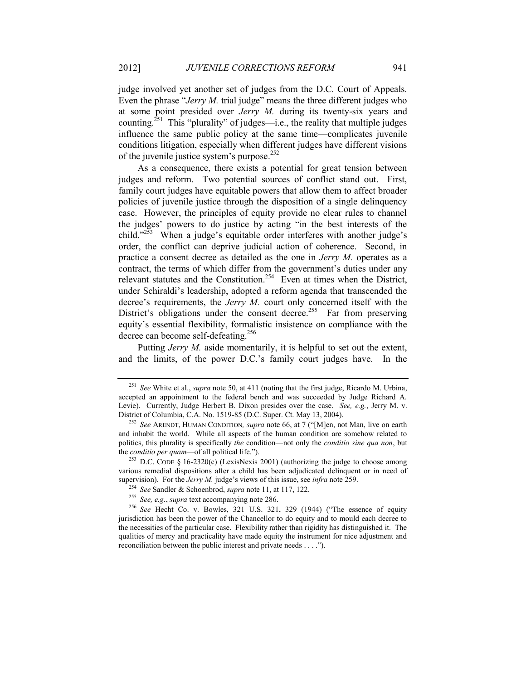judge involved yet another set of judges from the D.C. Court of Appeals. Even the phrase "*Jerry M.* trial judge" means the three different judges who at some point presided over *Jerry M.* during its twenty-six years and counting.<sup>251</sup> This "plurality" of judges—i.e., the reality that multiple judges influence the same public policy at the same time—complicates juvenile conditions litigation, especially when different judges have different visions of the juvenile justice system's purpose.<sup>252</sup>

As a consequence, there exists a potential for great tension between judges and reform. Two potential sources of conflict stand out. First, family court judges have equitable powers that allow them to affect broader policies of juvenile justice through the disposition of a single delinquency case. However, the principles of equity provide no clear rules to channel the judges' powers to do justice by acting "in the best interests of the child." $253$  When a judge's equitable order interferes with another judge's order, the conflict can deprive judicial action of coherence. Second, in practice a consent decree as detailed as the one in *Jerry M.* operates as a contract, the terms of which differ from the government's duties under any relevant statutes and the Constitution.<sup>254</sup> Even at times when the District, under Schiraldi's leadership, adopted a reform agenda that transcended the decree's requirements, the *Jerry M.* court only concerned itself with the District's obligations under the consent decree.<sup>255</sup> Far from preserving equity's essential flexibility, formalistic insistence on compliance with the decree can become self-defeating. 256

Putting *Jerry M.* aside momentarily, it is helpful to set out the extent, and the limits, of the power D.C.'s family court judges have. In the

<sup>251</sup> *See* White et al., *supra* not[e 50,](#page-9-0) at 411 (noting that the first judge, Ricardo M. Urbina, accepted an appointment to the federal bench and was succeeded by Judge Richard A. Levie). Currently, Judge Herbert B. Dixon presides over the case. *See, e.g.*, Jerry M. v. District of Columbia, C.A. No. 1519-85 (D.C. Super. Ct. May 13, 2004).

<sup>252</sup> *See* ARENDT, HUMAN CONDITION*, supra* note [66](#page-11-0), at 7 ("[M]en, not Man, live on earth and inhabit the world. While all aspects of the human condition are somehow related to politics, this plurality is specifically *the* condition—not only the *conditio sine qua non*, but the *conditio per quam*—of all political life.").

<sup>&</sup>lt;sup>253</sup> D.C. CODE § 16-2320(c) (LexisNexis 2001) (authorizing the judge to choose among various remedial dispositions after a child has been adjudicated delinquent or in need of supervision). For the *Jerry M.* judge's views of this issue, see *infra* not[e 259.](#page-42-0)

<sup>254</sup> *See* Sandler & Schoenbrod, *supra* not[e 11,](#page-3-1) at 117, 122.

<sup>255</sup> *See, e.g.*, *supra* text accompanying not[e 286.](#page-46-0)

<sup>256</sup> *See* Hecht Co. v. Bowles, 321 U.S. 321, 329 (1944) ("The essence of equity jurisdiction has been the power of the Chancellor to do equity and to mould each decree to the necessities of the particular case. Flexibility rather than rigidity has distinguished it. The qualities of mercy and practicality have made equity the instrument for nice adjustment and reconciliation between the public interest and private needs . . . .").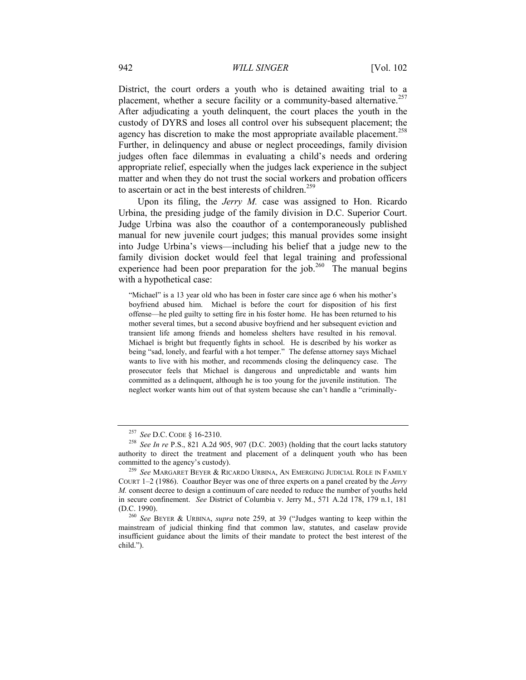District, the court orders a youth who is detained awaiting trial to a placement, whether a secure facility or a community-based alternative.<sup>257</sup> After adjudicating a youth delinquent, the court places the youth in the custody of DYRS and loses all control over his subsequent placement; the agency has discretion to make the most appropriate available placement.<sup>258</sup> Further, in delinquency and abuse or neglect proceedings, family division judges often face dilemmas in evaluating a child's needs and ordering appropriate relief, especially when the judges lack experience in the subject matter and when they do not trust the social workers and probation officers to ascertain or act in the best interests of children.<sup>259</sup>

<span id="page-42-0"></span>Upon its filing, the *Jerry M.* case was assigned to Hon. Ricardo Urbina, the presiding judge of the family division in D.C. Superior Court. Judge Urbina was also the coauthor of a contemporaneously published manual for new juvenile court judges; this manual provides some insight into Judge Urbina's views—including his belief that a judge new to the family division docket would feel that legal training and professional experience had been poor preparation for the job.<sup>260</sup> The manual begins with a hypothetical case:

"Michael" is a 13 year old who has been in foster care since age 6 when his mother's boyfriend abused him. Michael is before the court for disposition of his first offense—he pled guilty to setting fire in his foster home. He has been returned to his mother several times, but a second abusive boyfriend and her subsequent eviction and transient life among friends and homeless shelters have resulted in his removal. Michael is bright but frequently fights in school. He is described by his worker as being "sad, lonely, and fearful with a hot temper." The defense attorney says Michael wants to live with his mother, and recommends closing the delinquency case. The prosecutor feels that Michael is dangerous and unpredictable and wants him committed as a delinquent, although he is too young for the juvenile institution. The neglect worker wants him out of that system because she can't handle a "criminally-

<sup>257</sup> *See* D.C. CODE § 16-2310.

<sup>258</sup> *See In re* P.S., 821 A.2d 905, 907 (D.C. 2003) (holding that the court lacks statutory authority to direct the treatment and placement of a delinquent youth who has been committed to the agency's custody).

<sup>259</sup> *See* MARGARET BEYER & RICARDO URBINA, AN EMERGING JUDICIAL ROLE IN FAMILY COURT 1–2 (1986). Coauthor Beyer was one of three experts on a panel created by the *Jerry M.* consent decree to design a continuum of care needed to reduce the number of youths held in secure confinement. *See* District of Columbia v. Jerry M., 571 A.2d 178, 179 n.1, 181 (D.C. 1990).

<sup>260</sup> *See* BEYER & URBINA, *supra* note [259](#page-42-0), at 39 ("Judges wanting to keep within the mainstream of judicial thinking find that common law, statutes, and caselaw provide insufficient guidance about the limits of their mandate to protect the best interest of the child.").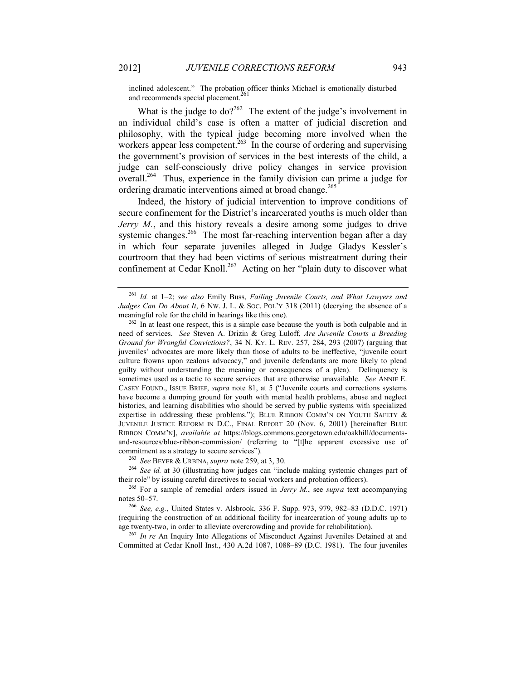<span id="page-43-0"></span>inclined adolescent." The probation officer thinks Michael is emotionally disturbed and recommends special placement.<sup>26</sup>

What is the judge to  $do?^{262}$  The extent of the judge's involvement in an individual child's case is often a matter of judicial discretion and philosophy, with the typical judge becoming more involved when the workers appear less competent.<sup>263</sup> In the course of ordering and supervising the government's provision of services in the best interests of the child, a judge can self-consciously drive policy changes in service provision overall.<sup>264</sup> Thus, experience in the family division can prime a judge for ordering dramatic interventions aimed at broad change.<sup>265</sup>

Indeed, the history of judicial intervention to improve conditions of secure confinement for the District's incarcerated youths is much older than *Jerry M.*, and this history reveals a desire among some judges to drive systemic changes.<sup>266</sup> The most far-reaching intervention began after a day in which four separate juveniles alleged in Judge Gladys Kessler's courtroom that they had been victims of serious mistreatment during their confinement at Cedar Knoll.<sup>267</sup> Acting on her "plain duty to discover what

<sup>263</sup> *See* BEYER & URBINA, *supra* note [259,](#page-42-0) at 3, 30.

<sup>264</sup> *See id.* at 30 (illustrating how judges can "include making systemic changes part of their role" by issuing careful directives to social workers and probation officers).

<sup>265</sup> For a sample of remedial orders issued in *Jerry M.*, see *supra* text accompanying note[s 50](#page-9-0)–[57.](#page-10-2)

<sup>266</sup> *See, e.g.*, United States v. Alsbrook, 336 F. Supp. 973, 979, 982–83 (D.D.C. 1971) (requiring the construction of an additional facility for incarceration of young adults up to age twenty-two, in order to alleviate overcrowding and provide for rehabilitation).

<sup>267</sup> *In re* An Inquiry Into Allegations of Misconduct Against Juveniles Detained at and Committed at Cedar Knoll Inst., 430 A.2d 1087, 1088–89 (D.C. 1981). The four juveniles

<sup>261</sup> *Id.* at 1–2; *see also* Emily Buss, *Failing Juvenile Courts, and What Lawyers and Judges Can Do About It*, 6 Nw. J. L. & Soc. Pol'y 318 (2011) (decrying the absence of a meaningful role for the child in hearings like this one).

 $262$  In at least one respect, this is a simple case because the youth is both culpable and in need of services. *See* Steven A. Drizin & Greg Luloff, *Are Juvenile Courts a Breeding Ground for Wrongful Convictions?*, 34 N. KY. L. REV. 257, 284, 293 (2007) (arguing that juveniles' advocates are more likely than those of adults to be ineffective, "juvenile court culture frowns upon zealous advocacy," and juvenile defendants are more likely to plead guilty without understanding the meaning or consequences of a plea). Delinquency is sometimes used as a tactic to secure services that are otherwise unavailable. *See* ANNIE E. CASEY FOUND., ISSUE BRIEF, *supra* note [81](#page-14-0), at 5 ("Juvenile courts and corrections systems have become a dumping ground for youth with mental health problems, abuse and neglect histories, and learning disabilities who should be served by public systems with specialized expertise in addressing these problems."); BLUE RIBBON COMM'N ON YOUTH SAFETY & JUVENILE JUSTICE REFORM IN D.C., FINAL REPORT 20 (Nov. 6, 2001) [hereinafter BLUE RIBBON COMM'N], *available at* https://blogs.commons.georgetown.edu/oakhill/documentsand-resources/blue-ribbon-commission/ (referring to "[t]he apparent excessive use of commitment as a strategy to secure services").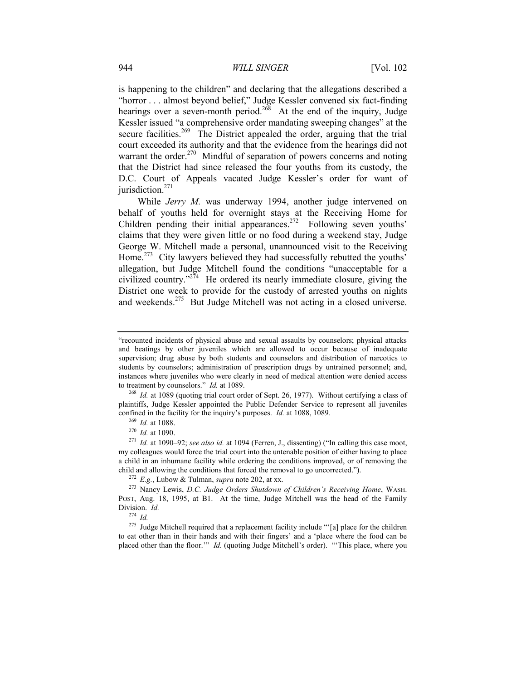is happening to the children" and declaring that the allegations described a "horror . . . almost beyond belief," Judge Kessler convened six fact-finding hearings over a seven-month period.<sup>268</sup> At the end of the inquiry, Judge Kessler issued "a comprehensive order mandating sweeping changes" at the secure facilities.<sup>269</sup> The District appealed the order, arguing that the trial court exceeded its authority and that the evidence from the hearings did not warrant the order.<sup>270</sup> Mindful of separation of powers concerns and noting that the District had since released the four youths from its custody, the D.C. Court of Appeals vacated Judge Kessler's order for want of jurisdiction.<sup>271</sup>

While *Jerry M.* was underway 1994, another judge intervened on behalf of youths held for overnight stays at the Receiving Home for Children pending their initial appearances.<sup>272</sup> Following seven youths' claims that they were given little or no food during a weekend stay, Judge George W. Mitchell made a personal, unannounced visit to the Receiving Home.<sup>273</sup> City lawyers believed they had successfully rebutted the youths<sup>7</sup> allegation, but Judge Mitchell found the conditions "unacceptable for a civilized country."<sup>274</sup> He ordered its nearly immediate closure, giving the District one week to provide for the custody of arrested youths on nights and weekends.<sup>275</sup> But Judge Mitchell was not acting in a closed universe.

<sup>268</sup> *Id.* at 1089 (quoting trial court order of Sept. 26, 1977). Without certifying a class of plaintiffs, Judge Kessler appointed the Public Defender Service to represent all juveniles confined in the facility for the inquiry's purposes. *Id.* at 1088, 1089.

<sup>&</sup>quot;recounted incidents of physical abuse and sexual assaults by counselors; physical attacks and beatings by other juveniles which are allowed to occur because of inadequate supervision; drug abuse by both students and counselors and distribution of narcotics to students by counselors; administration of prescription drugs by untrained personnel; and, instances where juveniles who were clearly in need of medical attention were denied access to treatment by counselors." *Id.* at 1089.

<sup>269</sup> *Id.* at 1088.

<sup>270</sup> *Id.* at 1090.

<sup>271</sup> *Id.* at 1090–92; *see also id.* at 1094 (Ferren, J., dissenting) ("In calling this case moot, my colleagues would force the trial court into the untenable position of either having to place a child in an inhumane facility while ordering the conditions improved, or of removing the child and allowing the conditions that forced the removal to go uncorrected.").

<sup>272</sup> *E.g.*, Lubow & Tulman, *supra* note [202,](#page-32-1) at xx.

<sup>273</sup> Nancy Lewis, *D.C. Judge Orders Shutdown of Children's Receiving Home*, WASH. POST, Aug. 18, 1995, at B1. At the time, Judge Mitchell was the head of the Family Division. *Id.*

 $^{274}$  *Id.* 

 $275$  Judge Mitchell required that a replacement facility include "'[a] place for the children to eat other than in their hands and with their fingers' and a 'place where the food can be placed other than the floor.'" *Id.* (quoting Judge Mitchell's order). "'This place, where you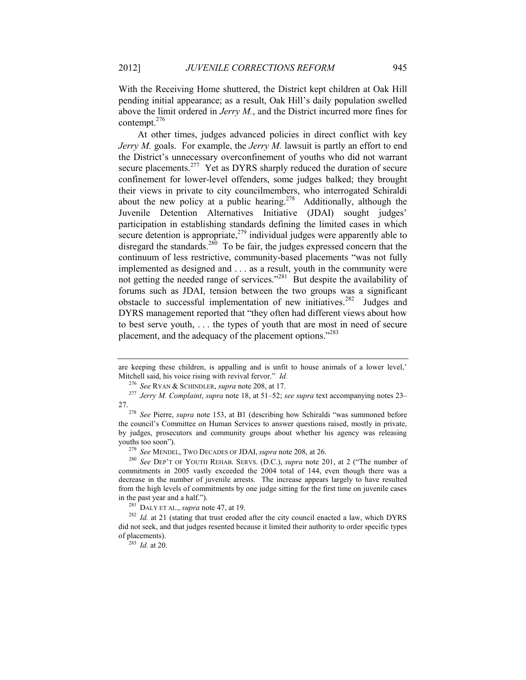With the Receiving Home shuttered, the District kept children at Oak Hill pending initial appearance; as a result, Oak Hill's daily population swelled above the limit ordered in *Jerry M.*, and the District incurred more fines for contempt.<sup>276</sup>

At other times, judges advanced policies in direct conflict with key *Jerry M.* goals. For example, the *Jerry M.* lawsuit is partly an effort to end the District's unnecessary overconfinement of youths who did not warrant secure placements.<sup>277</sup> Yet as DYRS sharply reduced the duration of secure confinement for lower-level offenders, some judges balked; they brought their views in private to city councilmembers, who interrogated Schiraldi about the new policy at a public hearing.<sup>278</sup> Additionally, although the Juvenile Detention Alternatives Initiative (JDAI) sought judges' participation in establishing standards defining the limited cases in which secure detention is appropriate,<sup> $279$ </sup> individual judges were apparently able to disregard the standards.<sup>280</sup> To be fair, the judges expressed concern that the continuum of less restrictive, community-based placements "was not fully implemented as designed and . . . as a result, youth in the community were not getting the needed range of services."<sup>281</sup> But despite the availability of forums such as JDAI, tension between the two groups was a significant obstacle to successful implementation of new initiatives.<sup>282</sup> Judges and DYRS management reported that "they often had different views about how to best serve youth, . . . the types of youth that are most in need of secure placement, and the adequacy of the placement options."<sup>283</sup>

are keeping these children, is appalling and is unfit to house animals of a lower level,' Mitchell said, his voice rising with revival fervor." *Id.*

<sup>276</sup> *See* RYAN & SCHINDLER, *supra* note [208,](#page-33-0) at 17.

<sup>277</sup> *Jerry M. Complaint*, *supra* not[e 18,](#page-5-0) at 51–52; *see supra* text accompanying note[s 23](#page-5-2)– [27.](#page-6-0)

<sup>278</sup> *See* Pierre, *supra* note [153,](#page-24-0) at B1 (describing how Schiraldi "was summoned before the council's Committee on Human Services to answer questions raised, mostly in private, by judges, prosecutors and community groups about whether his agency was releasing youths too soon").

<sup>279</sup> *See* MENDEL, TWO DECADES OF JDAI, *supra* not[e 208,](#page-33-0) at 26.

<sup>280</sup> *See* DEP'T OF YOUTH REHAB. SERVS. (D.C.), *supra* note [201,](#page-32-2) at 2 ("The number of commitments in 2005 vastly exceeded the 2004 total of 144, even though there was a decrease in the number of juvenile arrests. The increase appears largely to have resulted from the high levels of commitments by one judge sitting for the first time on juvenile cases in the past year and a half.").

<sup>281</sup> DALY ET AL., *supra* not[e 47,](#page-8-0) at 19.

<sup>&</sup>lt;sup>282</sup> *Id.* at 21 (stating that trust eroded after the city council enacted a law, which DYRS did not seek, and that judges resented because it limited their authority to order specific types of placements).

<sup>283</sup> *Id.* at 20.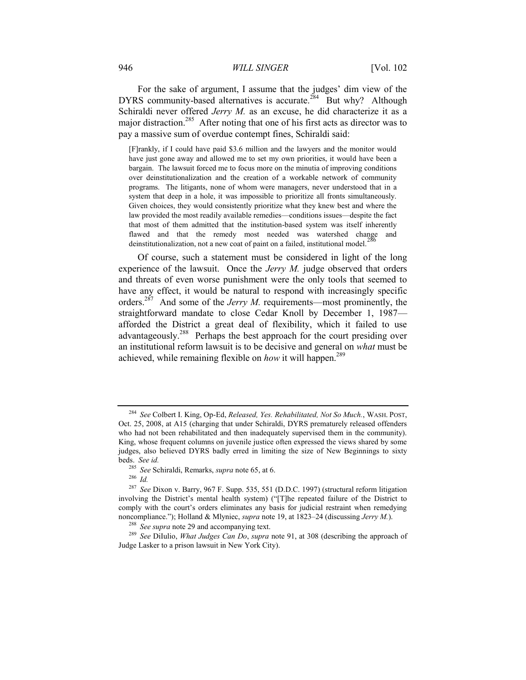#### 946 *WILL SINGER* [Vol. 102

For the sake of argument, I assume that the judges' dim view of the DYRS community-based alternatives is accurate.<sup>284</sup> But why? Although Schiraldi never offered *Jerry M.* as an excuse, he did characterize it as a major distraction.<sup>285</sup> After noting that one of his first acts as director was to pay a massive sum of overdue contempt fines, Schiraldi said:

<span id="page-46-1"></span>[F]rankly, if I could have paid \$3.6 million and the lawyers and the monitor would have just gone away and allowed me to set my own priorities, it would have been a bargain. The lawsuit forced me to focus more on the minutia of improving conditions over deinstitutionalization and the creation of a workable network of community programs. The litigants, none of whom were managers, never understood that in a system that deep in a hole, it was impossible to prioritize all fronts simultaneously. Given choices, they would consistently prioritize what they knew best and where the law provided the most readily available remedies—conditions issues—despite the fact that most of them admitted that the institution-based system was itself inherently flawed and that the remedy most needed was watershed change and deinstitutionalization, not a new coat of paint on a failed, institutional model.<sup>2</sup>

<span id="page-46-0"></span>Of course, such a statement must be considered in light of the long experience of the lawsuit. Once the *Jerry M.* judge observed that orders and threats of even worse punishment were the only tools that seemed to have any effect, it would be natural to respond with increasingly specific orders.<sup>287</sup> And some of the *Jerry M*. requirements—most prominently, the straightforward mandate to close Cedar Knoll by December 1, 1987 afforded the District a great deal of flexibility, which it failed to use advantageously.<sup>288</sup> Perhaps the best approach for the court presiding over an institutional reform lawsuit is to be decisive and general on *what* must be achieved, while remaining flexible on *how* it will happen.<sup>289</sup>

<sup>284</sup> *See* Colbert I. King, Op-Ed, *Released, Yes. Rehabilitated, Not So Much.*, WASH. POST, Oct. 25, 2008, at A15 (charging that under Schiraldi, DYRS prematurely released offenders who had not been rehabilitated and then inadequately supervised them in the community). King, whose frequent columns on juvenile justice often expressed the views shared by some judges, also believed DYRS badly erred in limiting the size of New Beginnings to sixty beds. *See id.*

<sup>285</sup> *See* Schiraldi, Remarks, *supra* not[e 65,](#page-11-1) at 6.

<sup>286</sup> *Id.*

<sup>287</sup> *See* Dixon v. Barry, 967 F. Supp. 535, 551 (D.D.C. 1997) (structural reform litigation involving the District's mental health system) ("[T]he repeated failure of the District to comply with the court's orders eliminates any basis for judicial restraint when remedying noncompliance."); Holland & Mlyniec, *supra* not[e 19,](#page-5-1) at 1823–24 (discussing *Jerry M.*).

<sup>&</sup>lt;sup>288</sup> *See supra* not[e 29](#page-6-1) and accompanying text.

<sup>289</sup> *See* DiIulio, *What Judges Can Do*, *supra* note [91,](#page-16-3) at 308 (describing the approach of Judge Lasker to a prison lawsuit in New York City).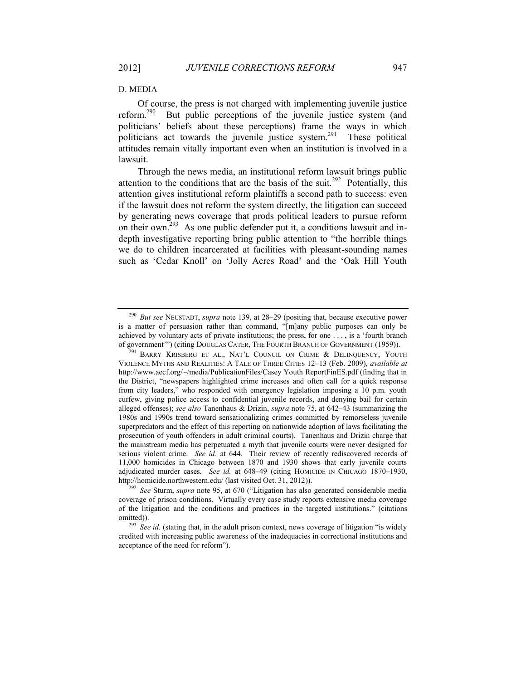#### D. MEDIA

<span id="page-47-0"></span>Of course, the press is not charged with implementing juvenile justice reform.<sup>290</sup> But public perceptions of the juvenile justice system (and politicians' beliefs about these perceptions) frame the ways in which politicians act towards the juvenile justice system.<sup>291</sup> These political attitudes remain vitally important even when an institution is involved in a lawsuit.

Through the news media, an institutional reform lawsuit brings public attention to the conditions that are the basis of the suit.<sup>292</sup> Potentially, this attention gives institutional reform plaintiffs a second path to success: even if the lawsuit does not reform the system directly, the litigation can succeed by generating news coverage that prods political leaders to pursue reform on their own.<sup>293</sup> As one public defender put it, a conditions lawsuit and indepth investigative reporting bring public attention to "the horrible things we do to children incarcerated at facilities with pleasant-sounding names such as 'Cedar Knoll' on 'Jolly Acres Road' and the 'Oak Hill Youth

<sup>290</sup> *But see* NEUSTADT, *supra* note [139,](#page-22-1) at 28–29 (positing that, because executive power is a matter of persuasion rather than command, "[m]any public purposes can only be achieved by voluntary acts of private institutions; the press, for one . . . , is a 'fourth branch of government'") (citing DOUGLAS CATER, THE FOURTH BRANCH OF GOVERNMENT (1959)).

<sup>&</sup>lt;sup>291</sup> BARRY KRISBERG ET AL., NAT'L COUNCIL ON CRIME & DELINQUENCY, YOUTH VIOLENCE MYTHS AND REALITIES: A TALE OF THREE CITIES 12–13 (Feb. 2009), *available at* http://www.aecf.org/~/media/PublicationFiles/Casey Youth ReportFinES.pdf (finding that in the District, "newspapers highlighted crime increases and often call for a quick response from city leaders," who responded with emergency legislation imposing a 10 p.m. youth curfew, giving police access to confidential juvenile records, and denying bail for certain alleged offenses); *see also* Tanenhaus & Drizin, *supra* note [75,](#page-13-1) at 642–43 (summarizing the 1980s and 1990s trend toward sensationalizing crimes committed by remorseless juvenile superpredators and the effect of this reporting on nationwide adoption of laws facilitating the prosecution of youth offenders in adult criminal courts). Tanenhaus and Drizin charge that the mainstream media has perpetuated a myth that juvenile courts were never designed for serious violent crime. *See id.* at 644. Their review of recently rediscovered records of 11,000 homicides in Chicago between 1870 and 1930 shows that early juvenile courts adjudicated murder cases. *See id.* at 648–49 (citing HOMICIDE IN CHICAGO 1870–1930, http://homicide.northwestern.edu/ (last visited Oct. 31, 2012)).

<sup>292</sup> *See* Sturm, *supra* note [95](#page-16-1), at 670 ("Litigation has also generated considerable media coverage of prison conditions. Virtually every case study reports extensive media coverage of the litigation and the conditions and practices in the targeted institutions." (citations omitted)).

<sup>293</sup> *See id.* (stating that, in the adult prison context, news coverage of litigation "is widely credited with increasing public awareness of the inadequacies in correctional institutions and acceptance of the need for reform").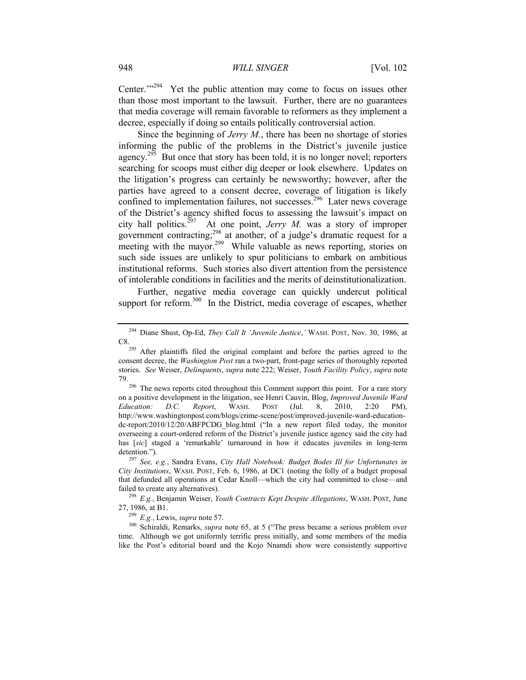Center."<sup>294</sup> Yet the public attention may come to focus on issues other than those most important to the lawsuit. Further, there are no guarantees that media coverage will remain favorable to reformers as they implement a decree, especially if doing so entails politically controversial action.

Since the beginning of *Jerry M.*, there has been no shortage of stories informing the public of the problems in the District's juvenile justice agency.<sup>295</sup> But once that story has been told, it is no longer novel; reporters searching for scoops must either dig deeper or look elsewhere. Updates on the litigation's progress can certainly be newsworthy; however, after the parties have agreed to a consent decree, coverage of litigation is likely confined to implementation failures, not successes.<sup>296</sup> Later news coverage of the District's agency shifted focus to assessing the lawsuit's impact on city hall politics.<sup>297</sup> At one point, *Jerry M*. was a story of improper government contracting; <sup>298</sup> at another, of a judge's dramatic request for a meeting with the mayor.<sup>299</sup> While valuable as news reporting, stories on such side issues are unlikely to spur politicians to embark on ambitious institutional reforms. Such stories also divert attention from the persistence of intolerable conditions in facilities and the merits of deinstitutionalization.

Further, negative media coverage can quickly undercut political support for reform.<sup>300</sup> In the District, media coverage of escapes, whether

<sup>299</sup> *E.g.*, Lewis, *supra* note [57.](#page-10-2)

<sup>300</sup> Schiraldi, Remarks, *supra* note [65](#page-11-1), at 5 ("The press became a serious problem over time. Although we got uniformly terrific press initially, and some members of the media like the Post's editorial board and the Kojo Nnamdi show were consistently supportive

<sup>294</sup> Diane Shust, Op-Ed, *They Call It 'Juvenile Justice*,*'* WASH. POST, Nov. 30, 1986, at C8.

<sup>&</sup>lt;sup>295</sup> After plaintiffs filed the original complaint and before the parties agreed to the consent decree, the *Washington Post* ran a two-part, front-page series of thoroughly reported stories. *See* Weiser, *Delinquents*, *supra* note [222;](#page-36-0) Weiser, *Youth Facility Policy*, *supra* note [79.](#page-14-1)

<sup>&</sup>lt;sup>296</sup> The news reports cited throughout this Comment support this point. For a rare story on a positive development in the litigation, see Henri Cauvin, Blog, *Improved Juvenile Ward Education: D.C. Report*, WASH. POST (Jul. 8, 2010, 2:20 PM), http://www.washingtonpost.com/blogs/crime-scene/post/improved-juvenile-ward-educationdc-report/2010/12/20/ABFPCDG\_blog.html ("In a new report filed today, the monitor overseeing a court-ordered reform of the District's juvenile justice agency said the city had has [*sic*] staged a 'remarkable' turnaround in how it educates juveniles in long-term detention.").

<sup>297</sup> *See, e.g.*, Sandra Evans, *City Hall Notebook: Budget Bodes Ill for Unfortunates in City Institutions*, WASH. POST, Feb. 6, 1986, at DC1 (noting the folly of a budget proposal that defunded all operations at Cedar Knoll—which the city had committed to close—and failed to create any alternatives).

<sup>298</sup> *E.g.*, Benjamin Weiser, *Youth Contracts Kept Despite Allegations*, WASH. POST, June 27, 1986, at B1.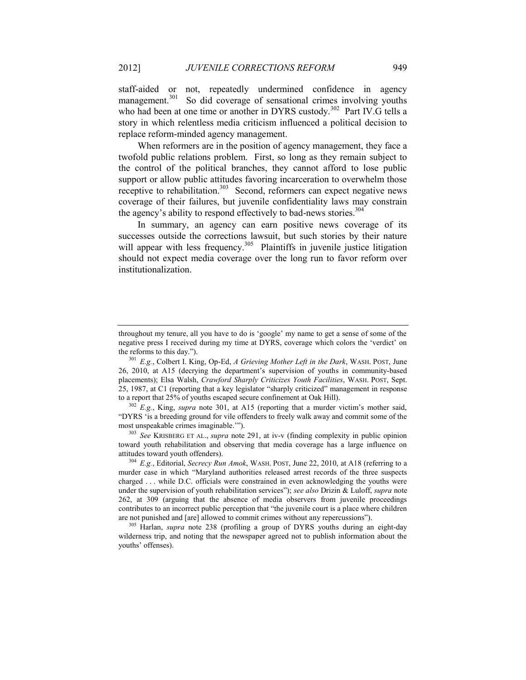<span id="page-49-0"></span>staff-aided or not, repeatedly undermined confidence in agency management.<sup>301</sup> So did coverage of sensational crimes involving youths who had been at one time or another in DYRS custody.<sup>302</sup> Part IV.G tells a story in which relentless media criticism influenced a political decision to replace reform-minded agency management.

When reformers are in the position of agency management, they face a twofold public relations problem. First, so long as they remain subject to the control of the political branches, they cannot afford to lose public support or allow public attitudes favoring incarceration to overwhelm those receptive to rehabilitation.<sup>303</sup> Second, reformers can expect negative news coverage of their failures, but juvenile confidentiality laws may constrain the agency's ability to respond effectively to bad-news stories.<sup>304</sup>

In summary, an agency can earn positive news coverage of its successes outside the corrections lawsuit, but such stories by their nature will appear with less frequency.<sup>305</sup> Plaintiffs in juvenile justice litigation should not expect media coverage over the long run to favor reform over institutionalization.

<sup>303</sup> *See* KRISBERG ET AL., *supra* note [291,](#page-47-0) at iv-v (finding complexity in public opinion toward youth rehabilitation and observing that media coverage has a large influence on attitudes toward youth offenders).

<sup>304</sup> *E.g.*, Editorial, *Secrecy Run Amok*, WASH. POST, June 22, 2010, at A18 (referring to a murder case in which "Maryland authorities released arrest records of the three suspects charged . . . while D.C. officials were constrained in even acknowledging the youths were under the supervision of youth rehabilitation services"); *see also* Drizin & Luloff, *supra* note [262,](#page-43-0) at 309 (arguing that the absence of media observers from juvenile proceedings contributes to an incorrect public perception that "the juvenile court is a place where children are not punished and [are] allowed to commit crimes without any repercussions").

<sup>305</sup> Harlan, *supra* note [238](#page-38-0) (profiling a group of DYRS youths during an eight-day wilderness trip, and noting that the newspaper agreed not to publish information about the youths' offenses).

throughout my tenure, all you have to do is 'google' my name to get a sense of some of the negative press I received during my time at DYRS, coverage which colors the 'verdict' on the reforms to this day.").

<sup>301</sup> *E.g.*, Colbert I. King, Op-Ed, *A Grieving Mother Left in the Dark*, WASH. POST, June 26, 2010, at A15 (decrying the department's supervision of youths in community-based placements); Elsa Walsh, *Crawford Sharply Criticizes Youth Facilities*, WASH. POST, Sept. 25, 1987, at C1 (reporting that a key legislator "sharply criticized" management in response to a report that 25% of youths escaped secure confinement at Oak Hill).

<sup>&</sup>lt;sup>302</sup> *E.g.*, King, *supra* note [301](#page-49-0), at A15 (reporting that a murder victim's mother said, "DYRS 'is a breeding ground for vile offenders to freely walk away and commit some of the most unspeakable crimes imaginable.'").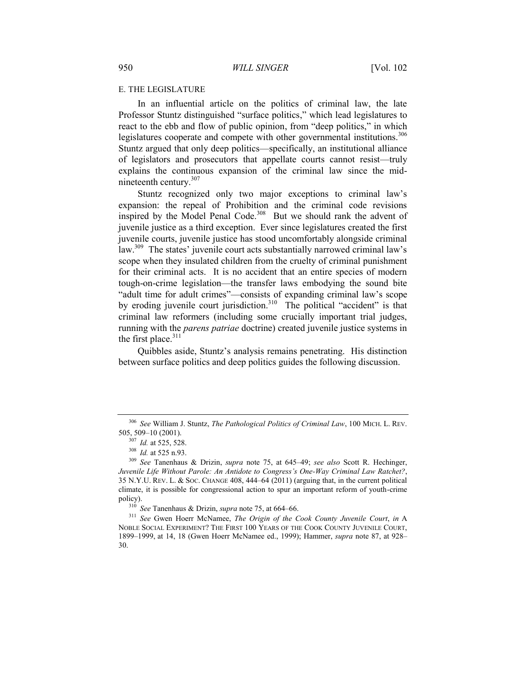#### E. THE LEGISLATURE

<span id="page-50-0"></span>In an influential article on the politics of criminal law, the late Professor Stuntz distinguished "surface politics," which lead legislatures to react to the ebb and flow of public opinion, from "deep politics," in which legislatures cooperate and compete with other governmental institutions.<sup>306</sup> Stuntz argued that only deep politics—specifically, an institutional alliance of legislators and prosecutors that appellate courts cannot resist—truly explains the continuous expansion of the criminal law since the midnineteenth century. $307$ 

Stuntz recognized only two major exceptions to criminal law's expansion: the repeal of Prohibition and the criminal code revisions inspired by the Model Penal Code.<sup>308</sup> But we should rank the advent of juvenile justice as a third exception. Ever since legislatures created the first juvenile courts, juvenile justice has stood uncomfortably alongside criminal law.<sup>309</sup> The states' juvenile court acts substantially narrowed criminal law's scope when they insulated children from the cruelty of criminal punishment for their criminal acts. It is no accident that an entire species of modern tough-on-crime legislation—the transfer laws embodying the sound bite "adult time for adult crimes"—consists of expanding criminal law's scope by eroding juvenile court jurisdiction.<sup>310</sup> The political "accident" is that criminal law reformers (including some crucially important trial judges, running with the *parens patriae* doctrine) created juvenile justice systems in the first place. $311$ 

Quibbles aside, Stuntz's analysis remains penetrating. His distinction between surface politics and deep politics guides the following discussion.

<sup>306</sup> *See* William J. Stuntz, *The Pathological Politics of Criminal Law*, 100 MICH. L. REV. 505, 509–10 (2001).

<sup>307</sup> *Id.* at 525, 528.

<sup>308</sup> *Id.* at 525 n.93.

<sup>309</sup> *See* Tanenhaus & Drizin, *supra* note [75,](#page-13-1) at 645–49; *see also* Scott R. Hechinger, *Juvenile Life Without Parole: An Antidote to Congress's One-Way Criminal Law Ratchet?*, 35 N.Y.U. REV. L. & SOC. CHANGE 408, 444–64 (2011) (arguing that, in the current political climate, it is possible for congressional action to spur an important reform of youth-crime policy).

<sup>310</sup> *See* Tanenhaus & Drizin, *supra* not[e 75,](#page-13-1) at 664–66.

<sup>311</sup> *See* Gwen Hoerr McNamee, *The Origin of the Cook County Juvenile Court*, *in* A NOBLE SOCIAL EXPERIMENT? THE FIRST 100 YEARS OF THE COOK COUNTY JUVENILE COURT, 1899–1999, at 14, 18 (Gwen Hoerr McNamee ed., 1999); Hammer, *supra* note [87,](#page-15-2) at 928– 30.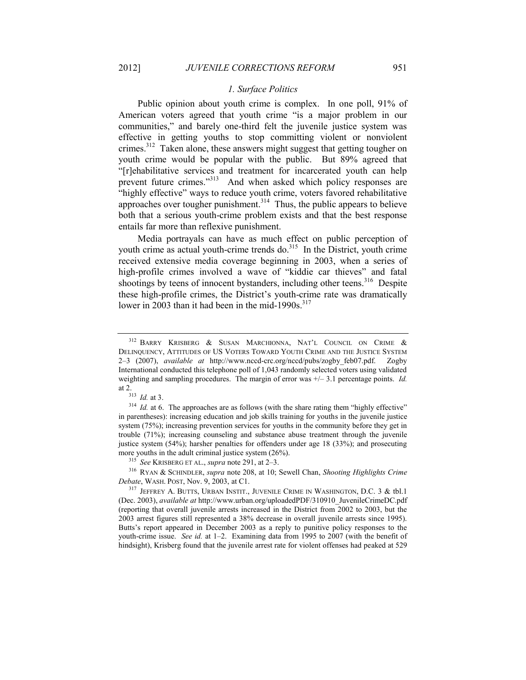#### *1. Surface Politics*

Public opinion about youth crime is complex. In one poll, 91% of American voters agreed that youth crime "is a major problem in our communities," and barely one-third felt the juvenile justice system was effective in getting youths to stop committing violent or nonviolent crimes.<sup>312</sup> Taken alone, these answers might suggest that getting tougher on youth crime would be popular with the public. But 89% agreed that "[r]ehabilitative services and treatment for incarcerated youth can help prevent future crimes."<sup>313</sup> And when asked which policy responses are "highly effective" ways to reduce youth crime, voters favored rehabilitative approaches over tougher punishment.<sup>314</sup> Thus, the public appears to believe both that a serious youth-crime problem exists and that the best response entails far more than reflexive punishment.

Media portrayals can have as much effect on public perception of youth crime as actual youth-crime trends do. $315$  In the District, youth crime received extensive media coverage beginning in 2003, when a series of high-profile crimes involved a wave of "kiddie car thieves" and fatal shootings by teens of innocent bystanders, including other teens.<sup>316</sup> Despite these high-profile crimes, the District's youth-crime rate was dramatically lower in 2003 than it had been in the mid-1990s.<sup>317</sup>

<sup>315</sup> *See* KRISBERG ET AL., *supra* note 291, at 2–3.

<sup>316</sup> RYAN & SCHINDLER, *supra* not[e 208,](#page-33-0) at 10; Sewell Chan, *Shooting Highlights Crime Debate*, WASH. POST, Nov. 9, 2003, at C1.

<sup>317</sup> JEFFREY A. BUTTS, URBAN INSTIT., JUVENILE CRIME IN WASHINGTON, D.C. 3 & tbl.1 (Dec. 2003), *available at* http://www.urban.org/uploadedPDF/310910\_JuvenileCrimeDC.pdf (reporting that overall juvenile arrests increased in the District from 2002 to 2003, but the 2003 arrest figures still represented a 38% decrease in overall juvenile arrests since 1995). Butts's report appeared in December 2003 as a reply to punitive policy responses to the youth-crime issue. *See id.* at 1–2. Examining data from 1995 to 2007 (with the benefit of hindsight), Krisberg found that the juvenile arrest rate for violent offenses had peaked at 529

<sup>&</sup>lt;sup>312</sup> BARRY KRISBERG & SUSAN MARCHIONNA, NAT'L COUNCIL ON CRIME & DELINQUENCY, ATTITUDES OF US VOTERS TOWARD YOUTH CRIME AND THE JUSTICE SYSTEM 2–3 (2007), *available at* http://www.nccd-crc.org/nccd/pubs/zogby\_feb07.pdf. Zogby International conducted this telephone poll of 1,043 randomly selected voters using validated weighting and sampling procedures. The margin of error was +/– 3.1 percentage points. *Id.* at 2.

<sup>313</sup> *Id.* at 3.

<sup>&</sup>lt;sup>314</sup> *Id.* at 6. The approaches are as follows (with the share rating them "highly effective" in parentheses): increasing education and job skills training for youths in the juvenile justice system (75%); increasing prevention services for youths in the community before they get in trouble (71%); increasing counseling and substance abuse treatment through the juvenile justice system (54%); harsher penalties for offenders under age 18 (33%); and prosecuting more youths in the adult criminal justice system (26%).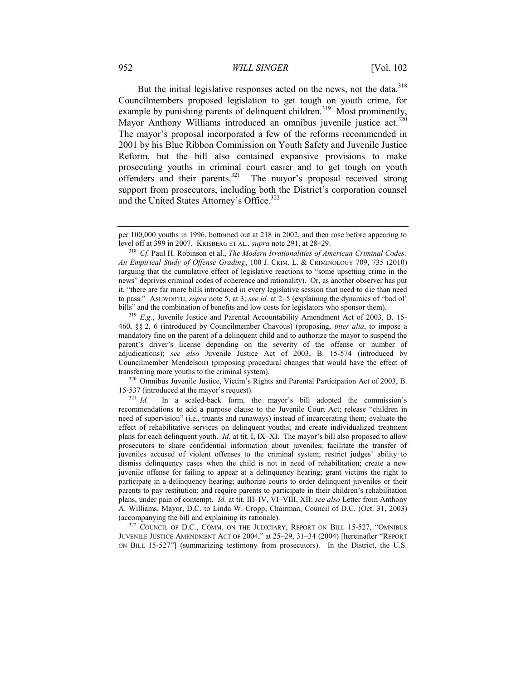<span id="page-52-1"></span>But the initial legislative responses acted on the news, not the data.<sup>318</sup> Councilmembers proposed legislation to get tough on youth crime, for example by punishing parents of delinquent children.<sup>319</sup> Most prominently, Mayor Anthony Williams introduced an omnibus juvenile justice act.<sup>320</sup> The mayor's proposal incorporated a few of the reforms recommended in 2001 by his Blue Ribbon Commission on Youth Safety and Juvenile Justice Reform, but the bill also contained expansive provisions to make prosecuting youths in criminal court easier and to get tough on youth offenders and their parents. $321$  The mayor's proposal received strong support from prosecutors, including both the District's corporation counsel and the United States Attorney's Office.<sup>322</sup>

 $320$  Omnibus Juvenile Justice, Victim's Rights and Parental Participation Act of 2003, B. 15-537 (introduced at the mayor's request).<br> $^{321}$  *Id*. In a scaled-back form, t

In a scaled-back form, the mayor's bill adopted the commission's recommendations to add a purpose clause to the Juvenile Court Act; release "children in need of supervision" (i.e., truants and runaways) instead of incarcerating them; evaluate the effect of rehabilitative services on delinquent youths; and create individualized treatment plans for each delinquent youth. *Id.* at tit. I, IX–XI. The mayor's bill also proposed to allow prosecutors to share confidential information about juveniles; facilitate the transfer of juveniles accused of violent offenses to the criminal system; restrict judges' ability to dismiss delinquency cases when the child is not in need of rehabilitation; create a new juvenile offense for failing to appear at a delinquency hearing; grant victims the right to participate in a delinquency hearing; authorize courts to order delinquent juveniles or their parents to pay restitution; and require parents to participate in their children's rehabilitation plans, under pain of contempt. *Id.* at tit. III–IV, VI–VIII, XII; *see also* Letter from Anthony A. Williams, Mayor, D.C. to Linda W. Cropp, Chairman, Council of D.C. (Oct. 31, 2003) (accompanying the bill and explaining its rationale).

<sup>322</sup> COUNCIL OF D.C., COMM. ON THE JUDICIARY, REPORT ON BILL 15-527, "OMNIBUS JUVENILE JUSTICE AMENDMENT ACT OF 2004," at 25–29, 31–34 (2004) [hereinafter "REPORT ON BILL 15-527"] (summarizing testimony from prosecutors). In the District, the U.S.

<span id="page-52-0"></span>per 100,000 youths in 1996, bottomed out at 218 in 2002, and then rose before appearing to level off at 399 in 2007. KRISBERG ET AL., *supra* not[e 291,](#page-47-0) at 28–29.

<sup>318</sup> *Cf.* Paul H. Robinson et al., *The Modern Irrationalities of American Criminal Codes: An Empirical Study of Offense Grading*, 100 J. CRIM. L. & CRIMINOLOGY 709, 735 (2010) (arguing that the cumulative effect of legislative reactions to "some upsetting crime in the news" deprives criminal codes of coherence and rationality). Or, as another observer has put it, "there are far more bills introduced in every legislative session that need to die than need to pass." ASHWORTH, *supra* not[e 5,](#page-2-3) at 3; *see id.* at 2–5 (explaining the dynamics of "bad ol' bills" and the combination of benefits and low costs for legislators who sponsor them).

<sup>&</sup>lt;sup>319</sup> *E.g.*, Juvenile Justice and Parental Accountability Amendment Act of 2003, B. 15-460, §§ 2, 6 (introduced by Councilmember Chavous) (proposing, *inter alia*, to impose a mandatory fine on the parent of a delinquent child and to authorize the mayor to suspend the parent's driver's license depending on the severity of the offense or number of adjudications); *see also* Juvenile Justice Act of 2003, B. 15-574 (introduced by Councilmember Mendelson) (proposing procedural changes that would have the effect of transferring more youths to the criminal system).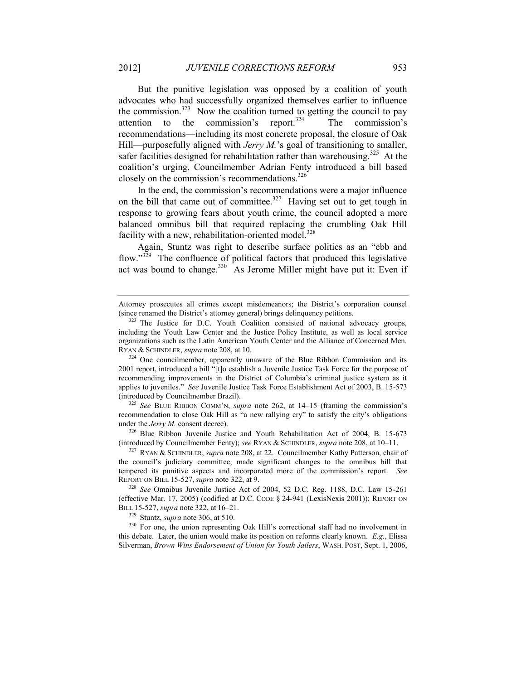But the punitive legislation was opposed by a coalition of youth advocates who had successfully organized themselves earlier to influence the commission.<sup>323</sup> Now the coalition turned to getting the council to pay attention to the commission's report.<sup>324</sup> The commission's recommendations—including its most concrete proposal, the closure of Oak Hill—purposefully aligned with *Jerry M*.'s goal of transitioning to smaller, safer facilities designed for rehabilitation rather than warehousing.<sup>325</sup> At the coalition's urging, Councilmember Adrian Fenty introduced a bill based closely on the commission's recommendations.<sup>326</sup>

In the end, the commission's recommendations were a major influence on the bill that came out of committee.<sup>327</sup> Having set out to get tough in response to growing fears about youth crime, the council adopted a more balanced omnibus bill that required replacing the crumbling Oak Hill facility with a new, rehabilitation-oriented model. $328$ 

<span id="page-53-0"></span>Again, Stuntz was right to describe surface politics as an "ebb and flow."<sup>329</sup> The confluence of political factors that produced this legislative act was bound to change.<sup>330</sup> As Jerome Miller might have put it: Even if

<sup>325</sup> *See* BLUE RIBBON COMM'N, *supra* note [262,](#page-43-0) at 14–15 (framing the commission's recommendation to close Oak Hill as "a new rallying cry" to satisfy the city's obligations under the *Jerry M.* consent decree).

<sup>326</sup> Blue Ribbon Juvenile Justice and Youth Rehabilitation Act of 2004, B. 15-673 (introduced by Councilmember Fenty); *see* RYAN & SCHINDLER, *supra* not[e 208,](#page-33-0) at 10–11.

<sup>327</sup> RYAN & SCHINDLER, *supra* not[e 208,](#page-33-0) at 22. Councilmember Kathy Patterson, chair of the council's judiciary committee, made significant changes to the omnibus bill that tempered its punitive aspects and incorporated more of the commission's report. *See* REPORT ON BILL 15-527,*supra* not[e 322,](#page-52-0) at 9.

<sup>328</sup> *See* Omnibus Juvenile Justice Act of 2004, 52 D.C. Reg. 1188, D.C. Law 15-261 (effective Mar. 17, 2005) (codified at D.C. CODE § 24-941 (LexisNexis 2001)); REPORT ON BILL 15-527, *supra* not[e 322,](#page-52-0) at 16–21.

<sup>329</sup> Stuntz, *supra* note [306,](#page-50-0) at 510.

<sup>330</sup> For one, the union representing Oak Hill's correctional staff had no involvement in this debate. Later, the union would make its position on reforms clearly known. *E.g.*, Elissa Silverman, *Brown Wins Endorsement of Union for Youth Jailers*, WASH. POST, Sept. 1, 2006,

Attorney prosecutes all crimes except misdemeanors; the District's corporation counsel (since renamed the District's attorney general) brings delinquency petitions.

<sup>&</sup>lt;sup>323</sup> The Justice for D.C. Youth Coalition consisted of national advocacy groups, including the Youth Law Center and the Justice Policy Institute, as well as local service organizations such as the Latin American Youth Center and the Alliance of Concerned Men. RYAN & SCHINDLER, *supra* not[e 208,](#page-33-0) at 10.

 $324$  One councilmember, apparently unaware of the Blue Ribbon Commission and its 2001 report, introduced a bill "[t]o establish a Juvenile Justice Task Force for the purpose of recommending improvements in the District of Columbia's criminal justice system as it applies to juveniles." *See* Juvenile Justice Task Force Establishment Act of 2003, B. 15-573 (introduced by Councilmember Brazil).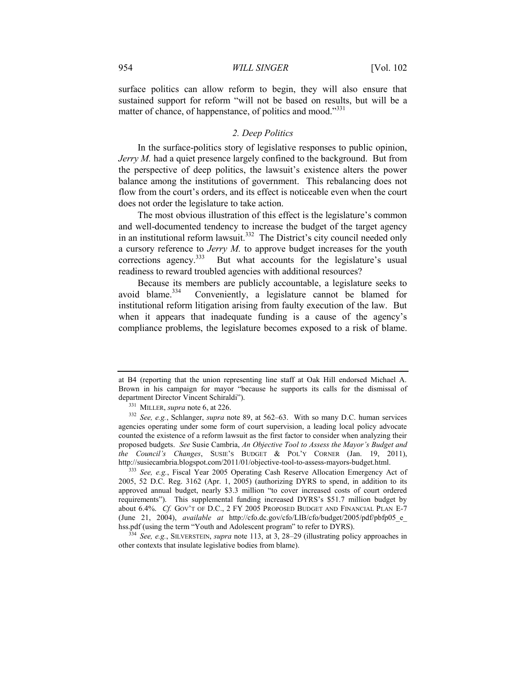surface politics can allow reform to begin, they will also ensure that sustained support for reform "will not be based on results, but will be a matter of chance, of happenstance, of politics and mood."<sup>331</sup>

#### *2. Deep Politics*

In the surface-politics story of legislative responses to public opinion, *Jerry M.* had a quiet presence largely confined to the background. But from the perspective of deep politics, the lawsuit's existence alters the power balance among the institutions of government. This rebalancing does not flow from the court's orders, and its effect is noticeable even when the court does not order the legislature to take action.

The most obvious illustration of this effect is the legislature's common and well-documented tendency to increase the budget of the target agency in an institutional reform lawsuit.<sup>332</sup> The District's city council needed only a cursory reference to *Jerry M.* to approve budget increases for the youth corrections agency.<sup>333</sup> But what accounts for the legislature's usual readiness to reward troubled agencies with additional resources?

Because its members are publicly accountable, a legislature seeks to avoid blame. $334$  Conveniently, a legislature cannot be blamed for institutional reform litigation arising from faulty execution of the law. But when it appears that inadequate funding is a cause of the agency's compliance problems, the legislature becomes exposed to a risk of blame.

<sup>333</sup> *See, e.g.*, Fiscal Year 2005 Operating Cash Reserve Allocation Emergency Act of 2005, 52 D.C. Reg. 3162 (Apr. 1, 2005) (authorizing DYRS to spend, in addition to its approved annual budget, nearly \$3.3 million "to cover increased costs of court ordered requirements"). This supplemental funding increased DYRS's \$51.7 million budget by about 6.4%. *Cf.* GOV'T OF D.C., 2 FY 2005 PROPOSED BUDGET AND FINANCIAL PLAN E-7 (June 21, 2004), *available at* http://cfo.dc.gov/cfo/LIB/cfo/budget/2005/pdf/pbfp05\_e\_ hss.pdf (using the term "Youth and Adolescent program" to refer to DYRS).

<sup>334</sup> *See, e.g.*, SILVERSTEIN, *supra* note [113,](#page-18-2) at 3, 28–29 (illustrating policy approaches in other contexts that insulate legislative bodies from blame).

at B4 (reporting that the union representing line staff at Oak Hill endorsed Michael A. Brown in his campaign for mayor "because he supports its calls for the dismissal of department Director Vincent Schiraldi").

<sup>331</sup> MILLER, *supra* note [6,](#page-2-0) at 226.

<sup>332</sup> *See, e.g.*, Schlanger, *supra* note [89,](#page-15-0) at 562–63. With so many D.C. human services agencies operating under some form of court supervision, a leading local policy advocate counted the existence of a reform lawsuit as the first factor to consider when analyzing their proposed budgets. *See* Susie Cambria, *An Objective Tool to Assess the Mayor's Budget and the Council's Changes*, SUSIE'S BUDGET & POL'Y CORNER (Jan. 19, 2011), http://susiecambria.blogspot.com/2011/01/objective-tool-to-assess-mayors-budget.html.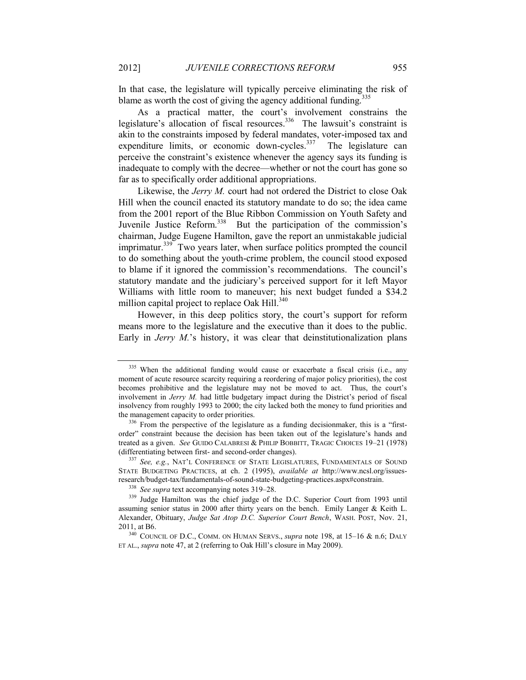In that case, the legislature will typically perceive eliminating the risk of blame as worth the cost of giving the agency additional funding.<sup>335</sup>

As a practical matter, the court's involvement constrains the legislature's allocation of fiscal resources.<sup>336</sup> The lawsuit's constraint is akin to the constraints imposed by federal mandates, voter-imposed tax and expenditure limits, or economic down-cycles.<sup>337</sup> The legislature can perceive the constraint's existence whenever the agency says its funding is inadequate to comply with the decree—whether or not the court has gone so far as to specifically order additional appropriations.

Likewise, the *Jerry M.* court had not ordered the District to close Oak Hill when the council enacted its statutory mandate to do so; the idea came from the 2001 report of the Blue Ribbon Commission on Youth Safety and Juvenile Justice Reform.<sup>338</sup> But the participation of the commission's chairman, Judge Eugene Hamilton, gave the report an unmistakable judicial imprimatur.<sup>339</sup> Two years later, when surface politics prompted the council to do something about the youth-crime problem, the council stood exposed to blame if it ignored the commission's recommendations. The council's statutory mandate and the judiciary's perceived support for it left Mayor Williams with little room to maneuver; his next budget funded a \$34.2 million capital project to replace Oak Hill.<sup>340</sup>

However, in this deep politics story, the court's support for reform means more to the legislature and the executive than it does to the public. Early in *Jerry M.*'s history, it was clear that deinstitutionalization plans

<sup>&</sup>lt;sup>335</sup> When the additional funding would cause or exacerbate a fiscal crisis (i.e., any moment of acute resource scarcity requiring a reordering of major policy priorities), the cost becomes prohibitive and the legislature may not be moved to act. Thus, the court's involvement in *Jerry M.* had little budgetary impact during the District's period of fiscal insolvency from roughly 1993 to 2000; the city lacked both the money to fund priorities and the management capacity to order priorities.

 $336$  From the perspective of the legislature as a funding decisionmaker, this is a "firstorder" constraint because the decision has been taken out of the legislature's hands and treated as a given. *See* GUIDO CALABRESI & PHILIP BOBBITT, TRAGIC CHOICES 19–21 (1978) (differentiating between first- and second-order changes).

<sup>337</sup> *See, e.g.*, NAT'L CONFERENCE OF STATE LEGISLATURES, FUNDAMENTALS OF SOUND STATE BUDGETING PRACTICES, at ch. 2 (1995), *available at* http://www.ncsl.org/issuesresearch/budget-tax/fundamentals-of-sound-state-budgeting-practices.aspx#constrain.

<sup>338</sup> *See supra* text accompanying notes [319](#page-52-1)–[28.](#page-53-0)

<sup>&</sup>lt;sup>339</sup> Judge Hamilton was the chief judge of the D.C. Superior Court from 1993 until assuming senior status in 2000 after thirty years on the bench. Emily Langer & Keith L. Alexander, Obituary, *Judge Sat Atop D.C. Superior Court Bench*, WASH. POST, Nov. 21, 2011, at B6.

<sup>340</sup> COUNCIL OF D.C., COMM. ON HUMAN SERVS., *supra* note [198,](#page-31-0) at 15–16 & n.6; DALY ET AL., *supra* note [47](#page-8-0), at 2 (referring to Oak Hill's closure in May 2009).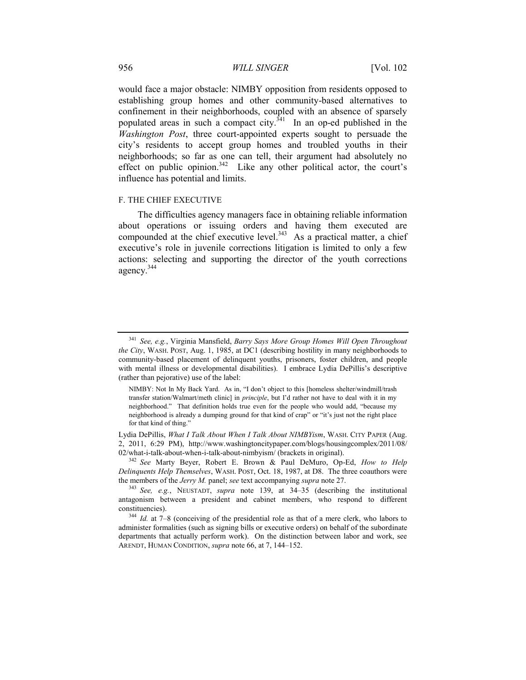#### 956 *WILL SINGER* [Vol. 102

would face a major obstacle: NIMBY opposition from residents opposed to establishing group homes and other community-based alternatives to confinement in their neighborhoods, coupled with an absence of sparsely populated areas in such a compact city.<sup> $341$ </sup> In an op-ed published in the *Washington Post*, three court-appointed experts sought to persuade the city's residents to accept group homes and troubled youths in their neighborhoods; so far as one can tell, their argument had absolutely no effect on public opinion.<sup>342</sup> Like any other political actor, the court's influence has potential and limits.

#### F. THE CHIEF EXECUTIVE

The difficulties agency managers face in obtaining reliable information about operations or issuing orders and having them executed are compounded at the chief executive level. $343$  As a practical matter, a chief executive's role in juvenile corrections litigation is limited to only a few actions: selecting and supporting the director of the youth corrections agency.<sup>344</sup>

<sup>341</sup> *See, e.g.*, Virginia Mansfield, *Barry Says More Group Homes Will Open Throughout the City*, WASH. POST, Aug. 1, 1985, at DC1 (describing hostility in many neighborhoods to community-based placement of delinquent youths, prisoners, foster children, and people with mental illness or developmental disabilities). I embrace Lydia DePillis's descriptive (rather than pejorative) use of the label:

NIMBY: Not In My Back Yard. As in, "I don't object to this [homeless shelter/windmill/trash transfer station/Walmart/meth clinic] in *principle*, but I'd rather not have to deal with it in my neighborhood." That definition holds true even for the people who would add, "because my neighborhood is already a dumping ground for that kind of crap" or "it's just not the right place for that kind of thing."

Lydia DePillis, *What I Talk About When I Talk About NIMBYism*, WASH. CITY PAPER (Aug. 2, 2011, 6:29 PM), http://www.washingtoncitypaper.com/blogs/housingcomplex/2011/08/ 02/what-i-talk-about-when-i-talk-about-nimbyism/ (brackets in original).

<sup>342</sup> *See* Marty Beyer, Robert E. Brown & Paul DeMuro, Op-Ed, *How to Help Delinquents Help Themselves*, WASH. POST, Oct. 18, 1987, at D8. The three coauthors were the members of the *Jerry M.* panel; *see* text accompanying *supra* not[e 27.](#page-6-0)

<sup>343</sup> *See, e.g.*, NEUSTADT, *supra* note [139,](#page-22-1) at 34–35 (describing the institutional antagonism between a president and cabinet members, who respond to different constituencies).

<sup>344</sup> *Id.* at 7–8 (conceiving of the presidential role as that of a mere clerk, who labors to administer formalities (such as signing bills or executive orders) on behalf of the subordinate departments that actually perform work). On the distinction between labor and work, see ARENDT, HUMAN CONDITION, *supra* not[e 66,](#page-11-0) at 7, 144–152.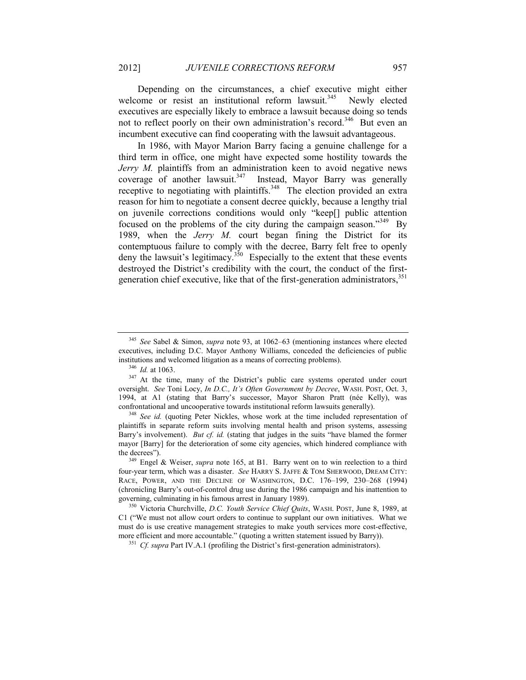Depending on the circumstances, a chief executive might either welcome or resist an institutional reform lawsuit.<sup>345</sup> Newly elected executives are especially likely to embrace a lawsuit because doing so tends not to reflect poorly on their own administration's record.<sup>346</sup> But even an incumbent executive can find cooperating with the lawsuit advantageous.

<span id="page-57-0"></span>In 1986, with Mayor Marion Barry facing a genuine challenge for a third term in office, one might have expected some hostility towards the *Jerry M.* plaintiffs from an administration keen to avoid negative news coverage of another lawsuit.<sup>347</sup> Instead, Mayor Barry was generally receptive to negotiating with plaintiffs.<sup>348</sup> The election provided an extra reason for him to negotiate a consent decree quickly, because a lengthy trial on juvenile corrections conditions would only "keep[] public attention focused on the problems of the city during the campaign season."<sup>349</sup> By 1989, when the *Jerry M.* court began fining the District for its contemptuous failure to comply with the decree, Barry felt free to openly deny the lawsuit's legitimacy.<sup>350</sup> Especially to the extent that these events destroyed the District's credibility with the court, the conduct of the firstgeneration chief executive, like that of the first-generation administrators,  $351$ 

<sup>345</sup> *See* Sabel & Simon, *supra* note [93,](#page-16-2) at 1062–63 (mentioning instances where elected executives, including D.C. Mayor Anthony Williams, conceded the deficiencies of public institutions and welcomed litigation as a means of correcting problems).

<sup>346</sup> *Id.* at 1063.

<sup>&</sup>lt;sup>347</sup> At the time, many of the District's public care systems operated under court oversight. *See* Toni Locy, *In D.C., It's Often Government by Decree*, WASH. POST, Oct. 3, 1994, at A1 (stating that Barry's successor, Mayor Sharon Pratt (née Kelly), was confrontational and uncooperative towards institutional reform lawsuits generally).

<sup>&</sup>lt;sup>348</sup> See id. (quoting Peter Nickles, whose work at the time included representation of plaintiffs in separate reform suits involving mental health and prison systems, assessing Barry's involvement). *But cf. id.* (stating that judges in the suits "have blamed the former mayor [Barry] for the deterioration of some city agencies, which hindered compliance with the decrees").

<sup>&</sup>lt;sup>349</sup> Engel & Weiser, *supra* note [165,](#page-27-0) at B1. Barry went on to win reelection to a third four-year term, which was a disaster. *See* HARRY S. JAFFE & TOM SHERWOOD, DREAM CITY: RACE, POWER, AND THE DECLINE OF WASHINGTON, D.C. 176–199, 230–268 (1994) (chronicling Barry's out-of-control drug use during the 1986 campaign and his inattention to governing, culminating in his famous arrest in January 1989).

<sup>350</sup> Victoria Churchville, *D.C. Youth Service Chief Quits*, WASH. POST, June 8, 1989, at C1 ("We must not allow court orders to continue to supplant our own initiatives. What we must do is use creative management strategies to make youth services more cost-effective, more efficient and more accountable." (quoting a written statement issued by Barry)).

<sup>351</sup> *Cf. supra* Par[t IV.A.1](#page-25-1) (profiling the District's first-generation administrators).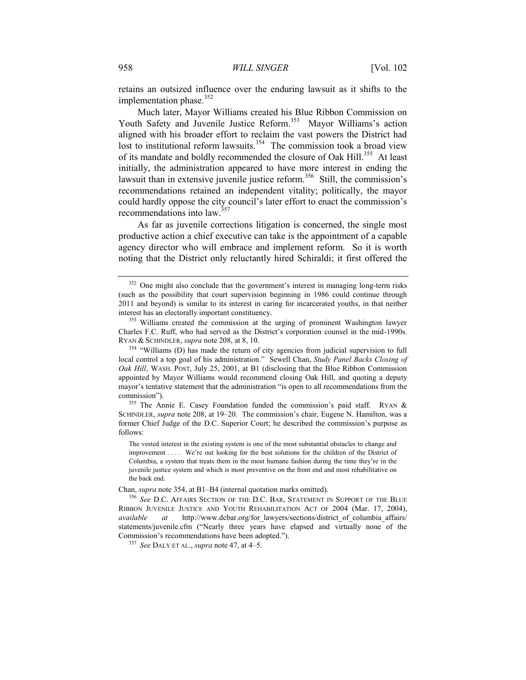<span id="page-58-0"></span>retains an outsized influence over the enduring lawsuit as it shifts to the implementation phase. $352$ 

Much later, Mayor Williams created his Blue Ribbon Commission on Youth Safety and Juvenile Justice Reform.<sup>353</sup> Mayor Williams's action aligned with his broader effort to reclaim the vast powers the District had lost to institutional reform lawsuits.<sup>354</sup> The commission took a broad view of its mandate and boldly recommended the closure of Oak Hill.<sup>355</sup> At least initially, the administration appeared to have more interest in ending the lawsuit than in extensive juvenile justice reform.<sup>356</sup> Still, the commission's recommendations retained an independent vitality; politically, the mayor could hardly oppose the city council's later effort to enact the commission's recommendations into law.<sup>357</sup>

As far as juvenile corrections litigation is concerned, the single most productive action a chief executive can take is the appointment of a capable agency director who will embrace and implement reform. So it is worth noting that the District only reluctantly hired Schiraldi; it first offered the

<sup>&</sup>lt;sup>352</sup> One might also conclude that the government's interest in managing long-term risks (such as the possibility that court supervision beginning in 1986 could continue through 2011 and beyond) is similar to its interest in caring for incarcerated youths, in that neither interest has an electorally important constituency.

<sup>&</sup>lt;sup>353</sup> Williams created the commission at the urging of prominent Washington lawyer Charles F.C. Ruff, who had served as the District's corporation counsel in the mid-1990s. RYAN & SCHINDLER, *supra* not[e 208,](#page-33-0) at 8, 10.

<sup>&</sup>lt;sup>354</sup> "Williams (D) has made the return of city agencies from judicial supervision to full local control a top goal of his administration." Sewell Chan, *Study Panel Backs Closing of Oak Hill*, WASH. POST, July 25, 2001, at B1 (disclosing that the Blue Ribbon Commission appointed by Mayor Williams would recommend closing Oak Hill, and quoting a deputy mayor's tentative statement that the administration "is open to all recommendations from the commission").

<sup>355</sup> The Annie E. Casey Foundation funded the commission's paid staff. RYAN & SCHINDLER, *supra* note [208,](#page-33-0) at 19–20. The commission's chair, Eugene N. Hamilton, was a former Chief Judge of the D.C. Superior Court; he described the commission's purpose as follows:

The vested interest in the existing system is one of the most substantial obstacles to change and improvement .... We're out looking for the best solutions for the children of the District of Columbia, a system that treats them in the most humane fashion during the time they're in the juvenile justice system and which is most preventive on the front end and most rehabilitative on the back end.

Chan, *supra* note 354, at B1–B4 (internal quotation marks omitted).

<sup>356</sup> *See* D.C. AFFAIRS SECTION OF THE D.C. BAR, STATEMENT IN SUPPORT OF THE BLUE RIBBON JUVENILE JUSTICE AND YOUTH REHABILITATION ACT OF 2004 (Mar. 17, 2004), *available at* http://www.dcbar.org/for\_lawyers/sections/district\_of\_columbia\_affairs/ statements/juvenile.cfm ("Nearly three years have elapsed and virtually none of the Commission's recommendations have been adopted.").

<sup>357</sup> *See* DALY ET AL., *supra* not[e 47,](#page-8-0) at 4–5.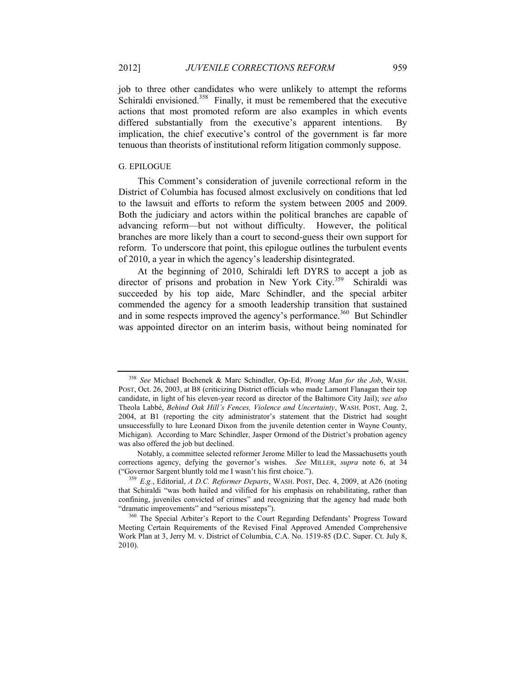<span id="page-59-2"></span>job to three other candidates who were unlikely to attempt the reforms Schiraldi envisioned.<sup>358</sup> Finally, it must be remembered that the executive actions that most promoted reform are also examples in which events differed substantially from the executive's apparent intentions. By implication, the chief executive's control of the government is far more tenuous than theorists of institutional reform litigation commonly suppose.

#### <span id="page-59-1"></span>G. EPILOGUE

This Comment's consideration of juvenile correctional reform in the District of Columbia has focused almost exclusively on conditions that led to the lawsuit and efforts to reform the system between 2005 and 2009. Both the judiciary and actors within the political branches are capable of advancing reform—but not without difficulty. However, the political branches are more likely than a court to second-guess their own support for reform. To underscore that point, this epilogue outlines the turbulent events of 2010, a year in which the agency's leadership disintegrated.

<span id="page-59-0"></span>At the beginning of 2010, Schiraldi left DYRS to accept a job as director of prisons and probation in New York City.<sup>359</sup> Schiraldi was succeeded by his top aide, Marc Schindler, and the special arbiter commended the agency for a smooth leadership transition that sustained and in some respects improved the agency's performance.<sup>360</sup> But Schindler was appointed director on an interim basis, without being nominated for

<sup>358</sup> *See* Michael Bochenek & Marc Schindler, Op-Ed, *Wrong Man for the Job*, WASH. POST, Oct. 26, 2003, at B8 (criticizing District officials who made Lamont Flanagan their top candidate, in light of his eleven-year record as director of the Baltimore City Jail); *see also* Theola Labbé, *Behind Oak Hill's Fences, Violence and Uncertainty*, WASH. POST, Aug. 2, 2004, at B1 (reporting the city administrator's statement that the District had sought unsuccessfully to lure Leonard Dixon from the juvenile detention center in Wayne County, Michigan). According to Marc Schindler, Jasper Ormond of the District's probation agency was also offered the job but declined.

Notably, a committee selected reformer Jerome Miller to lead the Massachusetts youth corrections agency, defying the governor's wishes. *See* MILLER, *supra* note [6,](#page-2-0) at 34 ("Governor Sargent bluntly told me I wasn't his first choice.").

<sup>359</sup> *E.g.*, Editorial, *A D.C. Reformer Departs*, WASH. POST, Dec. 4, 2009, at A26 (noting that Schiraldi "was both hailed and vilified for his emphasis on rehabilitating, rather than confining, juveniles convicted of crimes" and recognizing that the agency had made both "dramatic improvements" and "serious missteps").

<sup>&</sup>lt;sup>360</sup> The Special Arbiter's Report to the Court Regarding Defendants' Progress Toward Meeting Certain Requirements of the Revised Final Approved Amended Comprehensive Work Plan at 3, Jerry M. v. District of Columbia, C.A. No. 1519-85 (D.C. Super. Ct. July 8, 2010).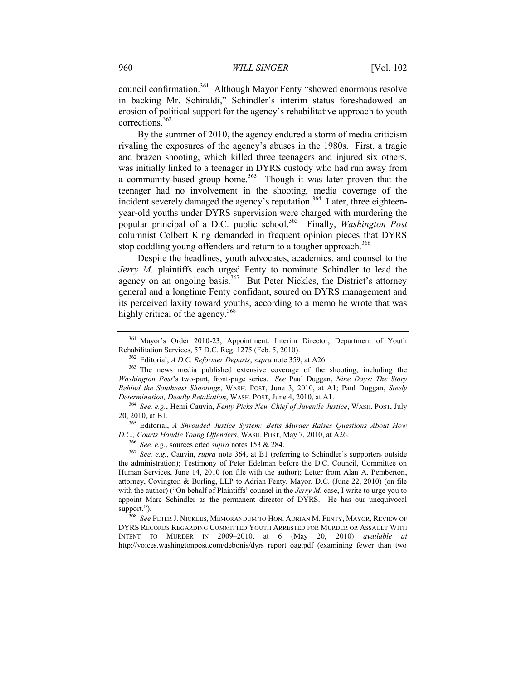council confirmation.<sup>361</sup> Although Mayor Fenty "showed enormous resolve in backing Mr. Schiraldi," Schindler's interim status foreshadowed an erosion of political support for the agency's rehabilitative approach to youth corrections.<sup>362</sup>

By the summer of 2010, the agency endured a storm of media criticism rivaling the exposures of the agency's abuses in the 1980s. First, a tragic and brazen shooting, which killed three teenagers and injured six others, was initially linked to a teenager in DYRS custody who had run away from a community-based group home.<sup>363</sup> Though it was later proven that the teenager had no involvement in the shooting, media coverage of the incident severely damaged the agency's reputation.<sup>364</sup> Later, three eighteenyear-old youths under DYRS supervision were charged with murdering the popular principal of a D.C. public school.<sup>365</sup> Finally, *Washington Post* columnist Colbert King demanded in frequent opinion pieces that DYRS stop coddling young offenders and return to a tougher approach.<sup>366</sup>

<span id="page-60-1"></span>Despite the headlines, youth advocates, academics, and counsel to the *Jerry M.* plaintiffs each urged Fenty to nominate Schindler to lead the agency on an ongoing basis.<sup>367</sup> But Peter Nickles, the District's attorney general and a longtime Fenty confidant, soured on DYRS management and its perceived laxity toward youths, according to a memo he wrote that was highly critical of the agency.<sup>368</sup>

<sup>365</sup> Editorial, *A Shrouded Justice System: Betts Murder Raises Questions About How D.C., Courts Handle Young Offenders*, WASH. POST, May 7, 2010, at A26.

<sup>366</sup> *See, e.g.*, sources cited *supra* note[s 153](#page-24-0) & [284.](#page-46-1)

<sup>368</sup> *See* PETER J. NICKLES, MEMORANDUM TO HON. ADRIAN M. FENTY, MAYOR, REVIEW OF DYRS RECORDS REGARDING COMMITTED YOUTH ARRESTED FOR MURDER OR ASSAULT WITH INTENT TO MURDER IN 2009–2010, at 6 (May 20, 2010) *available at* http://voices.washingtonpost.com/debonis/dyrs\_report\_oag.pdf (examining fewer than two

<sup>361</sup> Mayor's Order 2010-23, Appointment: Interim Director, Department of Youth Rehabilitation Services, 57 D.C. Reg. 1275 (Feb. 5, 2010).

<span id="page-60-0"></span><sup>362</sup> Editorial, *A D.C. Reformer Departs*, *supra* not[e 359,](#page-59-0) at A26.

<sup>363</sup> The news media published extensive coverage of the shooting, including the *Washington Post*'s two-part, front-page series. *See* Paul Duggan, *Nine Days: The Story Behind the Southeast Shootings*, WASH. POST, June 3, 2010, at A1; Paul Duggan, *Steely Determination, Deadly Retaliation*, WASH. POST, June 4, 2010, at A1.

<sup>364</sup> *See, e.g.*, Henri Cauvin, *Fenty Picks New Chief of Juvenile Justice*, WASH. POST, July 20, 2010, at B1.

<sup>367</sup> *See, e.g.*, Cauvin, *supra* note [364,](#page-60-1) at B1 (referring to Schindler's supporters outside the administration); Testimony of Peter Edelman before the D.C. Council, Committee on Human Services, June 14, 2010 (on file with the author); Letter from Alan A. Pemberton, attorney, Covington & Burling, LLP to Adrian Fenty, Mayor, D.C. (June 22, 2010) (on file with the author) ("On behalf of Plaintiffs' counsel in the *Jerry M*. case, I write to urge you to appoint Marc Schindler as the permanent director of DYRS. He has our unequivocal support.").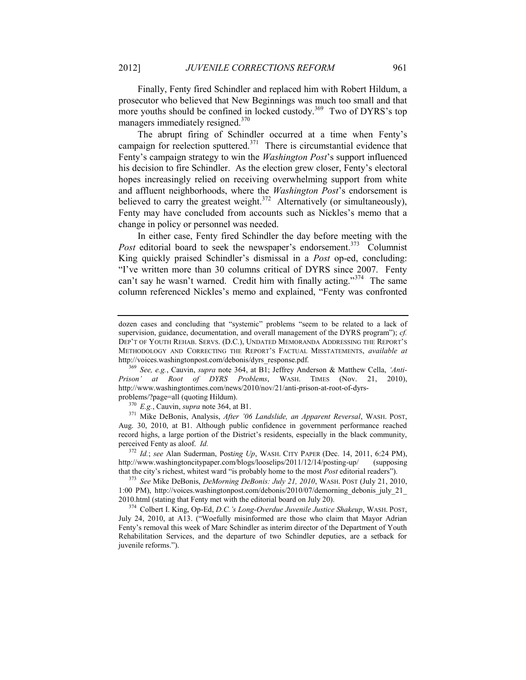Finally, Fenty fired Schindler and replaced him with Robert Hildum, a prosecutor who believed that New Beginnings was much too small and that more youths should be confined in locked custody.<sup>369</sup> Two of DYRS's top managers immediately resigned.<sup>370</sup>

The abrupt firing of Schindler occurred at a time when Fenty's campaign for reelection sputtered. $371$  There is circumstantial evidence that Fenty's campaign strategy to win the *Washington Post*'s support influenced his decision to fire Schindler. As the election grew closer, Fenty's electoral hopes increasingly relied on receiving overwhelming support from white and affluent neighborhoods, where the *Washington Post*'s endorsement is believed to carry the greatest weight.<sup>372</sup> Alternatively (or simultaneously), Fenty may have concluded from accounts such as Nickles's memo that a change in policy or personnel was needed.

In either case, Fenty fired Schindler the day before meeting with the Post editorial board to seek the newspaper's endorsement.<sup>373</sup> Columnist King quickly praised Schindler's dismissal in a *Post* op-ed, concluding: "I've written more than 30 columns critical of DYRS since 2007. Fenty can't say he wasn't warned. Credit him with finally acting."<sup>374</sup> The same column referenced Nickles's memo and explained, "Fenty was confronted

dozen cases and concluding that "systemic" problems "seem to be related to a lack of supervision, guidance, documentation, and overall management of the DYRS program"); *cf.* DEP'T OF YOUTH REHAB. SERVS. (D.C.), UNDATED MEMORANDA ADDRESSING THE REPORT'S METHODOLOGY AND CORRECTING THE REPORT'S FACTUAL MISSTATEMENTS, *available at* http://voices.washingtonpost.com/debonis/dyrs\_response.pdf.

<sup>369</sup> *See, e.g.*, Cauvin, *supra* note [364,](#page-60-1) at B1; Jeffrey Anderson & Matthew Cella, *'Anti-Prison' at Root of DYRS Problems*, WASH. TIMES (Nov. 21, 2010), http://www.washingtontimes.com/news/2010/nov/21/anti-prison-at-root-of-dyrsproblems/?page=all (quoting Hildum).

<sup>370</sup> *E.g.*, Cauvin, *supra* note [364,](#page-60-1) at B1.

<sup>371</sup> Mike DeBonis, Analysis, *After '06 Landslide, an Apparent Reversal*, WASH. POST, Aug. 30, 2010, at B1. Although public confidence in government performance reached record highs, a large portion of the District's residents, especially in the black community, perceived Fenty as aloof. *Id.*

<sup>372</sup> *Id.*; *see* Alan Suderman, Post*ing Up*, WASH. CITY PAPER (Dec. 14, 2011, 6:24 PM), http://www.washingtoncitypaper.com/blogs/looselips/2011/12/14/posting-up/ (supposing that the city's richest, whitest ward "is probably home to the most *Post* editorial readers").

<sup>373</sup> *See* Mike DeBonis, *DeMorning DeBonis: July 21, 2010*, WASH. POST (July 21, 2010, 1:00 PM), http://voices.washingtonpost.com/debonis/2010/07/demorning\_debonis\_july\_21\_ 2010.html (stating that Fenty met with the editorial board on July 20).

<sup>374</sup> Colbert I. King, Op-Ed, *D.C.'s Long-Overdue Juvenile Justice Shakeup*, WASH. POST, July 24, 2010, at A13. ("Woefully misinformed are those who claim that Mayor Adrian Fenty's removal this week of Marc Schindler as interim director of the Department of Youth Rehabilitation Services, and the departure of two Schindler deputies, are a setback for juvenile reforms.").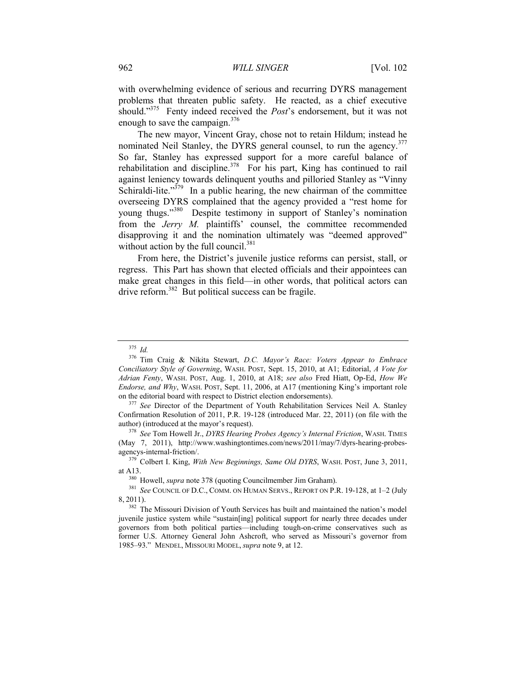<span id="page-62-1"></span>with overwhelming evidence of serious and recurring DYRS management problems that threaten public safety. He reacted, as a chief executive should."<sup>375</sup> Fenty indeed received the *Post*'s endorsement, but it was not enough to save the campaign. $376$ 

<span id="page-62-0"></span>The new mayor, Vincent Gray, chose not to retain Hildum; instead he nominated Neil Stanley, the DYRS general counsel, to run the agency.<sup>377</sup> So far, Stanley has expressed support for a more careful balance of rehabilitation and discipline.<sup>378</sup> For his part, King has continued to rail against leniency towards delinquent youths and pilloried Stanley as "Vinny Schiraldi-lite." $379$  In a public hearing, the new chairman of the committee overseeing DYRS complained that the agency provided a "rest home for young thugs."<sup>380</sup> Despite testimony in support of Stanley's nomination from the *Jerry M.* plaintiffs' counsel, the committee recommended disapproving it and the nomination ultimately was "deemed approved" without action by the full council. $381$ 

From here, the District's juvenile justice reforms can persist, stall, or regress. This Part has shown that elected officials and their appointees can make great changes in this field—in other words, that political actors can drive reform.<sup>382</sup> But political success can be fragile.

<sup>375</sup> *Id.*

<sup>376</sup> Tim Craig & Nikita Stewart, *D.C. Mayor's Race: Voters Appear to Embrace Conciliatory Style of Governing*, WASH. POST, Sept. 15, 2010, at A1; Editorial, *A Vote for Adrian Fenty*, WASH. POST, Aug. 1, 2010, at A18; *see also* Fred Hiatt, Op-Ed, *How We Endorse, and Why*, WASH. POST, Sept. 11, 2006, at A17 (mentioning King's important role on the editorial board with respect to District election endorsements).

<sup>&</sup>lt;sup>377</sup> See Director of the Department of Youth Rehabilitation Services Neil A. Stanley Confirmation Resolution of 2011, P.R. 19-128 (introduced Mar. 22, 2011) (on file with the author) (introduced at the mayor's request).

<sup>378</sup> *See* Tom Howell Jr., *DYRS Hearing Probes Agency's Internal Friction*, WASH. TIMES (May 7, 2011), http://www.washingtontimes.com/news/2011/may/7/dyrs-hearing-probesagencys-internal-friction/.

<sup>379</sup> Colbert I. King, *With New Beginnings, Same Old DYRS*, WASH. POST, June 3, 2011, at A13.

<sup>380</sup> Howell, *supra* not[e 378](#page-62-0) (quoting Councilmember Jim Graham).

<sup>381</sup> *See* COUNCIL OF D.C., COMM. ON HUMAN SERVS., REPORT ON P.R. 19-128, at 1–2 (July 8, 2011).

<sup>&</sup>lt;sup>382</sup> The Missouri Division of Youth Services has built and maintained the nation's model juvenile justice system while "sustain[ing] political support for nearly three decades under governors from both political parties—including tough-on-crime conservatives such as former U.S. Attorney General John Ashcroft, who served as Missouri's governor from 1985–93." MENDEL, MISSOURI MODEL, *supra* not[e 9,](#page-2-2) at 12.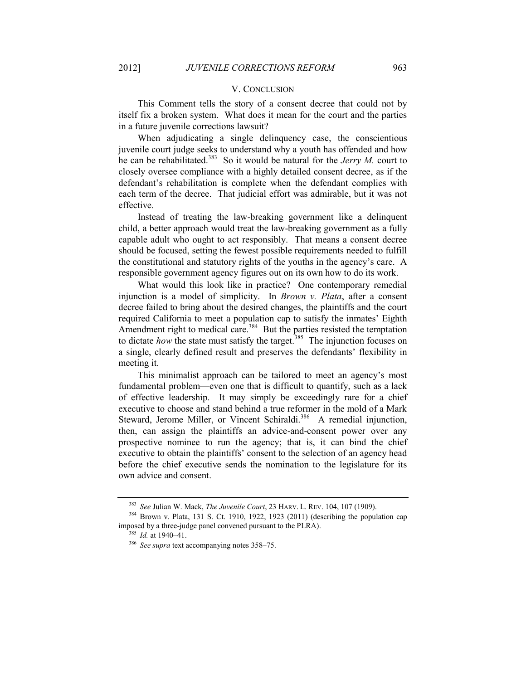#### V. CONCLUSION

<span id="page-63-0"></span>This Comment tells the story of a consent decree that could not by itself fix a broken system. What does it mean for the court and the parties in a future juvenile corrections lawsuit?

When adjudicating a single delinquency case, the conscientious juvenile court judge seeks to understand why a youth has offended and how he can be rehabilitated.<sup>383</sup> So it would be natural for the *Jerry M*. court to closely oversee compliance with a highly detailed consent decree, as if the defendant's rehabilitation is complete when the defendant complies with each term of the decree. That judicial effort was admirable, but it was not effective.

Instead of treating the law-breaking government like a delinquent child, a better approach would treat the law-breaking government as a fully capable adult who ought to act responsibly. That means a consent decree should be focused, setting the fewest possible requirements needed to fulfill the constitutional and statutory rights of the youths in the agency's care. A responsible government agency figures out on its own how to do its work.

What would this look like in practice? One contemporary remedial injunction is a model of simplicity. In *Brown v. Plata*, after a consent decree failed to bring about the desired changes, the plaintiffs and the court required California to meet a population cap to satisfy the inmates' Eighth Amendment right to medical care.<sup>384</sup> But the parties resisted the temptation to dictate *how* the state must satisfy the target.<sup>385</sup> The injunction focuses on a single, clearly defined result and preserves the defendants' flexibility in meeting it.

This minimalist approach can be tailored to meet an agency's most fundamental problem—even one that is difficult to quantify, such as a lack of effective leadership. It may simply be exceedingly rare for a chief executive to choose and stand behind a true reformer in the mold of a Mark Steward, Jerome Miller, or Vincent Schiraldi.<sup>386</sup> A remedial injunction, then, can assign the plaintiffs an advice-and-consent power over any prospective nominee to run the agency; that is, it can bind the chief executive to obtain the plaintiffs' consent to the selection of an agency head before the chief executive sends the nomination to the legislature for its own advice and consent.

<sup>383</sup> *See* Julian W. Mack, *The Juvenile Court*, 23 HARV. L. REV. 104, 107 (1909).

<sup>384</sup> Brown v. Plata, 131 S. Ct. 1910, 1922, 1923 (2011) (describing the population cap imposed by a three-judge panel convened pursuant to the PLRA).

<sup>385</sup> *Id.* at 1940–41.

<sup>386</sup> *See supra* text accompanying notes [358](#page-59-2)–[75.](#page-62-1)